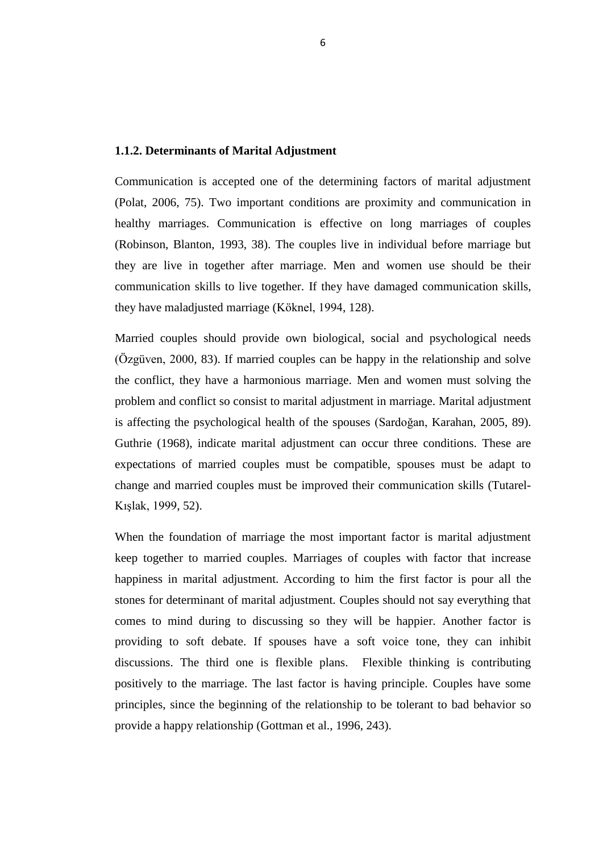# **1. INTRODUCTION**

# **1.1. Marriage**

The concept of marriage has begun in Egypt in B.C. years of two thousand. The institution of marriage has nearly four thousand years of history with their principles and rules. Marriage is an institution that provides the society, continuity of culture and tradition, maintenance and training of birth to new baby. The institution of marriage is supported from society, religious institutions and the state (Özuğurlu, 1999, 47).

Marriage is a mutual solidarity, the community approval of a contract area and breaking all the social prohibition, is a fusion of allowing sexual intercourse (Özugurlu, 1985, 65). Marriage is defined as sexual intercourse between two adults approved by the community (Giddens, 2000, 119). Marriage is a formal long lived sexual union of men and women, which is conducted within a set of designated right and duty. Marriage is an individual and social structure (Lantz, Snyder, 1962, 16 quoted by Koçak, 2009, 95). Marriage is a social system and marriage includes formal, emotional, behavioral and biological aspects. Marriage is the one the most important constituent of the family (Tutarel-Kışlak, 1999, 50).

Marriage is not only a personal commitment between partners. Marriage is social and legal commitment to the larger community. Marriage is indicated to be associated with psychological health and it has been also stated that relationship with a partner acts barrier between us and our problems (Bird, Melville, 1994, 175).

Marriage is best understood in terms of need to belong. Belong is a powerful motive which leads people to have social attachments and interpersonal relationship (Baumeister, Learny, 1995, 522 quoted by, Koçak, 2009, 95). The another one definition about marriage; marriage is a system and involves the live together of two different people related to their personality, needs, expectations and habits (Sevinç, Garip, 2010, 1652).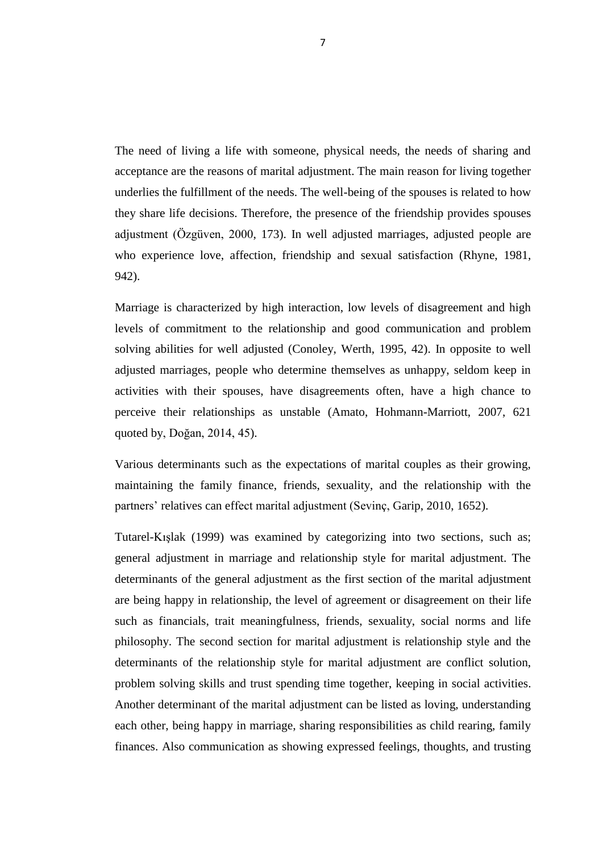Marriage is different structures that can show in society, family formation, allowing the continuation of the species, which come together to permanent cooperation, which is an institution fulfilling the responsibilities to members a global organization composed of interconnected systems (Saxton, 1982, 72).

Marriage is a contract for to be together and live, to share their experience, make child and give an education from two different people. Marriage is a man and a woman as husband and wife relationship that connects the system, the state has been control and authority on marriage. The purpose of marriage is providing to biological, social, psychological requirements from two different people. Marriage is a very complicated relationship. Marriage requires an act individually also feeling of togetherness with preserving their autonomy (Özgüven, 2000, 82).

There are some basic functions of marriage. These are, provide economic requirements, provide status, realize to leisure activities, protection of the family members of each other, creating a loving environment, provide sexual satisfaction, to reproduce, to plan for their children's education and provide religious education to children (Özgüven, 2001, 43).

The purpose of married people is providing to physiological, psychological and social aspects the needs of each other. Thus double psychological system is established with combination of these two people (Gülerce, 1996, 82). Marriage is shared with together to happiness and distress (Geçtan, 1984, 27).

Marriage is an institution which complies with the norms of society. Marriage is in accordance with society"s customs and traditions and society confirms this unity. At the same time marriage is a transition allowing birthing (Güvenç, 1984, 121). Marriage is a social institution ensures the continuity of the human race. This institution is providing to continuity of generation. Marriage is fertility according to societies. Have a child not always take to get marry. Also in the majority of the countries nearly every child has born in marital relationship (Canel, 2007, 334).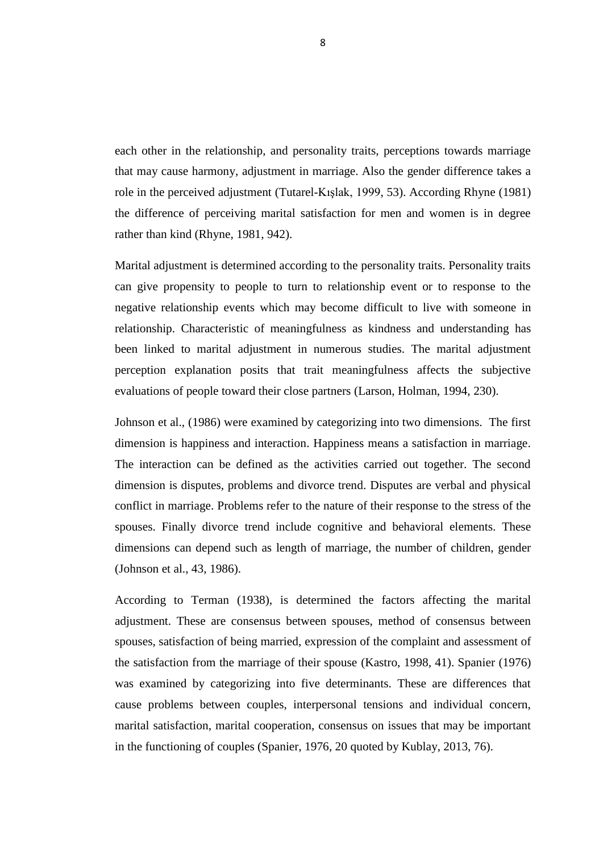The main mission of marriage is to create a happy family environment, and sexual satisfaction. Other important mission is decision-making, solving the conflict and sharing responsibility (Sevim, 1999, 19). Marriage is a contract made by two different people and marriage is a cultural institution founded by the people. It is the smaller unit of society and provide to combination of women and men (Yıldırım, 1993a, 249).

Marriage relationship is combination from two people of different sexes also marriage relationship is include merger of their thoughts, beliefs, cultural levels, the views of the intelligence and wisdom, opinions of life, expectations (Azizoğlu-Binici, 2000, 87).

Marriage is included to mental, emotional, social and sexual relationships. Marriage is a togetherness that requires individuals to adjustment. The providing to adjustment is an important factor for their physical and mental health (Kalkan, 2002, 63).

# **1.1.1. Marital Adjustment**

Marriage is defined each of which is open to the future effects of marriage and their families can make consensus on issues and problems that can be solved in a positive way the marriage of the couple. Happiness in marriage, the realization of satisfaction and expectations of marriage is possible with mutual adjustment. Therefore, clinicians investigate marital adjustment (Erbek et al., 2005, 40). When the foundation of marriage was marital adjustment of couples seems to be one of the most important factors that hold together (Gottman, 1996).

Marital Adjustment is the combination of the fulfillments of their needs and expectations (Amato, Hohmann-Marriot, 2007, 621 quoted by Doğan, 2014, 45). This combination provides the balance into their relationship (Tutarel-Kışlak, 1999, 50). The basic rule is given in marital adjustment for both men and women. Married people have developed an empathic understanding after getting married (Aktaş, 2009).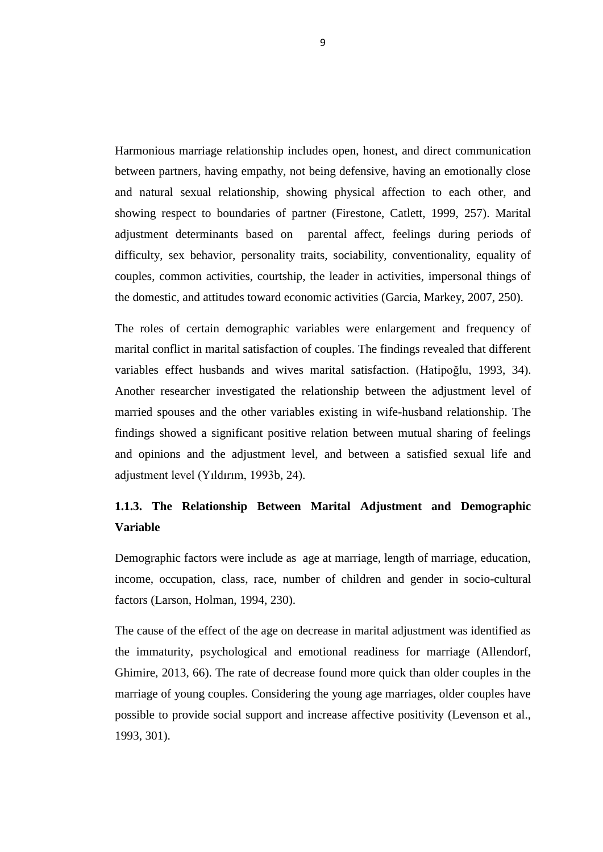Marital adjustment is one of the subjects on psychology in recent years both in terms of individual and social. Marital adjustment is determinative of both family and nonfamily relationships (Fışıloğlu, 1992, 16). Marital adjustment is a process of movement along a process in terms of proximity to good or poor adjustment (Spanier, 1976, 15 quoted by Kublay, 2013, 76). Marital adjustment is usually related to the individual"s adjustment to the close relationship and the personality of the individuals (Kansız, Arkar, 2011, 24).

Marital adjustment as to resolve, adapt and regulation to bring to a more satisfaction state and adjustment. Marital adjustment is more likely to advance to increase in marriage satisfaction, quality, stability and happiness in marriage. Also marital adjustment supports the psychological health of marriage towards the changes in socio-economic terms. Marital adjustment is symbol of the married individual's love and desire to get together. (Li, Fung, 2011, 246).

Marital adjustment is not clearly concept. This lack of clarification is examining in the literature because of marked confusion surround the label definitions (Fışıloğlu, Demir, 2000, 214). It can be differently labeled as marital satisfaction, as marital happiness as marital stability, or as marital quality (Bird, Melville, 1994, 175).

Marital development has been labeled as marital satisfaction, marital adjustment, marital quality and marital happiness researchers mostly have used these measures as measures of satisfaction in the belief that adjustment and satisfaction are similar meaning (Heyman et al., 1994, 436).

Marital adjustment can define high marital satisfaction and high marital happiness in married life of the couple (Tutarel-Kışlak, Çabukça, 2002, 44).

Marital adjustment is defined as a general term success in marriage and functionality of couples in marriage. Marital adjustment is a concept which includes the concept of marital happiness and marital satisfaction (Kalkan, 2002, 63). Marital adjustment is to ensure compliance with the integrity of each other and the marriage of the couple.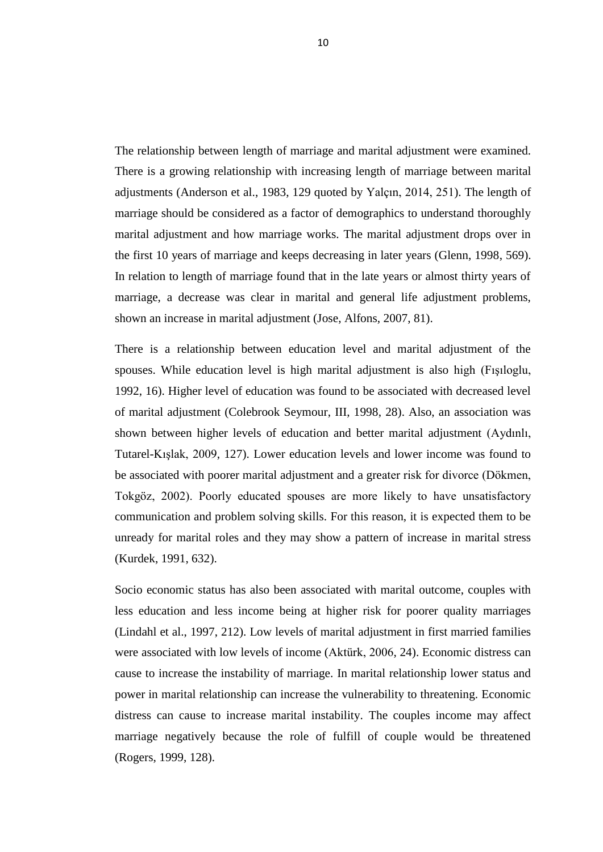Marital adjustment can defined as healthy communication, avoid to conflict and resolve to conflict, feeling to happiness from marriage (Locke, 1968, 157). If women and men share to their needs, their marriage would be adjustment (Özgüven, 2000, 82). Marital adjustments are life changes as marital quality (Fincham, 1998, 543 quoted by Doğan, 2014, 47).

Marital determinative have been variously labeled as marital quality, success, adjustment and happiness as satisfaction (Proulx et al., 2007, 576). Happy marriages make contributions to person"s life. Marital happiness is associated with physical and psychological health (Kiecolt-Glaser, Newton, 2001, 472). Marital happiness is based emotional and marital satisfaction is based more cognitive. Also marital adjustment and marital quality include happiness and satisfaction. Marital satisfaction is a key factor that strongly influences both quality and stability of marriages (Li, Fung, 2011, 246).

In marriage; have been used together such as concepts with satisfaction, adjustment, marital happiness but then it had clarified the differences between them and began to examine as separate variables of each one concept (Kasto, 1998, 41 quoted by Kublay, 2013, 86).

A feeling of satisfaction about the individual"s marriage is called adjustment in marriage (Yılmaz, 2000, 89). Marital satisfaction is the couples conflict and adaptation of the daily life changes (Sevinç, Garip, 2010, 1652).

Importance of marital adjustment is in both the social and psychological feeling. Social refers to the interactional role of relationships between individuals, and psychological refers to the relationship of take up seriously social roles and the personality desires processing for the individual (Bell, 1971). Social, psychological, personal, and demographic factors related to the marital adjustment of any married couple (Fışıloglu, Demir, 2000, 214).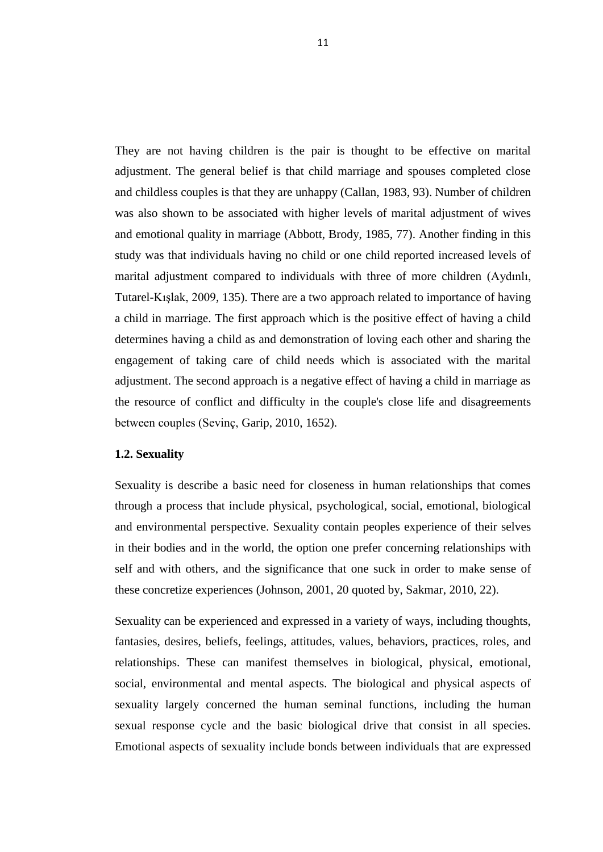### **1.1.2. Determinants of Marital Adjustment**

Communication is accepted one of the determining factors of marital adjustment (Polat, 2006, 75). Two important conditions are proximity and communication in healthy marriages. Communication is effective on long marriages of couples (Robinson, Blanton, 1993, 38). The couples live in individual before marriage but they are live in together after marriage. Men and women use should be their communication skills to live together. If they have damaged communication skills, they have maladjusted marriage (Köknel, 1994, 128).

Married couples should provide own biological, social and psychological needs (Özgüven, 2000, 83). If married couples can be happy in the relationship and solve the conflict, they have a harmonious marriage. Men and women must solving the problem and conflict so consist to marital adjustment in marriage. Marital adjustment is affecting the psychological health of the spouses (Sardoğan, Karahan, 2005, 89). Guthrie (1968), indicate marital adjustment can occur three conditions. These are expectations of married couples must be compatible, spouses must be adapt to change and married couples must be improved their communication skills (Tutarel-Kışlak, 1999, 52).

When the foundation of marriage the most important factor is marital adjustment keep together to married couples. Marriages of couples with factor that increase happiness in marital adjustment. According to him the first factor is pour all the stones for determinant of marital adjustment. Couples should not say everything that comes to mind during to discussing so they will be happier. Another factor is providing to soft debate. If spouses have a soft voice tone, they can inhibit discussions. The third one is flexible plans. Flexible thinking is contributing positively to the marriage. The last factor is having principle. Couples have some principles, since the beginning of the relationship to be tolerant to bad behavior so provide a happy relationship (Gottman et al., 1996, 243).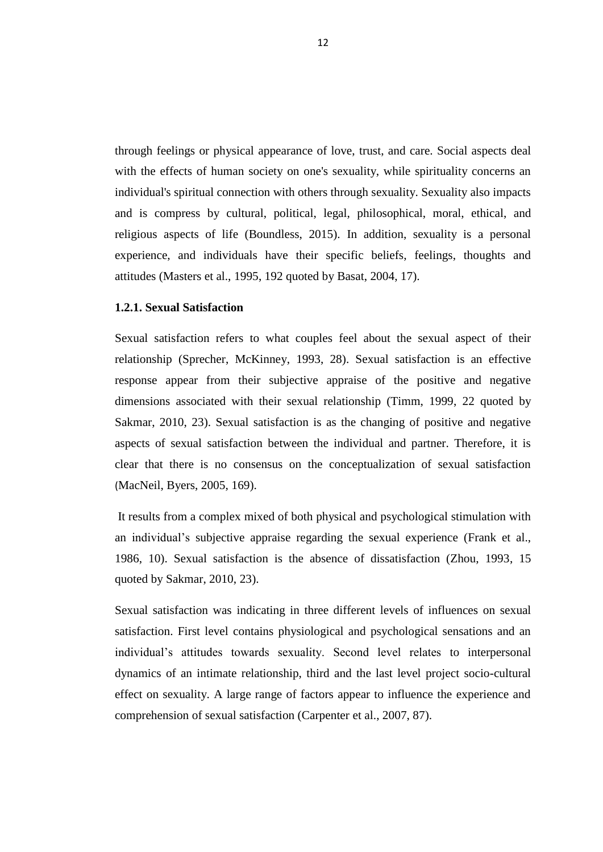The need of living a life with someone, physical needs, the needs of sharing and acceptance are the reasons of marital adjustment. The main reason for living together underlies the fulfillment of the needs. The well-being of the spouses is related to how they share life decisions. Therefore, the presence of the friendship provides spouses adjustment (Özgüven, 2000, 173). In well adjusted marriages, adjusted people are who experience love, affection, friendship and sexual satisfaction (Rhyne, 1981, 942).

Marriage is characterized by high interaction, low levels of disagreement and high levels of commitment to the relationship and good communication and problem solving abilities for well adjusted (Conoley, Werth, 1995, 42). In opposite to well adjusted marriages, people who determine themselves as unhappy, seldom keep in activities with their spouses, have disagreements often, have a high chance to perceive their relationships as unstable (Amato, Hohmann-Marriott, 2007, 621 quoted by, Doğan, 2014, 45).

Various determinants such as the expectations of marital couples as their growing, maintaining the family finance, friends, sexuality, and the relationship with the partners' relatives can effect marital adjustment (Sevinç, Garip, 2010, 1652).

Tutarel-Kışlak (1999) was examined by categorizing into two sections, such as; general adjustment in marriage and relationship style for marital adjustment. The determinants of the general adjustment as the first section of the marital adjustment are being happy in relationship, the level of agreement or disagreement on their life such as financials, trait meaningfulness, friends, sexuality, social norms and life philosophy. The second section for marital adjustment is relationship style and the determinants of the relationship style for marital adjustment are conflict solution, problem solving skills and trust spending time together, keeping in social activities. Another determinant of the marital adjustment can be listed as loving, understanding each other, being happy in marriage, sharing responsibilities as child rearing, family finances. Also communication as showing expressed feelings, thoughts, and trusting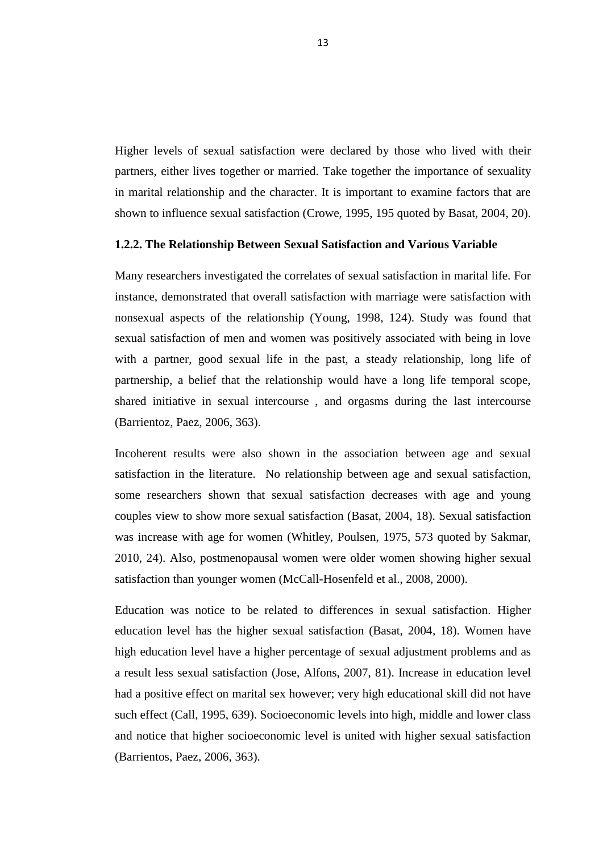each other in the relationship, and personality traits, perceptions towards marriage that may cause harmony, adjustment in marriage. Also the gender difference takes a role in the perceived adjustment (Tutarel-Kışlak, 1999, 53). According Rhyne (1981) the difference of perceiving marital satisfaction for men and women is in degree rather than kind (Rhyne, 1981, 942).

Marital adjustment is determined according to the personality traits. Personality traits can give propensity to people to turn to relationship event or to response to the negative relationship events which may become difficult to live with someone in relationship. Characteristic of meaningfulness as kindness and understanding has been linked to marital adjustment in numerous studies. The marital adjustment perception explanation posits that trait meaningfulness affects the subjective evaluations of people toward their close partners (Larson, Holman, 1994, 230).

Johnson et al., (1986) were examined by categorizing into two dimensions. The first dimension is happiness and interaction. Happiness means a satisfaction in marriage. The interaction can be defined as the activities carried out together. The second dimension is disputes, problems and divorce trend. Disputes are verbal and physical conflict in marriage. Problems refer to the nature of their response to the stress of the spouses. Finally divorce trend include cognitive and behavioral elements. These dimensions can depend such as length of marriage, the number of children, gender (Johnson et al., 43, 1986).

According to Terman (1938), is determined the factors affecting the marital adjustment. These are consensus between spouses, method of consensus between spouses, satisfaction of being married, expression of the complaint and assessment of the satisfaction from the marriage of their spouse (Kastro, 1998, 41). Spanier (1976) was examined by categorizing into five determinants. These are differences that cause problems between couples, interpersonal tensions and individual concern, marital satisfaction, marital cooperation, consensus on issues that may be important in the functioning of couples (Spanier, 1976, 20 quoted by Kublay, 2013, 76).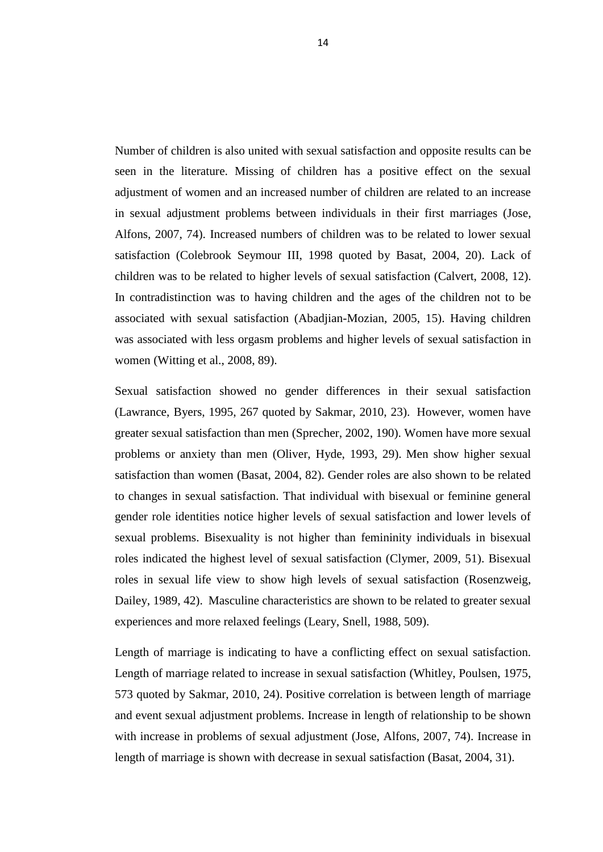Harmonious marriage relationship includes open, honest, and direct communication between partners, having empathy, not being defensive, having an emotionally close and natural sexual relationship, showing physical affection to each other, and showing respect to boundaries of partner (Firestone, Catlett, 1999, 257). Marital adjustment determinants based on parental affect, feelings during periods of difficulty, sex behavior, personality traits, sociability, conventionality, equality of couples, common activities, courtship, the leader in activities, impersonal things of the domestic, and attitudes toward economic activities (Garcia, Markey, 2007, 250).

The roles of certain demographic variables were enlargement and frequency of marital conflict in marital satisfaction of couples. The findings revealed that different variables effect husbands and wives marital satisfaction. (Hatipoğlu, 1993, 34). Another researcher investigated the relationship between the adjustment level of married spouses and the other variables existing in wife-husband relationship. The findings showed a significant positive relation between mutual sharing of feelings and opinions and the adjustment level, and between a satisfied sexual life and adjustment level (Yıldırım, 1993b, 24).

# **1.1.3. The Relationship Between Marital Adjustment and Demographic Variable**

Demographic factors were include as age at marriage, length of marriage, education, income, occupation, class, race, number of children and gender in socio-cultural factors (Larson, Holman, 1994, 230).

The cause of the effect of the age on decrease in marital adjustment was identified as the immaturity, psychological and emotional readiness for marriage (Allendorf, Ghimire, 2013, 66). The rate of decrease found more quick than older couples in the marriage of young couples. Considering the young age marriages, older couples have possible to provide social support and increase affective positivity (Levenson et al., 1993, 301).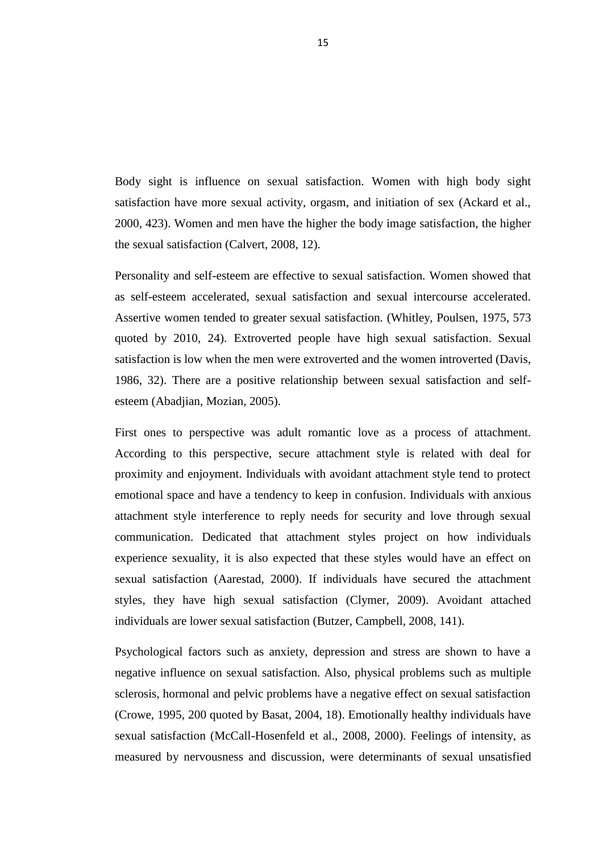The relationship between length of marriage and marital adjustment were examined. There is a growing relationship with increasing length of marriage between marital adjustments (Anderson et al., 1983, 129 quoted by Yalçın, 2014, 251). The length of marriage should be considered as a factor of demographics to understand thoroughly marital adjustment and how marriage works. The marital adjustment drops over in the first 10 years of marriage and keeps decreasing in later years (Glenn, 1998, 569). In relation to length of marriage found that in the late years or almost thirty years of marriage, a decrease was clear in marital and general life adjustment problems, shown an increase in marital adjustment (Jose, Alfons, 2007, 81).

There is a relationship between education level and marital adjustment of the spouses. While education level is high marital adjustment is also high (Fışıloglu, 1992, 16). Higher level of education was found to be associated with decreased level of marital adjustment (Colebrook Seymour, III, 1998, 28). Also, an association was shown between higher levels of education and better marital adjustment (Aydınlı, Tutarel-Kışlak, 2009, 127). Lower education levels and lower income was found to be associated with poorer marital adjustment and a greater risk for divorce (Dökmen, Tokgöz, 2002). Poorly educated spouses are more likely to have unsatisfactory communication and problem solving skills. For this reason, it is expected them to be unready for marital roles and they may show a pattern of increase in marital stress (Kurdek, 1991, 632).

Socio economic status has also been associated with marital outcome, couples with less education and less income being at higher risk for poorer quality marriages (Lindahl et al., 1997, 212). Low levels of marital adjustment in first married families were associated with low levels of income (Aktürk, 2006, 24). Economic distress can cause to increase the instability of marriage. In marital relationship lower status and power in marital relationship can increase the vulnerability to threatening. Economic distress can cause to increase marital instability. The couples income may affect marriage negatively because the role of fulfill of couple would be threatened (Rogers, 1999, 128).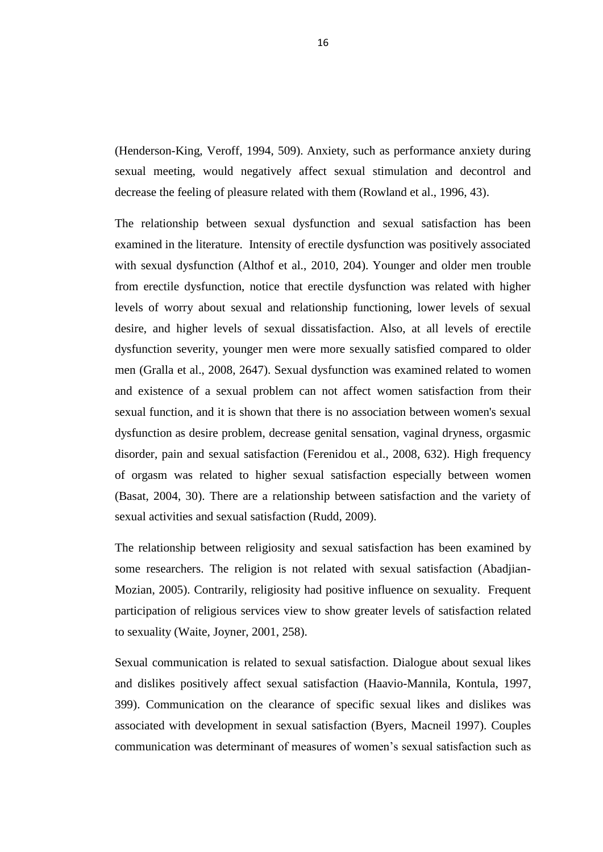They are not having children is the pair is thought to be effective on marital adjustment. The general belief is that child marriage and spouses completed close and childless couples is that they are unhappy (Callan, 1983, 93). Number of children was also shown to be associated with higher levels of marital adjustment of wives and emotional quality in marriage (Abbott, Brody, 1985, 77). Another finding in this study was that individuals having no child or one child reported increased levels of marital adjustment compared to individuals with three of more children (Aydınlı, Tutarel-Kışlak, 2009, 135). There are a two approach related to importance of having a child in marriage. The first approach which is the positive effect of having a child determines having a child as and demonstration of loving each other and sharing the engagement of taking care of child needs which is associated with the marital adjustment. The second approach is a negative effect of having a child in marriage as the resource of conflict and difficulty in the couple's close life and disagreements between couples (Sevinç, Garip, 2010, 1652).

#### **1.2. Sexuality**

Sexuality is describe a basic need for closeness in human relationships that comes through a process that include physical, psychological, social, emotional, biological and environmental perspective. Sexuality contain peoples experience of their selves in their bodies and in the world, the option one prefer concerning relationships with self and with others, and the significance that one suck in order to make sense of these concretize experiences (Johnson, 2001, 20 quoted by, Sakmar, 2010, 22).

Sexuality can be experienced and expressed in a variety of ways, including thoughts, fantasies, desires, beliefs, feelings, attitudes, values, behaviors, practices, roles, and relationships. These can manifest themselves in biological, physical, emotional, social, environmental and mental aspects. The biological and physical aspects of sexuality largely concerned the human seminal functions, including the human sexual response cycle and the basic biological drive that consist in all species. Emotional aspects of sexuality include bonds between individuals that are expressed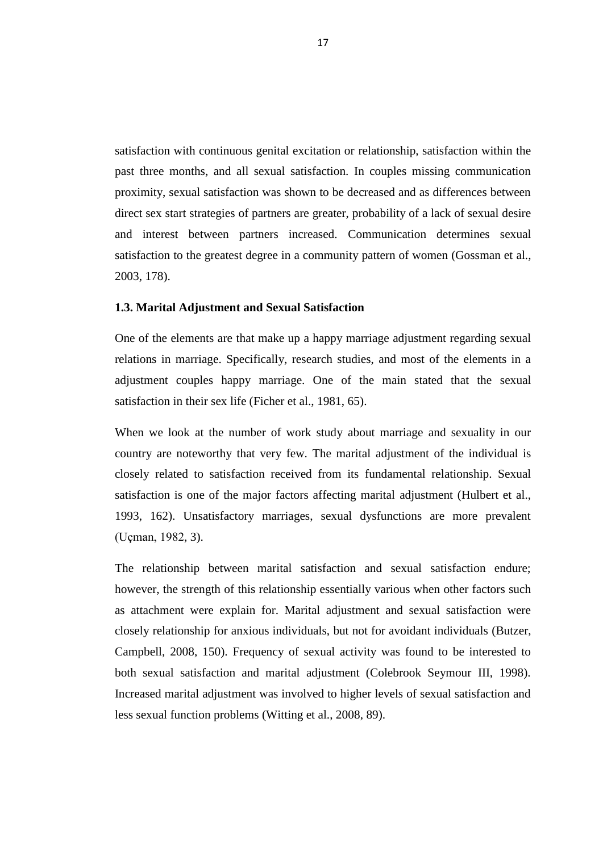through feelings or physical appearance of love, trust, and care. Social aspects deal with the effects of human society on one's sexuality, while spirituality concerns an individual's spiritual connection with others through sexuality. Sexuality also impacts and is compress by cultural, political, legal, philosophical, moral, ethical, and religious aspects of life (Boundless, 2015). In addition, sexuality is a personal experience, and individuals have their specific beliefs, feelings, thoughts and attitudes (Masters et al., 1995, 192 quoted by Basat, 2004, 17).

# **1.2.1. Sexual Satisfaction**

Sexual satisfaction refers to what couples feel about the sexual aspect of their relationship (Sprecher, McKinney, 1993, 28). Sexual satisfaction is an effective response appear from their subjective appraise of the positive and negative dimensions associated with their sexual relationship (Timm, 1999, 22 quoted by Sakmar, 2010, 23). Sexual satisfaction is as the changing of positive and negative aspects of sexual satisfaction between the individual and partner. Therefore, it is clear that there is no consensus on the conceptualization of sexual satisfaction (MacNeil, Byers, 2005, 169).

It results from a complex mixed of both physical and psychological stimulation with an individual"s subjective appraise regarding the sexual experience (Frank et al., 1986, 10). Sexual satisfaction is the absence of dissatisfaction (Zhou, 1993, 15 quoted by Sakmar, 2010, 23).

Sexual satisfaction was indicating in three different levels of influences on sexual satisfaction. First level contains physiological and psychological sensations and an individual"s attitudes towards sexuality. Second level relates to interpersonal dynamics of an intimate relationship, third and the last level project socio-cultural effect on sexuality. A large range of factors appear to influence the experience and comprehension of sexual satisfaction (Carpenter et al., 2007, 87).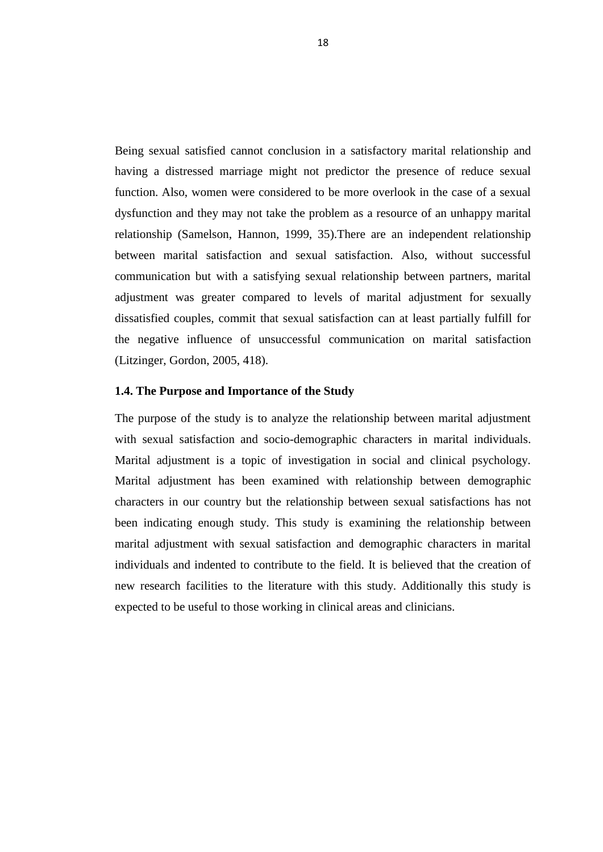Higher levels of sexual satisfaction were declared by those who lived with their partners, either lives together or married. Take together the importance of sexuality in marital relationship and the character. It is important to examine factors that are shown to influence sexual satisfaction (Crowe, 1995, 195 quoted by Basat, 2004, 20).

# **1.2.2. The Relationship Between Sexual Satisfaction and Various Variable**

Many researchers investigated the correlates of sexual satisfaction in marital life. For instance, demonstrated that overall satisfaction with marriage were satisfaction with nonsexual aspects of the relationship (Young, 1998, 124). Study was found that sexual satisfaction of men and women was positively associated with being in love with a partner, good sexual life in the past, a steady relationship, long life of partnership, a belief that the relationship would have a long life temporal scope, shared initiative in sexual intercourse , and orgasms during the last intercourse (Barrientoz, Paez, 2006, 363).

Incoherent results were also shown in the association between age and sexual satisfaction in the literature. No relationship between age and sexual satisfaction, some researchers shown that sexual satisfaction decreases with age and young couples view to show more sexual satisfaction (Basat, 2004, 18). Sexual satisfaction was increase with age for women (Whitley, Poulsen, 1975, 573 quoted by Sakmar, 2010, 24). Also, postmenopausal women were older women showing higher sexual satisfaction than younger women (McCall-Hosenfeld et al., 2008, 2000).

Education was notice to be related to differences in sexual satisfaction. Higher education level has the higher sexual satisfaction (Basat, 2004, 18). Women have high education level have a higher percentage of sexual adjustment problems and as a result less sexual satisfaction (Jose, Alfons, 2007, 81). Increase in education level had a positive effect on marital sex however; very high educational skill did not have such effect (Call, 1995, 639). Socioeconomic levels into high, middle and lower class and notice that higher socioeconomic level is united with higher sexual satisfaction (Barrientos, Paez, 2006, 363).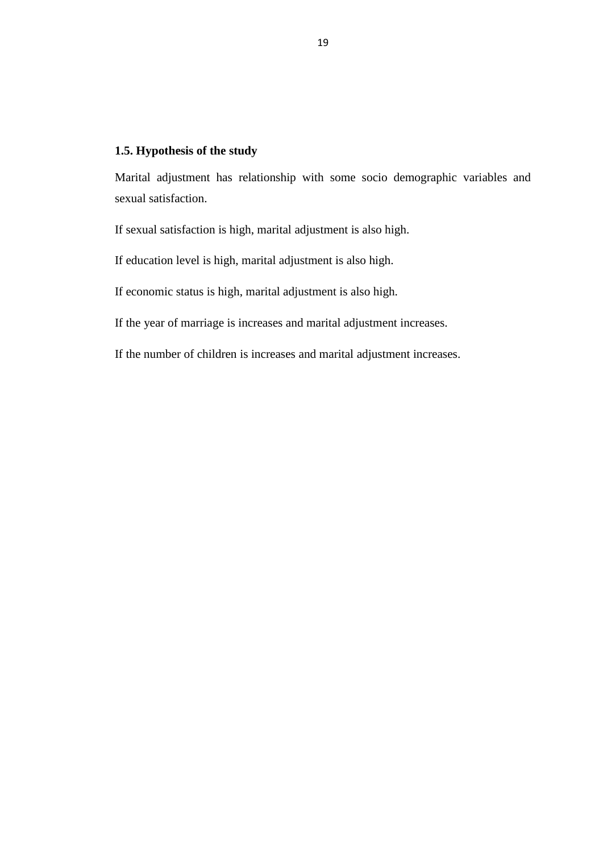Number of children is also united with sexual satisfaction and opposite results can be seen in the literature. Missing of children has a positive effect on the sexual adjustment of women and an increased number of children are related to an increase in sexual adjustment problems between individuals in their first marriages (Jose, Alfons, 2007, 74). Increased numbers of children was to be related to lower sexual satisfaction (Colebrook Seymour III, 1998 quoted by Basat, 2004, 20). Lack of children was to be related to higher levels of sexual satisfaction (Calvert, 2008, 12). In contradistinction was to having children and the ages of the children not to be associated with sexual satisfaction (Abadjian-Mozian, 2005, 15). Having children was associated with less orgasm problems and higher levels of sexual satisfaction in women (Witting et al., 2008, 89).

Sexual satisfaction showed no gender differences in their sexual satisfaction (Lawrance, Byers, 1995, 267 quoted by Sakmar, 2010, 23). However, women have greater sexual satisfaction than men (Sprecher, 2002, 190). Women have more sexual problems or anxiety than men (Oliver, Hyde, 1993, 29). Men show higher sexual satisfaction than women (Basat, 2004, 82). Gender roles are also shown to be related to changes in sexual satisfaction. That individual with bisexual or feminine general gender role identities notice higher levels of sexual satisfaction and lower levels of sexual problems. Bisexuality is not higher than femininity individuals in bisexual roles indicated the highest level of sexual satisfaction (Clymer, 2009, 51). Bisexual roles in sexual life view to show high levels of sexual satisfaction (Rosenzweig, Dailey, 1989, 42). Masculine characteristics are shown to be related to greater sexual experiences and more relaxed feelings (Leary, Snell, 1988, 509).

Length of marriage is indicating to have a conflicting effect on sexual satisfaction. Length of marriage related to increase in sexual satisfaction (Whitley, Poulsen, 1975, 573 quoted by Sakmar, 2010, 24). Positive correlation is between length of marriage and event sexual adjustment problems. Increase in length of relationship to be shown with increase in problems of sexual adjustment (Jose, Alfons, 2007, 74). Increase in length of marriage is shown with decrease in sexual satisfaction (Basat, 2004, 31).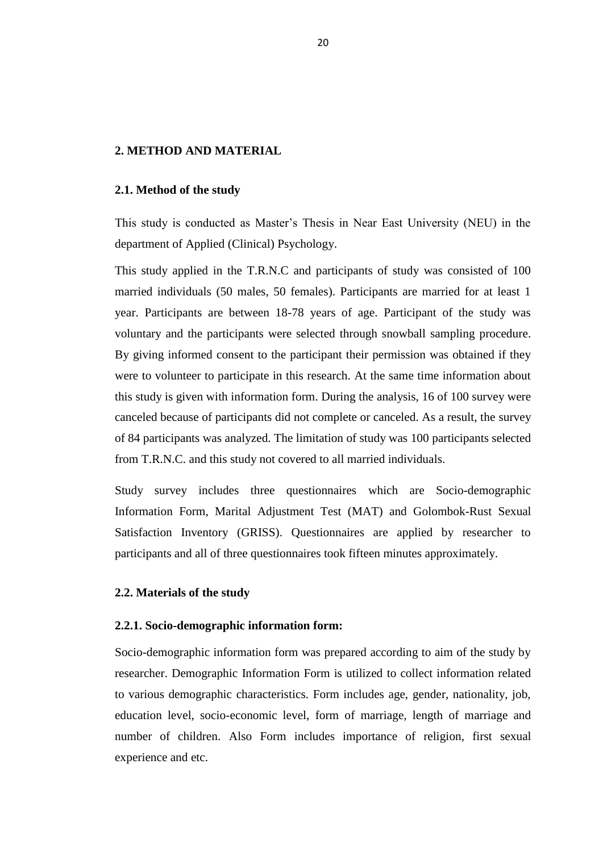Body sight is influence on sexual satisfaction. Women with high body sight satisfaction have more sexual activity, orgasm, and initiation of sex (Ackard et al., 2000, 423). Women and men have the higher the body image satisfaction, the higher the sexual satisfaction (Calvert, 2008, 12).

Personality and self-esteem are effective to sexual satisfaction. Women showed that as self-esteem accelerated, sexual satisfaction and sexual intercourse accelerated. Assertive women tended to greater sexual satisfaction. (Whitley, Poulsen, 1975, 573 quoted by 2010, 24). Extroverted people have high sexual satisfaction. Sexual satisfaction is low when the men were extroverted and the women introverted (Davis, 1986, 32). There are a positive relationship between sexual satisfaction and selfesteem (Abadjian, Mozian, 2005).

First ones to perspective was adult romantic love as a process of attachment. According to this perspective, secure attachment style is related with deal for proximity and enjoyment. Individuals with avoidant attachment style tend to protect emotional space and have a tendency to keep in confusion. Individuals with anxious attachment style interference to reply needs for security and love through sexual communication. Dedicated that attachment styles project on how individuals experience sexuality, it is also expected that these styles would have an effect on sexual satisfaction (Aarestad, 2000). If individuals have secured the attachment styles, they have high sexual satisfaction (Clymer, 2009). Avoidant attached individuals are lower sexual satisfaction (Butzer, Campbell, 2008, 141).

Psychological factors such as anxiety, depression and stress are shown to have a negative influence on sexual satisfaction. Also, physical problems such as multiple sclerosis, hormonal and pelvic problems have a negative effect on sexual satisfaction (Crowe, 1995, 200 quoted by Basat, 2004, 18). Emotionally healthy individuals have sexual satisfaction (McCall-Hosenfeld et al., 2008, 2000). Feelings of intensity, as measured by nervousness and discussion, were determinants of sexual unsatisfied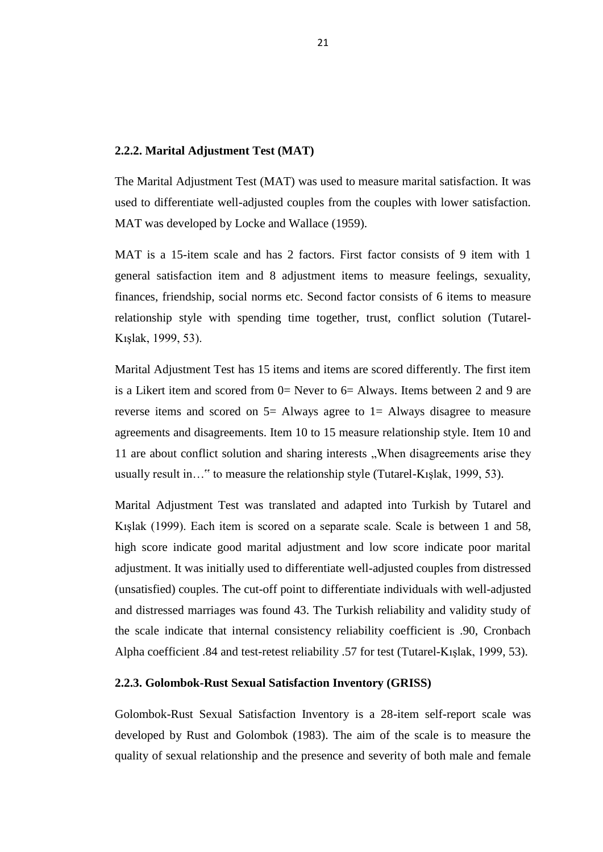(Henderson-King, Veroff, 1994, 509). Anxiety, such as performance anxiety during sexual meeting, would negatively affect sexual stimulation and decontrol and decrease the feeling of pleasure related with them (Rowland et al., 1996, 43).

The relationship between sexual dysfunction and sexual satisfaction has been examined in the literature. Intensity of erectile dysfunction was positively associated with sexual dysfunction (Althof et al., 2010, 204). Younger and older men trouble from erectile dysfunction, notice that erectile dysfunction was related with higher levels of worry about sexual and relationship functioning, lower levels of sexual desire, and higher levels of sexual dissatisfaction. Also, at all levels of erectile dysfunction severity, younger men were more sexually satisfied compared to older men (Gralla et al., 2008, 2647). Sexual dysfunction was examined related to women and existence of a sexual problem can not affect women satisfaction from their sexual function, and it is shown that there is no association between women's sexual dysfunction as desire problem, decrease genital sensation, vaginal dryness, orgasmic disorder, pain and sexual satisfaction (Ferenidou et al., 2008, 632). High frequency of orgasm was related to higher sexual satisfaction especially between women (Basat, 2004, 30). There are a relationship between satisfaction and the variety of sexual activities and sexual satisfaction (Rudd, 2009).

The relationship between religiosity and sexual satisfaction has been examined by some researchers. The religion is not related with sexual satisfaction (Abadjian-Mozian, 2005). Contrarily, religiosity had positive influence on sexuality. Frequent participation of religious services view to show greater levels of satisfaction related to sexuality (Waite, Joyner, 2001, 258).

Sexual communication is related to sexual satisfaction. Dialogue about sexual likes and dislikes positively affect sexual satisfaction (Haavio-Mannila, Kontula, 1997, 399). Communication on the clearance of specific sexual likes and dislikes was associated with development in sexual satisfaction (Byers, Macneil 1997). Couples communication was determinant of measures of women"s sexual satisfaction such as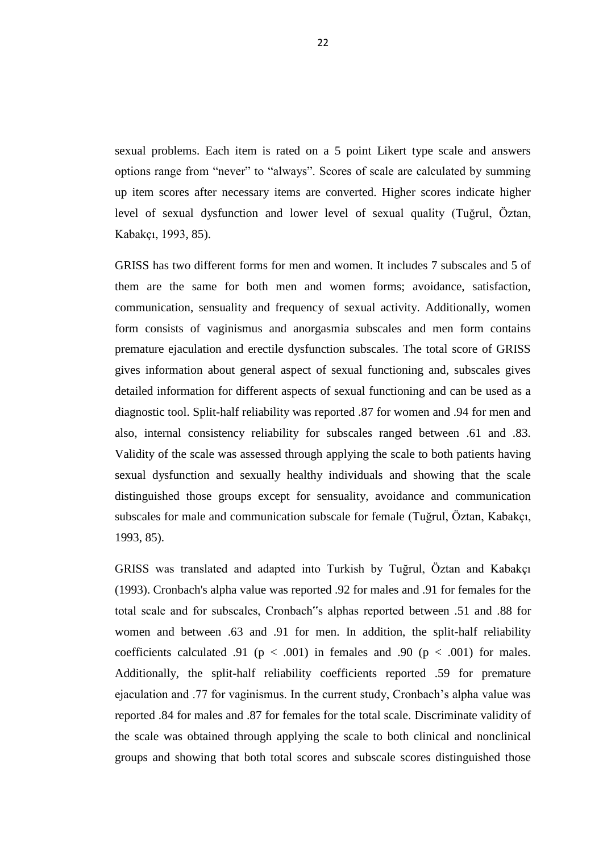satisfaction with continuous genital excitation or relationship, satisfaction within the past three months, and all sexual satisfaction. In couples missing communication proximity, sexual satisfaction was shown to be decreased and as differences between direct sex start strategies of partners are greater, probability of a lack of sexual desire and interest between partners increased. Communication determines sexual satisfaction to the greatest degree in a community pattern of women (Gossman et al., 2003, 178).

## **1.3. Marital Adjustment and Sexual Satisfaction**

One of the elements are that make up a happy marriage adjustment regarding sexual relations in marriage. Specifically, research studies, and most of the elements in a adjustment couples happy marriage. One of the main stated that the sexual satisfaction in their sex life (Ficher et al., 1981, 65).

When we look at the number of work study about marriage and sexuality in our country are noteworthy that very few. The marital adjustment of the individual is closely related to satisfaction received from its fundamental relationship. Sexual satisfaction is one of the major factors affecting marital adjustment (Hulbert et al., 1993, 162). Unsatisfactory marriages, sexual dysfunctions are more prevalent (Uçman, 1982, 3).

The relationship between marital satisfaction and sexual satisfaction endure; however, the strength of this relationship essentially various when other factors such as attachment were explain for. Marital adjustment and sexual satisfaction were closely relationship for anxious individuals, but not for avoidant individuals (Butzer, Campbell, 2008, 150). Frequency of sexual activity was found to be interested to both sexual satisfaction and marital adjustment (Colebrook Seymour III, 1998). Increased marital adjustment was involved to higher levels of sexual satisfaction and less sexual function problems (Witting et al., 2008, 89).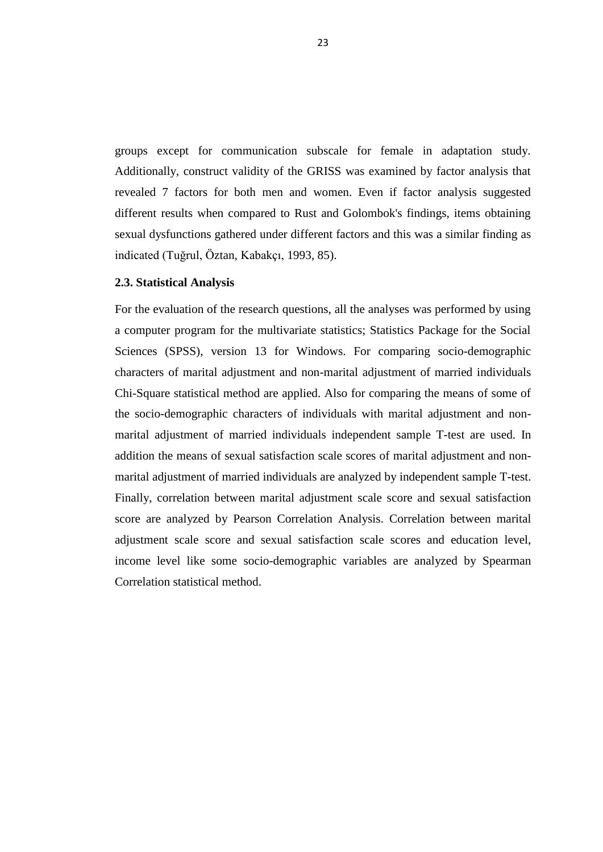Being sexual satisfied cannot conclusion in a satisfactory marital relationship and having a distressed marriage might not predictor the presence of reduce sexual function. Also, women were considered to be more overlook in the case of a sexual dysfunction and they may not take the problem as a resource of an unhappy marital relationship (Samelson, Hannon, 1999, 35).There are an independent relationship between marital satisfaction and sexual satisfaction. Also, without successful communication but with a satisfying sexual relationship between partners, marital adjustment was greater compared to levels of marital adjustment for sexually dissatisfied couples, commit that sexual satisfaction can at least partially fulfill for the negative influence of unsuccessful communication on marital satisfaction (Litzinger, Gordon, 2005, 418).

#### **1.4. The Purpose and Importance of the Study**

The purpose of the study is to analyze the relationship between marital adjustment with sexual satisfaction and socio-demographic characters in marital individuals. Marital adjustment is a topic of investigation in social and clinical psychology. Marital adjustment has been examined with relationship between demographic characters in our country but the relationship between sexual satisfactions has not been indicating enough study. This study is examining the relationship between marital adjustment with sexual satisfaction and demographic characters in marital individuals and indented to contribute to the field. It is believed that the creation of new research facilities to the literature with this study. Additionally this study is expected to be useful to those working in clinical areas and clinicians.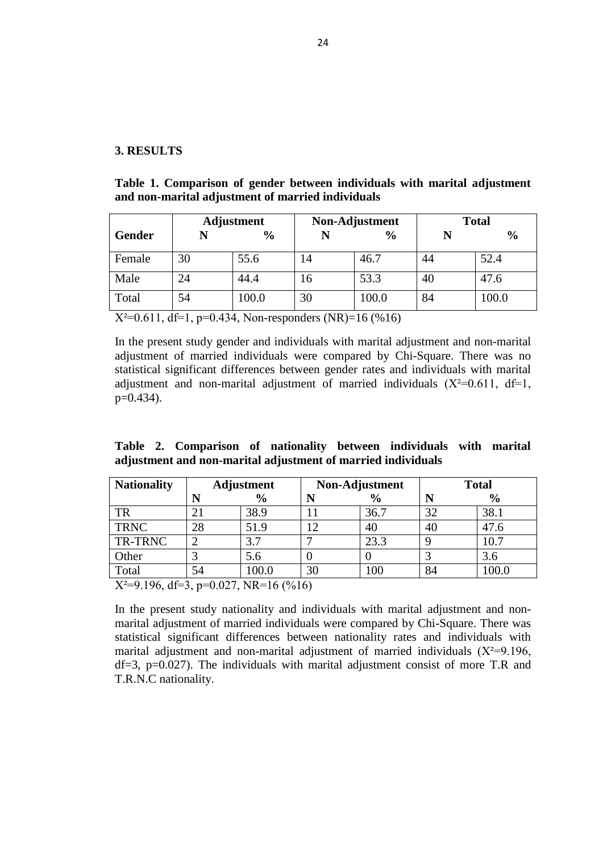# **1.5. Hypothesis of the study**

Marital adjustment has relationship with some socio demographic variables and sexual satisfaction.

If sexual satisfaction is high, marital adjustment is also high.

If education level is high, marital adjustment is also high.

If economic status is high, marital adjustment is also high.

If the year of marriage is increases and marital adjustment increases.

If the number of children is increases and marital adjustment increases.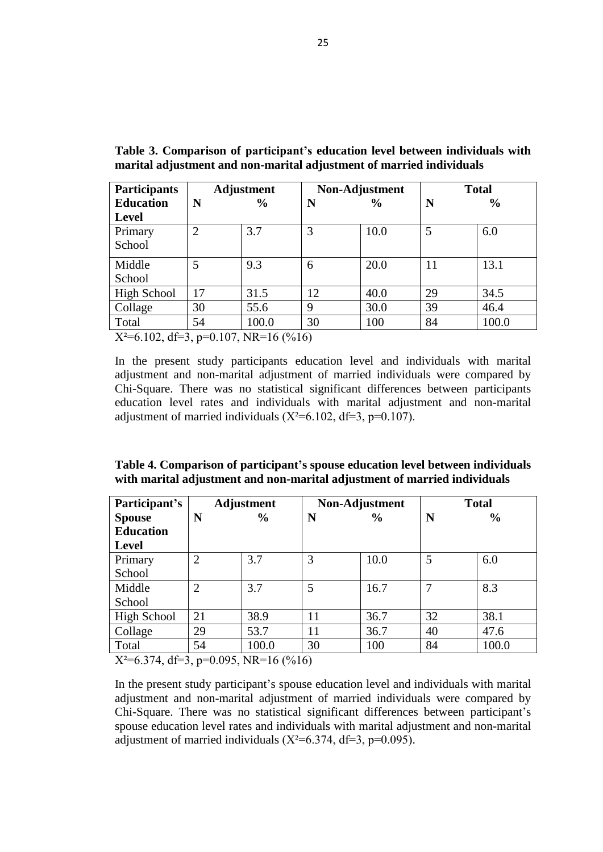# **2. METHOD AND MATERIAL**

#### **2.1. Method of the study**

This study is conducted as Master"s Thesis in Near East University (NEU) in the department of Applied (Clinical) Psychology.

This study applied in the T.R.N.C and participants of study was consisted of 100 married individuals (50 males, 50 females). Participants are married for at least 1 year. Participants are between 18-78 years of age. Participant of the study was voluntary and the participants were selected through snowball sampling procedure. By giving informed consent to the participant their permission was obtained if they were to volunteer to participate in this research. At the same time information about this study is given with information form. During the analysis, 16 of 100 survey were canceled because of participants did not complete or canceled. As a result, the survey of 84 participants was analyzed. The limitation of study was 100 participants selected from T.R.N.C. and this study not covered to all married individuals.

Study survey includes three questionnaires which are Socio-demographic Information Form, Marital Adjustment Test (MAT) and Golombok-Rust Sexual Satisfaction Inventory (GRISS). Questionnaires are applied by researcher to participants and all of three questionnaires took fifteen minutes approximately.

# **2.2. Materials of the study**

# **2.2.1. Socio-demographic information form:**

Socio-demographic information form was prepared according to aim of the study by researcher. Demographic Information Form is utilized to collect information related to various demographic characteristics. Form includes age, gender, nationality, job, education level, socio-economic level, form of marriage, length of marriage and number of children. Also Form includes importance of religion, first sexual experience and etc.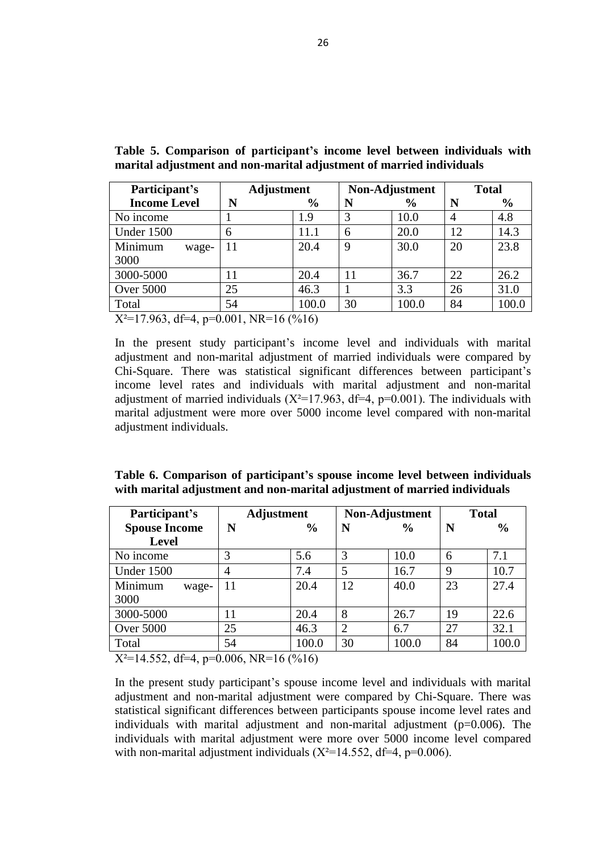## **2.2.2. Marital Adjustment Test (MAT)**

The Marital Adjustment Test (MAT) was used to measure marital satisfaction. It was used to differentiate well-adjusted couples from the couples with lower satisfaction. MAT was developed by Locke and Wallace (1959).

MAT is a 15-item scale and has 2 factors. First factor consists of 9 item with 1 general satisfaction item and 8 adjustment items to measure feelings, sexuality, finances, friendship, social norms etc. Second factor consists of 6 items to measure relationship style with spending time together, trust, conflict solution (Tutarel-Kışlak, 1999, 53).

Marital Adjustment Test has 15 items and items are scored differently. The first item is a Likert item and scored from 0= Never to 6= Always. Items between 2 and 9 are reverse items and scored on 5= Always agree to 1= Always disagree to measure agreements and disagreements. Item 10 to 15 measure relationship style. Item 10 and 11 are about conflict solution and sharing interests "When disagreements arise they usually result in…" to measure the relationship style (Tutarel-Kışlak, 1999, 53).

Marital Adjustment Test was translated and adapted into Turkish by Tutarel and Kışlak (1999). Each item is scored on a separate scale. Scale is between 1 and 58, high score indicate good marital adjustment and low score indicate poor marital adjustment. It was initially used to differentiate well-adjusted couples from distressed (unsatisfied) couples. The cut-off point to differentiate individuals with well-adjusted and distressed marriages was found 43. The Turkish reliability and validity study of the scale indicate that internal consistency reliability coefficient is .90, Cronbach Alpha coefficient .84 and test-retest reliability .57 for test (Tutarel-Kışlak, 1999, 53).

# **2.2.3. Golombok-Rust Sexual Satisfaction Inventory (GRISS)**

Golombok-Rust Sexual Satisfaction Inventory is a 28-item self-report scale was developed by Rust and Golombok (1983). The aim of the scale is to measure the quality of sexual relationship and the presence and severity of both male and female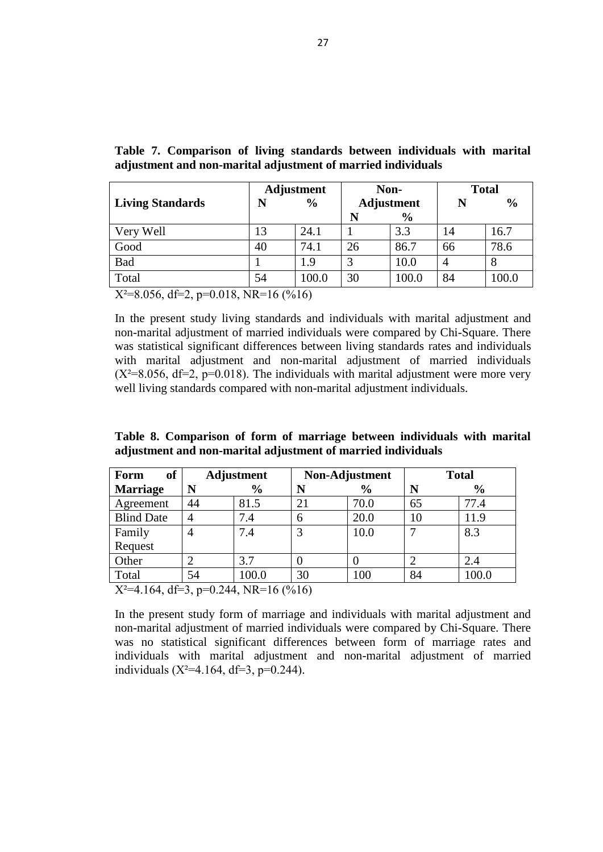sexual problems. Each item is rated on a 5 point Likert type scale and answers options range from "never" to "always". Scores of scale are calculated by summing up item scores after necessary items are converted. Higher scores indicate higher level of sexual dysfunction and lower level of sexual quality (Tuğrul, Öztan, Kabakçı, 1993, 85).

GRISS has two different forms for men and women. It includes 7 subscales and 5 of them are the same for both men and women forms; avoidance, satisfaction, communication, sensuality and frequency of sexual activity. Additionally, women form consists of vaginismus and anorgasmia subscales and men form contains premature ejaculation and erectile dysfunction subscales. The total score of GRISS gives information about general aspect of sexual functioning and, subscales gives detailed information for different aspects of sexual functioning and can be used as a diagnostic tool. Split-half reliability was reported .87 for women and .94 for men and also, internal consistency reliability for subscales ranged between .61 and .83. Validity of the scale was assessed through applying the scale to both patients having sexual dysfunction and sexually healthy individuals and showing that the scale distinguished those groups except for sensuality, avoidance and communication subscales for male and communication subscale for female (Tuğrul, Öztan, Kabakçı, 1993, 85).

GRISS was translated and adapted into Turkish by Tuğrul, Öztan and Kabakçı (1993). Cronbach's alpha value was reported .92 for males and .91 for females for the total scale and for subscales, Cronbach"s alphas reported between .51 and .88 for women and between .63 and .91 for men. In addition, the split-half reliability coefficients calculated .91 ( $p < .001$ ) in females and .90 ( $p < .001$ ) for males. Additionally, the split-half reliability coefficients reported .59 for premature ejaculation and .77 for vaginismus. In the current study, Cronbach"s alpha value was reported .84 for males and .87 for females for the total scale. Discriminate validity of the scale was obtained through applying the scale to both clinical and nonclinical groups and showing that both total scores and subscale scores distinguished those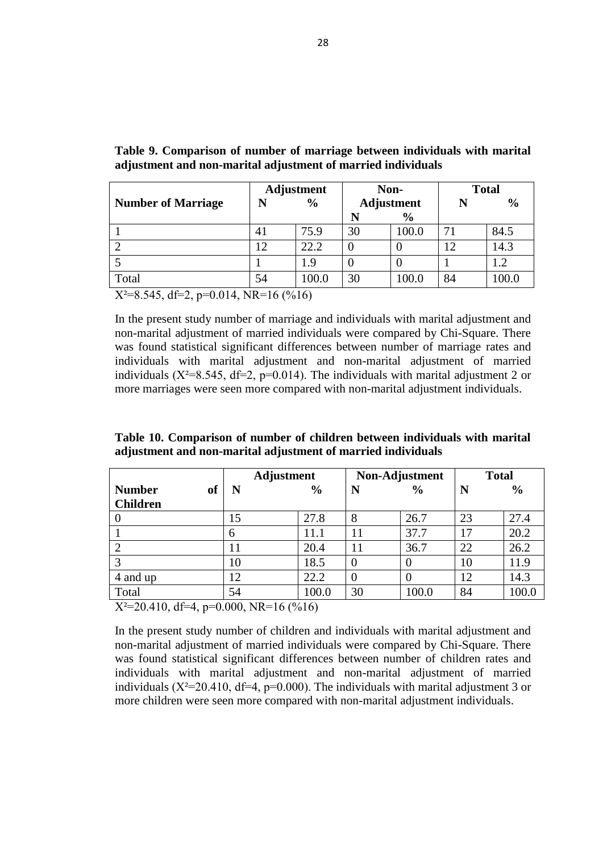groups except for communication subscale for female in adaptation study. Additionally, construct validity of the GRISS was examined by factor analysis that revealed 7 factors for both men and women. Even if factor analysis suggested different results when compared to Rust and Golombok's findings, items obtaining sexual dysfunctions gathered under different factors and this was a similar finding as indicated (Tuğrul, Öztan, Kabakçı, 1993, 85).

# **2.3. Statistical Analysis**

For the evaluation of the research questions, all the analyses was performed by using a computer program for the multivariate statistics; Statistics Package for the Social Sciences (SPSS), version 13 for Windows. For comparing socio-demographic characters of marital adjustment and non-marital adjustment of married individuals Chi-Square statistical method are applied. Also for comparing the means of some of the socio-demographic characters of individuals with marital adjustment and nonmarital adjustment of married individuals independent sample T-test are used. In addition the means of sexual satisfaction scale scores of marital adjustment and nonmarital adjustment of married individuals are analyzed by independent sample T-test. Finally, correlation between marital adjustment scale score and sexual satisfaction score are analyzed by Pearson Correlation Analysis. Correlation between marital adjustment scale score and sexual satisfaction scale scores and education level, income level like some socio-demographic variables are analyzed by Spearman Correlation statistical method.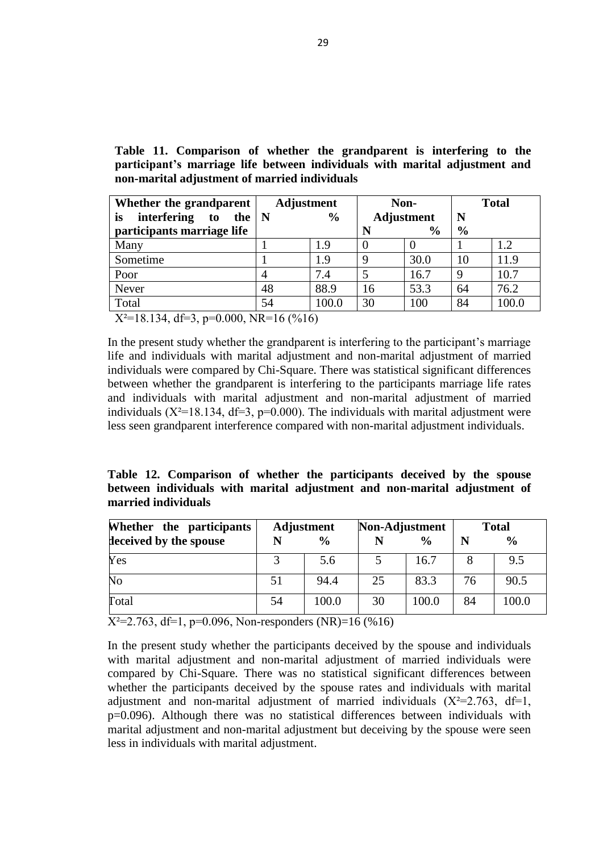# **3. RESULTS**

**Table 1. Comparison of gender between individuals with marital adjustment and non-marital adjustment of married individuals**

|        |    | <b>Adjustment</b> | Non-Adjustment |               | <b>Total</b> |               |  |
|--------|----|-------------------|----------------|---------------|--------------|---------------|--|
| Gender | N  | $\frac{0}{0}$     |                | $\frac{0}{0}$ |              | $\frac{6}{9}$ |  |
| Female | 30 | 55.6              | 14             | 46.7          | 44           | 52.4          |  |
| Male   | 24 | 44.4              | 16             | 53.3          | 40           | 47.6          |  |
| Total  | 54 | 100.0             | 30             | 100.0         | 84           | 100.0         |  |

 $X^2=0.611$ , df=1, p=0.434, Non-responders (NR)=16 (%16)

In the present study gender and individuals with marital adjustment and non-marital adjustment of married individuals were compared by Chi-Square. There was no statistical significant differences between gender rates and individuals with marital adjustment and non-marital adjustment of married individuals  $(X^2=0.611, df=1,$  $p=0.434$ ).

**Table 2. Comparison of nationality between individuals with marital adjustment and non-marital adjustment of married individuals**

| <b>Nationality</b> | <b>Adjustment</b> |               | Non-Adjustment |               |    | <b>Total</b>  |
|--------------------|-------------------|---------------|----------------|---------------|----|---------------|
|                    |                   | $\frac{6}{6}$ |                | $\frac{6}{6}$ | N  | $\frac{6}{9}$ |
| <b>TR</b>          |                   | 38.9          |                | 36.7          | 32 | 38.1          |
| <b>TRNC</b>        | 28                | 51.9          | റ              | 40            | 40 | 47.6          |
| TR-TRNC            |                   | 3.7           |                | 23.3          |    | 10.7          |
| Other              |                   | 5.6           |                |               |    | 3.6           |
| Total              | 54                | 100.0         | 30             | 100           | 84 | 100.0         |

 $X^2=9.196$ , df=3, p=0.027, NR=16 (%16)

In the present study nationality and individuals with marital adjustment and nonmarital adjustment of married individuals were compared by Chi-Square. There was statistical significant differences between nationality rates and individuals with marital adjustment and non-marital adjustment of married individuals  $(X^2=9.196,$  $df=3$ ,  $p=0.027$ ). The individuals with marital adjustment consist of more T.R and T.R.N.C nationality.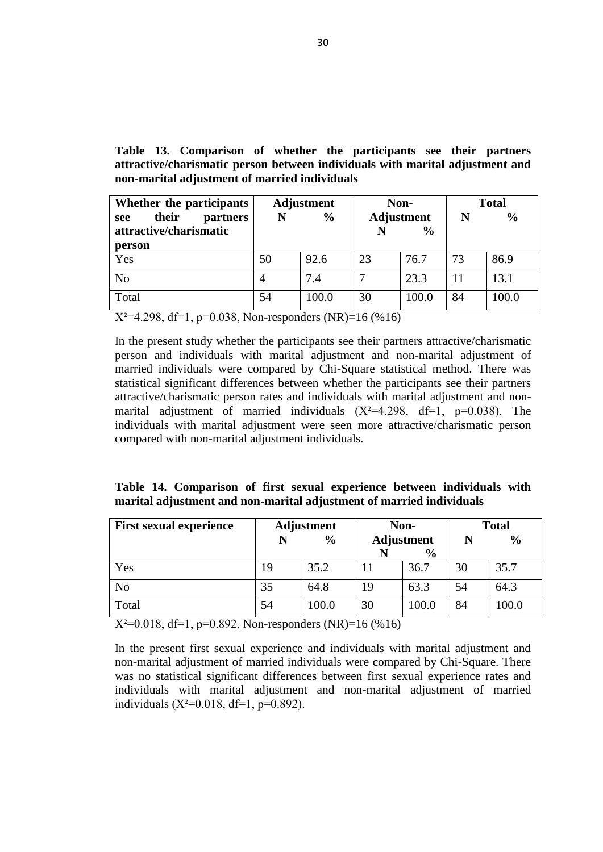| <b>Participants</b>                       | <b>Adjustment</b> |               |                    | Non-Adjustment | <b>Total</b> |               |  |
|-------------------------------------------|-------------------|---------------|--------------------|----------------|--------------|---------------|--|
| <b>Education</b>                          | N                 | $\frac{0}{0}$ | N<br>$\frac{0}{0}$ |                | N            | $\frac{6}{6}$ |  |
| <b>Level</b>                              |                   |               |                    |                |              |               |  |
| Primary                                   | $\overline{2}$    | 3.7           | 3                  | 10.0           | 5            | 6.0           |  |
| School                                    |                   |               |                    |                |              |               |  |
| Middle                                    | 5                 | 9.3           | 6                  | 20.0           | 11           | 13.1          |  |
| School                                    |                   |               |                    |                |              |               |  |
| High School                               | 17                | 31.5          | 12                 | 40.0           | 29           | 34.5          |  |
| Collage                                   | 30                | 55.6          | 9                  | 30.0           | 39           | 46.4          |  |
| Total                                     | 54                | 100.0         | 30                 | 100            | 84           | 100.0         |  |
| $V^2 = 6.102$ df -2 n=0.107 ND -16 (0/16) |                   |               |                    |                |              |               |  |

**Table 3. Comparison of participant's education level between individuals with marital adjustment and non-marital adjustment of married individuals**

 $X^2=6.102$ , df=3, p=0.107, NR=16 (%16)

In the present study participants education level and individuals with marital adjustment and non-marital adjustment of married individuals were compared by Chi-Square. There was no statistical significant differences between participants education level rates and individuals with marital adjustment and non-marital adjustment of married individuals  $(X^2=6.102, df=3, p=0.107)$ .

**Table 4. Comparison of participant's spouse education level between individuals with marital adjustment and non-marital adjustment of married individuals**

| Participant's    |                | <b>Adjustment</b> | Non-Adjustment |               |    | <b>Total</b>  |
|------------------|----------------|-------------------|----------------|---------------|----|---------------|
| <b>Spouse</b>    | N              | $\frac{6}{6}$     | N              | $\frac{0}{0}$ | N  | $\frac{0}{0}$ |
| <b>Education</b> |                |                   |                |               |    |               |
| <b>Level</b>     |                |                   |                |               |    |               |
| Primary          | $\overline{2}$ | 3.7               | 3              | 10.0          | 5  | 6.0           |
| School           |                |                   |                |               |    |               |
| Middle           | $\overline{2}$ | 3.7               | 5              | 16.7          | 7  | 8.3           |
| School           |                |                   |                |               |    |               |
| High School      | 21             | 38.9              | 11             | 36.7          | 32 | 38.1          |
| Collage          | 29             | 53.7              | 11             | 36.7          | 40 | 47.6          |
| Total            | 54             | 100.0             | 30             | 100           | 84 | 100.0         |

 $X^2=6.374$ , df=3, p=0.095, NR=16 (%16)

In the present study participant's spouse education level and individuals with marital adjustment and non-marital adjustment of married individuals were compared by Chi-Square. There was no statistical significant differences between participant"s spouse education level rates and individuals with marital adjustment and non-marital adjustment of married individuals  $(X^2=6.374, df=3, p=0.095)$ .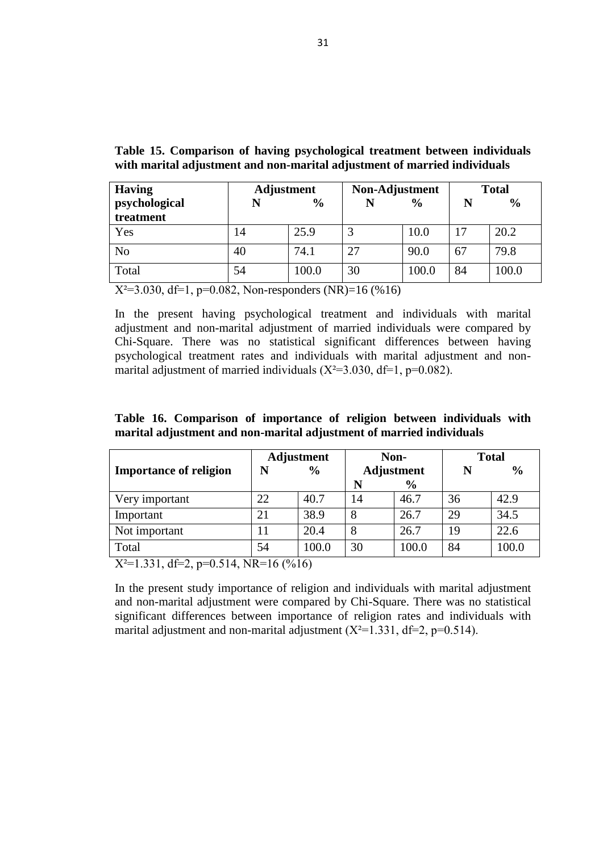| Participant's       | <b>Adjustment</b> |               | Non-Adjustment |               |    | <b>Total</b>  |  |
|---------------------|-------------------|---------------|----------------|---------------|----|---------------|--|
| <b>Income Level</b> | N                 | $\frac{6}{9}$ | N              | $\frac{6}{9}$ | N  | $\frac{6}{9}$ |  |
| No income           |                   | 1.9           | 3              | 10.0          | 4  | 4.8           |  |
| Under 1500          | 6                 | 11.1          | 6              | 20.0          | 12 | 14.3          |  |
| Minimum<br>wage-    | 11                | 20.4          | 9              | 30.0          | 20 | 23.8          |  |
| 3000                |                   |               |                |               |    |               |  |
| 3000-5000           | 11                | 20.4          | 11             | 36.7          | 22 | 26.2          |  |
| <b>Over 5000</b>    | 25                | 46.3          |                | 3.3           | 26 | 31.0          |  |
| Total               | 54                | 100.0         | 30             | 100.0         | 84 | 100.0         |  |

**Table 5. Comparison of participant's income level between individuals with marital adjustment and non-marital adjustment of married individuals**

 $X^2=17.963$ , df=4, p=0.001, NR=16 (%16)

In the present study participant's income level and individuals with marital adjustment and non-marital adjustment of married individuals were compared by Chi-Square. There was statistical significant differences between participant"s income level rates and individuals with marital adjustment and non-marital adjustment of married individuals  $(X^2=17.963, df=4, p=0.001)$ . The individuals with marital adjustment were more over 5000 income level compared with non-marital adjustment individuals.

| Table 6. Comparison of participant's spouse income level between individuals |  |  |
|------------------------------------------------------------------------------|--|--|
| with marital adjustment and non-marital adjustment of married individuals    |  |  |

| Participant's        | <b>Adjustment</b> |                    | Non-Adjustment |               | <b>Total</b> |               |
|----------------------|-------------------|--------------------|----------------|---------------|--------------|---------------|
| <b>Spouse Income</b> | N                 | $\frac{0}{0}$<br>N |                | $\frac{6}{9}$ | N            | $\frac{0}{0}$ |
| <b>Level</b>         |                   |                    |                |               |              |               |
| No income            |                   | 5.6                | 3              | 10.0          | 6            | 7.1           |
| Under 1500           | 4                 | 7.4                | 5              | 16.7          | 9            | 10.7          |
| Minimum<br>wage-     | 11                | 20.4               | 12             | 40.0          | 23           | 27.4          |
| 3000                 |                   |                    |                |               |              |               |
| 3000-5000            | 11                | 20.4               | 8              | 26.7          | 19           | 22.6          |
| <b>Over 5000</b>     | 25                | 46.3               | 2              | 6.7           | 27           | 32.1          |
| Total                | 54                | 100.0              | 30             | 100.0         | 84           | 100.0         |

 $X^2=14.552$ , df=4, p=0.006, NR=16 (%16)

In the present study participant's spouse income level and individuals with marital adjustment and non-marital adjustment were compared by Chi-Square. There was statistical significant differences between participants spouse income level rates and individuals with marital adjustment and non-marital adjustment  $(p=0.006)$ . The individuals with marital adjustment were more over 5000 income level compared with non-marital adjustment individuals  $(X^2=14.552, df=4, p=0.006)$ .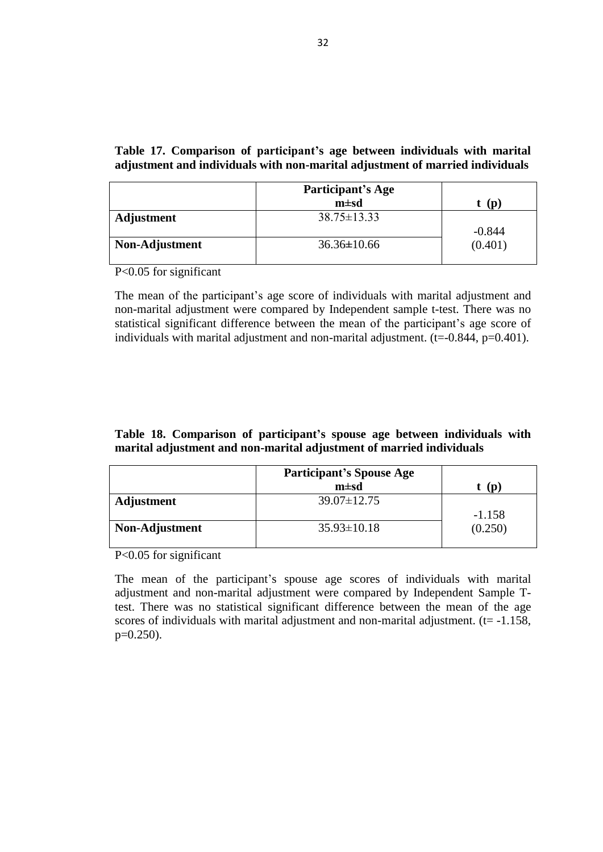|                         | <b>Adjustment</b> |               | Non- |                   | <b>Total</b> |               |
|-------------------------|-------------------|---------------|------|-------------------|--------------|---------------|
| <b>Living Standards</b> | N                 | $\frac{0}{0}$ |      | <b>Adjustment</b> | N            | $\frac{6}{9}$ |
|                         |                   |               | N    | $\frac{0}{0}$     |              |               |
| Very Well               | 13                | 24.1          |      | 3.3               | 14           | 16.7          |
| Good                    | 40                | 74.1          | 26   | 86.7              | 66           | 78.6          |
| Bad                     |                   | 1.9           | 3    | 10.0              | 4            | 8             |
| Total                   | 54                | 100.0         | 30   | 100.0             | 84           | 100.0         |

**Table 7. Comparison of living standards between individuals with marital adjustment and non-marital adjustment of married individuals**

 $X^2=8.056$ , df=2, p=0.018, NR=16 (%16)

In the present study living standards and individuals with marital adjustment and non-marital adjustment of married individuals were compared by Chi-Square. There was statistical significant differences between living standards rates and individuals with marital adjustment and non-marital adjustment of married individuals  $(X^2=8.056, df=2, p=0.018)$ . The individuals with marital adjustment were more very well living standards compared with non-marital adjustment individuals.

**Table 8. Comparison of form of marriage between individuals with marital adjustment and non-marital adjustment of married individuals**

| <b>Adjustment</b> |                                                                                                              |    |                              |                | <b>Total</b>  |
|-------------------|--------------------------------------------------------------------------------------------------------------|----|------------------------------|----------------|---------------|
| N                 | $\frac{6}{6}$                                                                                                | N  | $\frac{6}{9}$                | N              | $\frac{6}{6}$ |
| 44                | 81.5                                                                                                         |    | 70.0                         | 65             | 77.4          |
| 4                 | 7.4                                                                                                          | 6  | 20.0                         | 10             | 11.9          |
|                   | 7.4                                                                                                          | 3  | 10.0                         |                | 8.3           |
|                   |                                                                                                              |    |                              |                |               |
|                   | 3.7                                                                                                          |    |                              |                | 2.4           |
| 54                | 100.0                                                                                                        | 30 | 100                          | 84             | 100.0         |
|                   | $\mathbf{X}^{T2}$ $\mathbf{A}$ $\mathbf{A}$ $\mathbf{C}$ $\mathbf{A}$ $\mathbf{A}$ $\mathbf{C}$ $\mathbf{A}$ |    | $0.244$ MP $16/0.11$ $\odot$ | Non-Adjustment |               |

 $X^2=4.164$ , df=3, p=0.244, NR=16 (%16)

In the present study form of marriage and individuals with marital adjustment and non-marital adjustment of married individuals were compared by Chi-Square. There was no statistical significant differences between form of marriage rates and individuals with marital adjustment and non-marital adjustment of married individuals  $(X^2=4.164, df=3, p=0.244)$ .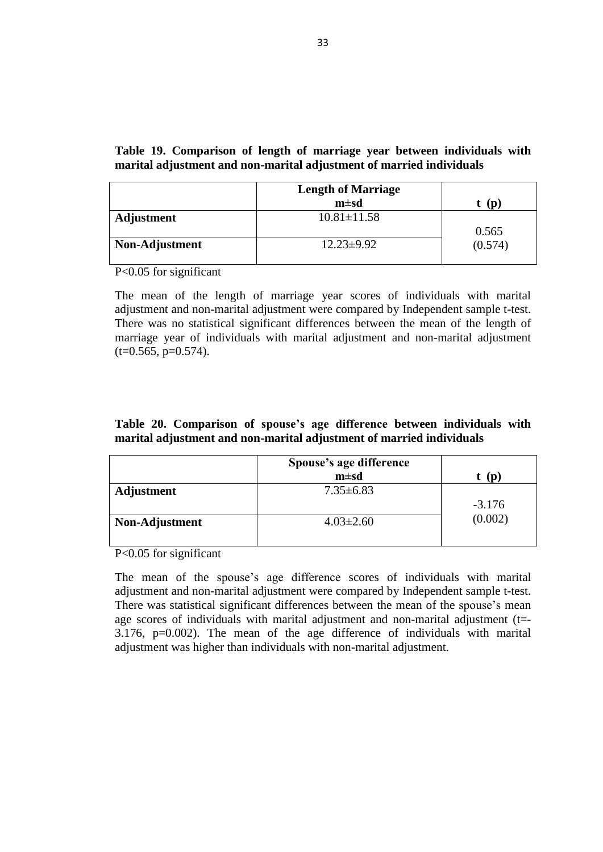|                           |          | <b>Adjustment</b> |          | Non-              |            | <b>Total</b>  |  |
|---------------------------|----------|-------------------|----------|-------------------|------------|---------------|--|
| <b>Number of Marriage</b> |          | $\frac{0}{0}$     |          | <b>Adjustment</b> | N          | $\frac{6}{6}$ |  |
|                           |          |                   | N        | $\frac{6}{9}$     |            |               |  |
|                           | 41       | 75.9              | 30       | 100.0             | $\sigma_1$ | 84.5          |  |
|                           | $\Omega$ | 22.2              | $\theta$ |                   | 12         | 14.3          |  |
|                           |          | 1.9               | $\theta$ |                   |            | 1.2           |  |
| Total                     | 54       | 100.0             | 30       | 100.0             | 84         | 100.0         |  |

**Table 9. Comparison of number of marriage between individuals with marital adjustment and non-marital adjustment of married individuals**

 $X^2=8.545$ , df=2, p=0.014, NR=16 (%16)

In the present study number of marriage and individuals with marital adjustment and non-marital adjustment of married individuals were compared by Chi-Square. There was found statistical significant differences between number of marriage rates and individuals with marital adjustment and non-marital adjustment of married individuals ( $X^2=8.545$ , df=2, p=0.014). The individuals with marital adjustment 2 or more marriages were seen more compared with non-marital adjustment individuals.

| Table 10. Comparison of number of children between individuals with marital |  |
|-----------------------------------------------------------------------------|--|
| adjustment and non-marital adjustment of married individuals                |  |

|                     |    | <b>Adjustment</b> |    | Non-Adjustment |    | <b>Total</b>  |
|---------------------|----|-------------------|----|----------------|----|---------------|
| of<br><b>Number</b> | N  | $\frac{0}{0}$     | N  | $\frac{6}{9}$  | N  | $\frac{6}{9}$ |
| <b>Children</b>     |    |                   |    |                |    |               |
|                     | 15 | 27.8              | 8  | 26.7           | 23 | 27.4          |
|                     | 6  | 11.1              | 11 | 37.7           | 17 | 20.2          |
| $\overline{2}$      |    | 20.4              | 11 | 36.7           | 22 | 26.2          |
|                     | 10 | 18.5              | 0  |                | 10 | 11.9          |
| 4 and up            | 12 | 22.2              | 0  | 0              | 12 | 14.3          |
| Total               | 54 | 100.0             | 30 | 100.0          | 84 | 100.0         |

 $X^2=20.410$ , df=4, p=0.000, NR=16 (%16)

In the present study number of children and individuals with marital adjustment and non-marital adjustment of married individuals were compared by Chi-Square. There was found statistical significant differences between number of children rates and individuals with marital adjustment and non-marital adjustment of married individuals ( $X^2=20.410$ , df=4, p=0.000). The individuals with marital adjustment 3 or more children were seen more compared with non-marital adjustment individuals.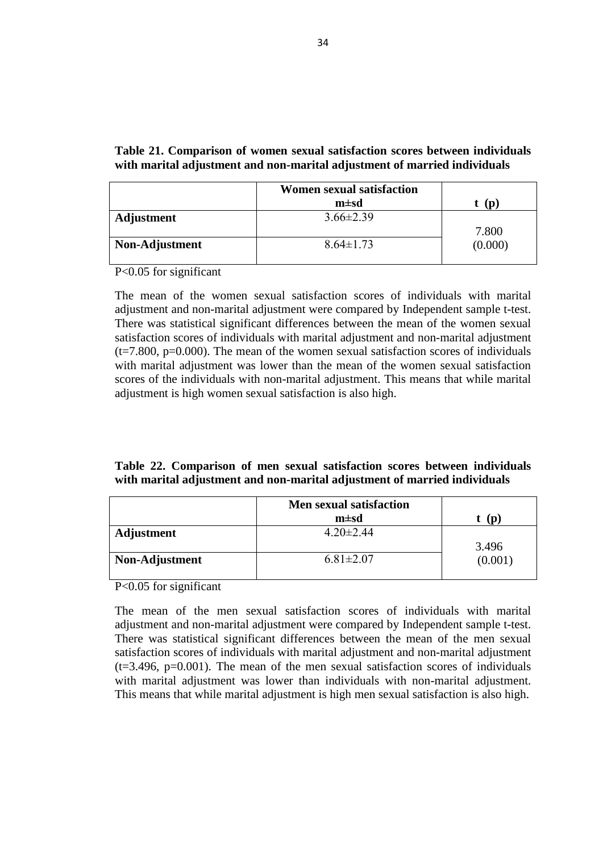**Table 11. Comparison of whether the grandparent is interfering to the participant's marriage life between individuals with marital adjustment and non-marital adjustment of married individuals**

| Whether the grandparent                         | <b>Adjustment</b> |       |                   | <b>Total</b><br>Non- |               |       |
|-------------------------------------------------|-------------------|-------|-------------------|----------------------|---------------|-------|
| <i>interfering</i><br>the $\vert$ N<br>to<br>is | $\frac{6}{9}$     |       | <b>Adjustment</b> |                      | N             |       |
| participants marriage life                      |                   |       | N                 | $\frac{0}{0}$        | $\frac{0}{0}$ |       |
| Many                                            |                   | 1.9   | $\theta$          |                      |               | 1.2   |
| Sometime                                        |                   | 1.9   | 9                 | 30.0                 | 10            | 11.9  |
| Poor                                            |                   | 7.4   | 5                 | 16.7                 | 9             | 10.7  |
| Never                                           | 48                | 88.9  | 16                | 53.3                 | 64            | 76.2  |
| Total                                           | 54                | 100.0 | 30                | 100                  | 84            | 100.0 |

 $X^2=18.134$ , df=3, p=0.000, NR=16 (%16)

In the present study whether the grandparent is interfering to the participant's marriage life and individuals with marital adjustment and non-marital adjustment of married individuals were compared by Chi-Square. There was statistical significant differences between whether the grandparent is interfering to the participants marriage life rates and individuals with marital adjustment and non-marital adjustment of married individuals ( $X^2=18.134$ ,  $df=3$ ,  $p=0.000$ ). The individuals with marital adjustment were less seen grandparent interference compared with non-marital adjustment individuals.

**Table 12. Comparison of whether the participants deceived by the spouse between individuals with marital adjustment and non-marital adjustment of married individuals**

| Whether the participants |    | Adjustment    | Non-Adjustment<br><b>Total</b> |               |    |               |
|--------------------------|----|---------------|--------------------------------|---------------|----|---------------|
| deceived by the spouse   |    | $\frac{0}{0}$ |                                | $\frac{0}{0}$ |    | $\frac{6}{6}$ |
| Yes                      |    | 5.6           |                                | 16.7          |    | 9.5           |
| N <sub>o</sub>           | 51 | 94.4          | 25                             | 83.3          | 76 | 90.5          |
| <b>Total</b>             | 54 | 100.0         | 30                             | 100.0         | 84 | 100.0         |

 $X^2=2.763$ , df=1, p=0.096, Non-responders (NR)=16 (%16)

In the present study whether the participants deceived by the spouse and individuals with marital adjustment and non-marital adjustment of married individuals were compared by Chi-Square. There was no statistical significant differences between whether the participants deceived by the spouse rates and individuals with marital adjustment and non-marital adjustment of married individuals  $(X^2=2.763, df=1,$ p=0.096). Although there was no statistical differences between individuals with marital adjustment and non-marital adjustment but deceiving by the spouse were seen less in individuals with marital adjustment.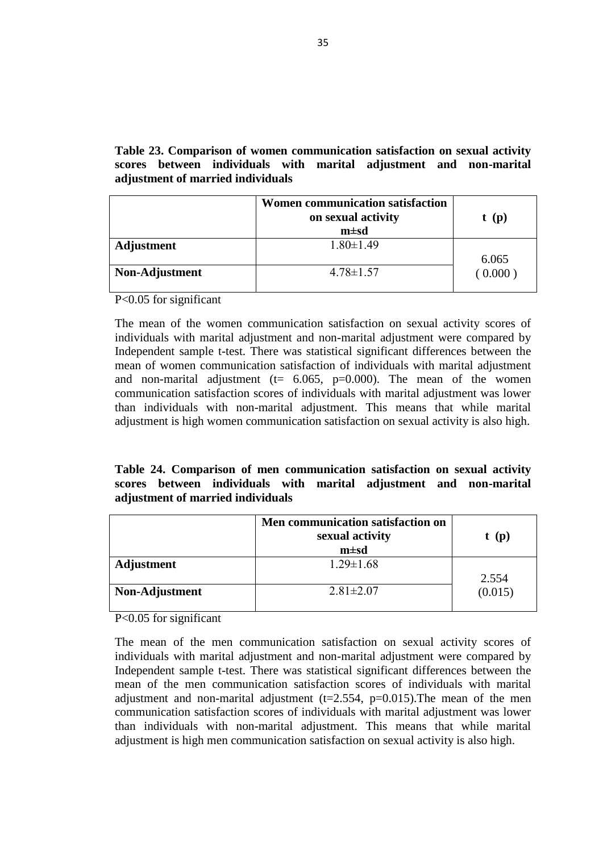**Table 13. Comparison of whether the participants see their partners attractive/charismatic person between individuals with marital adjustment and non-marital adjustment of married individuals**

| Whether the participants                                            |    | Adjustment    | Non- |                                    | <b>Total</b> |               |  |
|---------------------------------------------------------------------|----|---------------|------|------------------------------------|--------------|---------------|--|
| their<br><b>partners</b><br>see<br>attractive/charismatic<br>person | N  | $\frac{0}{0}$ | N    | <b>Adjustment</b><br>$\frac{6}{9}$ | N            | $\frac{6}{9}$ |  |
| Yes                                                                 | 50 | 92.6          | 23   | 76.7                               | 73           | 86.9          |  |
| No                                                                  | 4  | 7.4           |      | 23.3                               |              | 13.1          |  |
| Total                                                               | 54 | 100.0         | 30   | 100.0                              | 84           | 100.0         |  |

 $X^2=4.298$ , df=1, p=0.038, Non-responders (NR)=16 (%16)

In the present study whether the participants see their partners attractive/charismatic person and individuals with marital adjustment and non-marital adjustment of married individuals were compared by Chi-Square statistical method. There was statistical significant differences between whether the participants see their partners attractive/charismatic person rates and individuals with marital adjustment and nonmarital adjustment of married individuals  $(X^2=4.298, df=1, p=0.038)$ . The individuals with marital adjustment were seen more attractive/charismatic person compared with non-marital adjustment individuals.

**Table 14. Comparison of first sexual experience between individuals with marital adjustment and non-marital adjustment of married individuals**

| <b>First sexual experience</b> |               | <b>Adjustment</b> |            | Non-          |    | <b>Total</b>  |
|--------------------------------|---------------|-------------------|------------|---------------|----|---------------|
|                                | $\frac{0}{0}$ |                   | Adjustment |               |    | $\frac{6}{9}$ |
|                                |               |                   |            | $\frac{6}{9}$ |    |               |
| Yes                            | 19            | 35.2              |            | 36.7          | 30 | 35.7          |
| N <sub>o</sub>                 | 35            | 64.8              | 19         | 63.3          | 54 | 64.3          |
| Total                          | 54            | 100.0             | 30         | 100.0         | 84 | 100.0         |

 $X^2=0.018$ , df=1, p=0.892, Non-responders (NR)=16 (%16)

In the present first sexual experience and individuals with marital adjustment and non-marital adjustment of married individuals were compared by Chi-Square. There was no statistical significant differences between first sexual experience rates and individuals with marital adjustment and non-marital adjustment of married individuals  $(X^2=0.018, df=1, p=0.892)$ .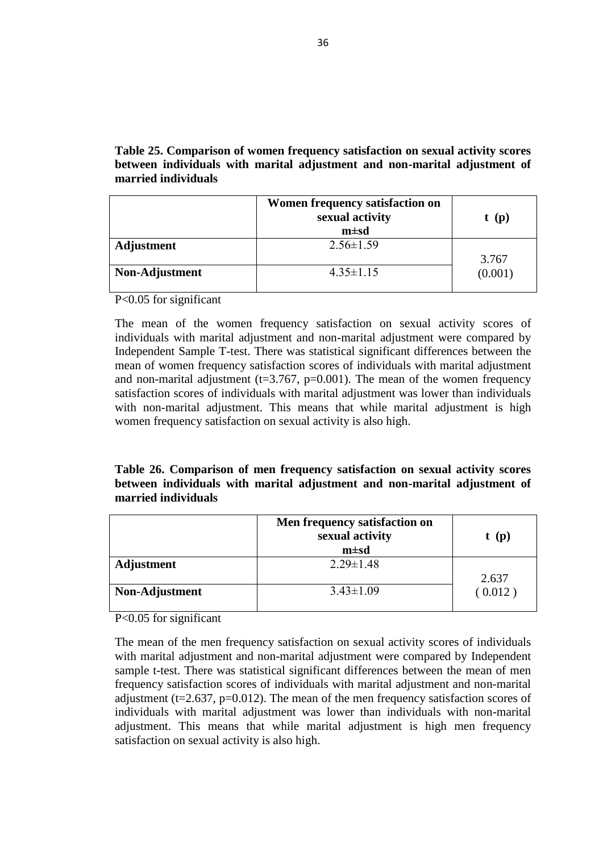| <b>Having</b>              | Adjustment |               | Non-Adjustment |               |    | <b>Total</b><br>$\frac{0}{0}$<br>20.2 |  |
|----------------------------|------------|---------------|----------------|---------------|----|---------------------------------------|--|
| psychological<br>treatment |            | $\frac{6}{9}$ |                | $\frac{6}{6}$ | N  |                                       |  |
| Yes                        | 14         | 25.9          |                | 10.0          |    |                                       |  |
| No                         | 40         | 74.1          | 27             | 90.0          | 67 | 79.8                                  |  |
| Total                      | 54         | 100.0         | 30             | 100.0         | 84 | 100.0                                 |  |

**Table 15. Comparison of having psychological treatment between individuals with marital adjustment and non-marital adjustment of married individuals**

 $X^2=3.030$ , df=1, p=0.082, Non-responders (NR)=16 (%16)

In the present having psychological treatment and individuals with marital adjustment and non-marital adjustment of married individuals were compared by Chi-Square. There was no statistical significant differences between having psychological treatment rates and individuals with marital adjustment and nonmarital adjustment of married individuals  $(X^2=3.030, df=1, p=0.082)$ .

|  | Table 16. Comparison of importance of religion between individuals with |  |  |  |  |
|--|-------------------------------------------------------------------------|--|--|--|--|
|  | marital adjustment and non-marital adjustment of married individuals    |  |  |  |  |

|                               |    | <b>Adjustment</b> |                   | Non-          | <b>Total</b> |               |
|-------------------------------|----|-------------------|-------------------|---------------|--------------|---------------|
| <b>Importance of religion</b> | N  | $\frac{0}{0}$     | <b>Adjustment</b> |               | N            | $\frac{6}{9}$ |
|                               |    |                   | N                 | $\frac{6}{9}$ |              |               |
| Very important                | 22 | 40.7              | 14                | 46.7          | 36           | 42.9          |
| Important                     | 21 | 38.9              | 8                 | 26.7          | 29           | 34.5          |
| Not important                 | 11 | 20.4              | 8                 | 26.7          | 19           | 22.6          |
| Total                         | 54 | 100.0             | 30<br>100.0       |               | 84           | 100.0         |

 $X^2=1.331$ , df=2, p=0.514, NR=16 (%16)

In the present study importance of religion and individuals with marital adjustment and non-marital adjustment were compared by Chi-Square. There was no statistical significant differences between importance of religion rates and individuals with marital adjustment and non-marital adjustment  $(X^2=1.331, df=2, p=0.514)$ .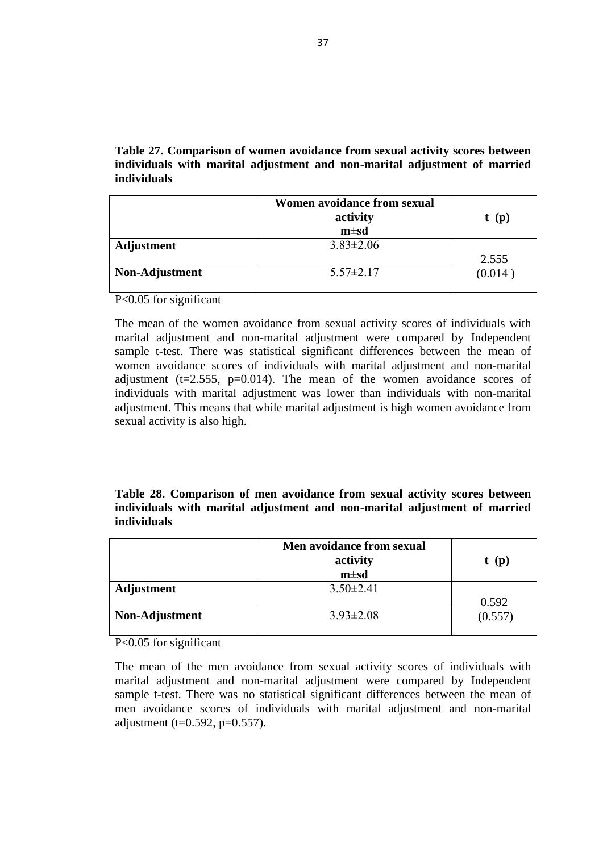|                   | Participant's Age |          |
|-------------------|-------------------|----------|
|                   | $m \pm sd$        | D        |
| <b>Adjustment</b> | $38.75 \pm 13.33$ |          |
|                   |                   | $-0.844$ |
| Non-Adjustment    | $36.36 \pm 10.66$ | (0.401)  |
|                   |                   |          |

**Table 17. Comparison of participant's age between individuals with marital adjustment and individuals with non-marital adjustment of married individuals**

P<0.05 for significant

The mean of the participant's age score of individuals with marital adjustment and non-marital adjustment were compared by Independent sample t-test. There was no statistical significant difference between the mean of the participant's age score of individuals with marital adjustment and non-marital adjustment.  $(t=0.844, p=0.401)$ .

|  |  | Table 18. Comparison of participant's spouse age between individuals with |  |  |  |
|--|--|---------------------------------------------------------------------------|--|--|--|
|  |  | marital adjustment and non-marital adjustment of married individuals      |  |  |  |

|                   | <b>Participant's Spouse Age</b> |                     |
|-------------------|---------------------------------|---------------------|
|                   | $m \pm sd$                      | (D                  |
| <b>Adjustment</b> | $39.07 \pm 12.75$               |                     |
| Non-Adjustment    | $35.93 \pm 10.18$               | $-1.158$<br>(0.250) |

P<0.05 for significant

The mean of the participant's spouse age scores of individuals with marital adjustment and non-marital adjustment were compared by Independent Sample Ttest. There was no statistical significant difference between the mean of the age scores of individuals with marital adjustment and non-marital adjustment.  $(t= -1.158$ , p=0.250).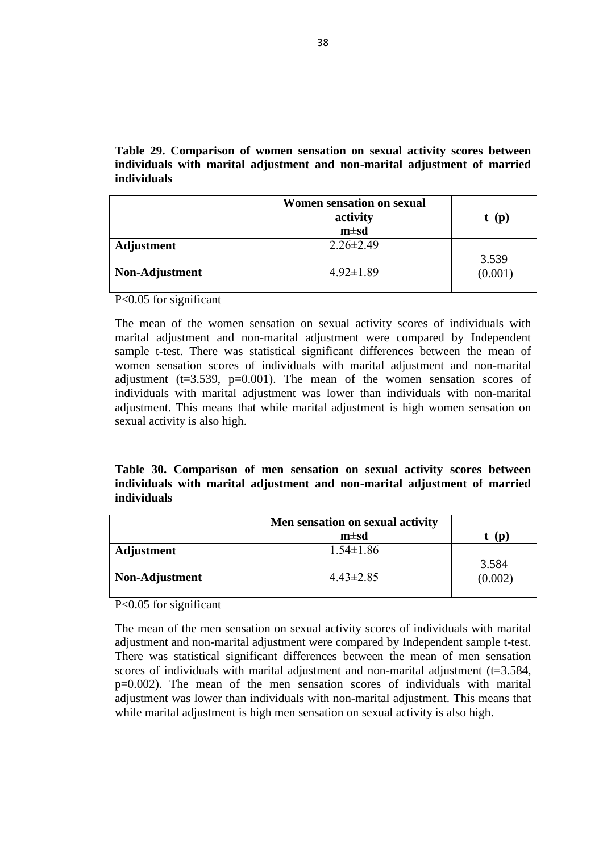|                   | <b>Length of Marriage</b> |         |
|-------------------|---------------------------|---------|
|                   | $m \pm sd$                | D       |
| <b>Adjustment</b> | $10.81 \pm 11.58$         |         |
|                   |                           | 0.565   |
| Non-Adjustment    | $12.23 \pm 9.92$          | (0.574) |
|                   |                           |         |

**Table 19. Comparison of length of marriage year between individuals with marital adjustment and non-marital adjustment of married individuals**

P<0.05 for significant

The mean of the length of marriage year scores of individuals with marital adjustment and non-marital adjustment were compared by Independent sample t-test. There was no statistical significant differences between the mean of the length of marriage year of individuals with marital adjustment and non-marital adjustment  $(t=0.565, p=0.574)$ .

|  | Table 20. Comparison of spouse's age difference between individuals with |  |  |  |  |
|--|--------------------------------------------------------------------------|--|--|--|--|
|  | marital adjustment and non-marital adjustment of married individuals     |  |  |  |  |

|                   | Spouse's age difference |          |
|-------------------|-------------------------|----------|
|                   | $m \pm sd$              | (D       |
| <b>Adjustment</b> | $7.35 \pm 6.83$         |          |
|                   |                         | $-3.176$ |
| Non-Adjustment    | $4.03 \pm 2.60$         | (0.002)  |
|                   |                         |          |

P<0.05 for significant

The mean of the spouse"s age difference scores of individuals with marital adjustment and non-marital adjustment were compared by Independent sample t-test. There was statistical significant differences between the mean of the spouse"s mean age scores of individuals with marital adjustment and non-marital adjustment (t=- 3.176, p=0.002). The mean of the age difference of individuals with marital adjustment was higher than individuals with non-marital adjustment.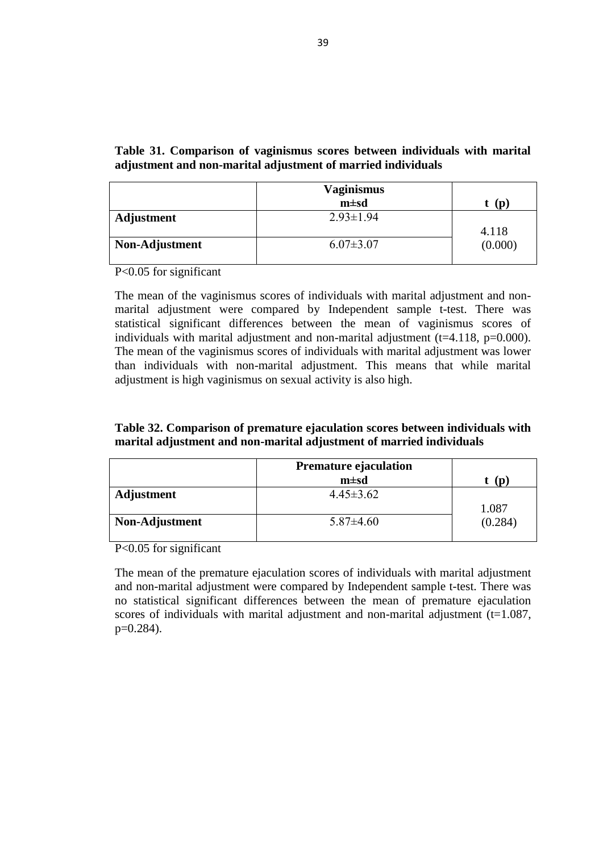|                   | <b>Women sexual satisfaction</b><br>$m \pm sd$ |         |
|-------------------|------------------------------------------------|---------|
|                   |                                                | (D)     |
| <b>Adjustment</b> | $3.66 \pm 2.39$                                |         |
|                   |                                                | 7.800   |
| Non-Adjustment    | $8.64 \pm 1.73$                                | (0.000) |
|                   |                                                |         |

**Table 21. Comparison of women sexual satisfaction scores between individuals with marital adjustment and non-marital adjustment of married individuals**

P<0.05 for significant

The mean of the women sexual satisfaction scores of individuals with marital adjustment and non-marital adjustment were compared by Independent sample t-test. There was statistical significant differences between the mean of the women sexual satisfaction scores of individuals with marital adjustment and non-marital adjustment  $(t=7.800, p=0.000)$ . The mean of the women sexual satisfaction scores of individuals with marital adjustment was lower than the mean of the women sexual satisfaction scores of the individuals with non-marital adjustment. This means that while marital adjustment is high women sexual satisfaction is also high.

| Table 22. Comparison of men sexual satisfaction scores between individuals |  |  |  |
|----------------------------------------------------------------------------|--|--|--|
| with marital adjustment and non-marital adjustment of married individuals  |  |  |  |

|                | <b>Men sexual satisfaction</b> |         |
|----------------|--------------------------------|---------|
|                | $m \pm sd$                     | (D      |
| Adjustment     | $4.20 \pm 2.44$                |         |
|                |                                | 3.496   |
| Non-Adjustment | $6.81 \pm 2.07$                | (0.001) |
|                |                                |         |

P<0.05 for significant

The mean of the men sexual satisfaction scores of individuals with marital adjustment and non-marital adjustment were compared by Independent sample t-test. There was statistical significant differences between the mean of the men sexual satisfaction scores of individuals with marital adjustment and non-marital adjustment  $(t=3.496, p=0.001)$ . The mean of the men sexual satisfaction scores of individuals with marital adjustment was lower than individuals with non-marital adjustment. This means that while marital adjustment is high men sexual satisfaction is also high.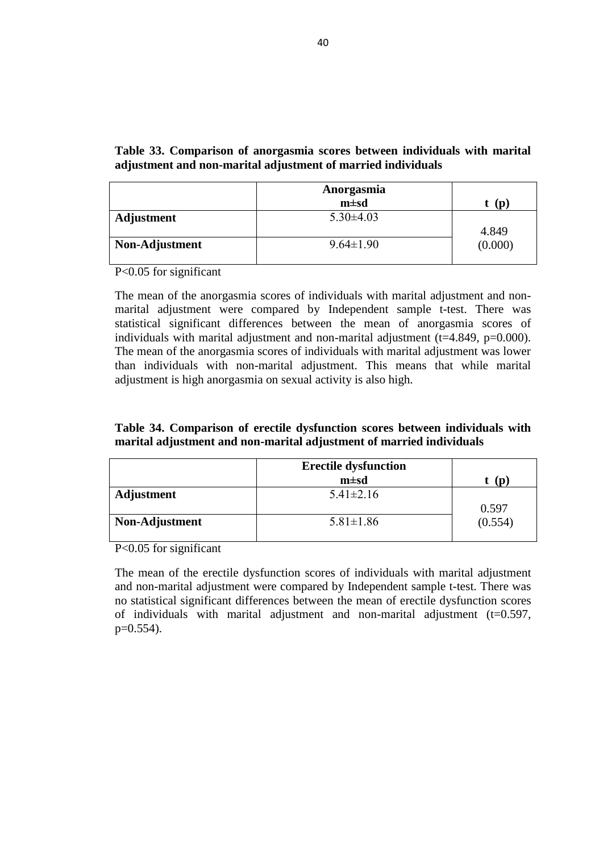**Table 23. Comparison of women communication satisfaction on sexual activity scores between individuals with marital adjustment and non-marital adjustment of married individuals**

|                | <b>Women communication satisfaction</b><br>on sexual activity<br>$m \pm sd$ | t(p)                 |
|----------------|-----------------------------------------------------------------------------|----------------------|
| Adjustment     | $1.80 \pm 1.49$                                                             | 6.065                |
| Non-Adjustment | $4.78 \pm 1.57$                                                             | $\left(0.000\right)$ |

P<0.05 for significant

The mean of the women communication satisfaction on sexual activity scores of individuals with marital adjustment and non-marital adjustment were compared by Independent sample t-test. There was statistical significant differences between the mean of women communication satisfaction of individuals with marital adjustment and non-marital adjustment ( $t= 6.065$ ,  $p=0.000$ ). The mean of the women communication satisfaction scores of individuals with marital adjustment was lower than individuals with non-marital adjustment. This means that while marital adjustment is high women communication satisfaction on sexual activity is also high.

**Table 24. Comparison of men communication satisfaction on sexual activity scores between individuals with marital adjustment and non-marital adjustment of married individuals**

|                | Men communication satisfaction on<br>sexual activity<br>$m \pm sd$ | t(p)    |
|----------------|--------------------------------------------------------------------|---------|
| Adjustment     | $1.29 \pm 1.68$                                                    | 2.554   |
| Non-Adjustment | $2.81 \pm 2.07$                                                    | (0.015) |

P<0.05 for significant

The mean of the men communication satisfaction on sexual activity scores of individuals with marital adjustment and non-marital adjustment were compared by Independent sample t-test. There was statistical significant differences between the mean of the men communication satisfaction scores of individuals with marital adjustment and non-marital adjustment  $(t=2.554, p=0.015)$ . The mean of the men communication satisfaction scores of individuals with marital adjustment was lower than individuals with non-marital adjustment. This means that while marital adjustment is high men communication satisfaction on sexual activity is also high.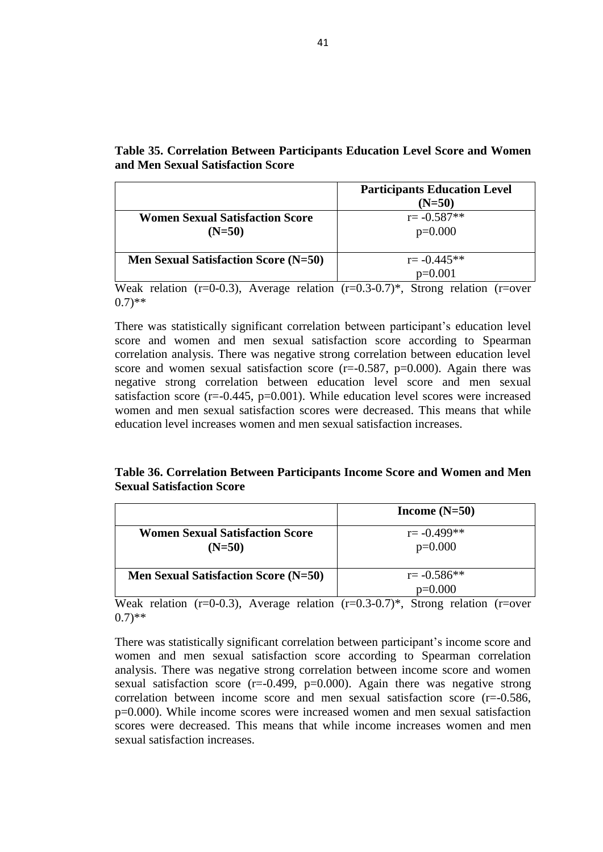**Table 25. Comparison of women frequency satisfaction on sexual activity scores between individuals with marital adjustment and non-marital adjustment of married individuals**

|                | Women frequency satisfaction on<br>sexual activity<br>$m \pm sd$ | t(p)    |
|----------------|------------------------------------------------------------------|---------|
| Adjustment     | $2.56 \pm 1.59$                                                  | 3.767   |
| Non-Adjustment | $4.35 \pm 1.15$                                                  | (0.001) |

P<0.05 for significant

The mean of the women frequency satisfaction on sexual activity scores of individuals with marital adjustment and non-marital adjustment were compared by Independent Sample T-test. There was statistical significant differences between the mean of women frequency satisfaction scores of individuals with marital adjustment and non-marital adjustment ( $t=3.767$ ,  $p=0.001$ ). The mean of the women frequency satisfaction scores of individuals with marital adjustment was lower than individuals with non-marital adjustment. This means that while marital adjustment is high women frequency satisfaction on sexual activity is also high.

**Table 26. Comparison of men frequency satisfaction on sexual activity scores between individuals with marital adjustment and non-marital adjustment of married individuals**

|                | Men frequency satisfaction on<br>sexual activity<br>$m \pm sd$ | t(p)    |
|----------------|----------------------------------------------------------------|---------|
| Adjustment     | $2.29 \pm 1.48$                                                | 2.637   |
| Non-Adjustment | $3.43 \pm 1.09$                                                | (0.012) |

P<0.05 for significant

The mean of the men frequency satisfaction on sexual activity scores of individuals with marital adjustment and non-marital adjustment were compared by Independent sample t-test. There was statistical significant differences between the mean of men frequency satisfaction scores of individuals with marital adjustment and non-marital adjustment ( $t=2.637$ ,  $p=0.012$ ). The mean of the men frequency satisfaction scores of individuals with marital adjustment was lower than individuals with non-marital adjustment. This means that while marital adjustment is high men frequency satisfaction on sexual activity is also high.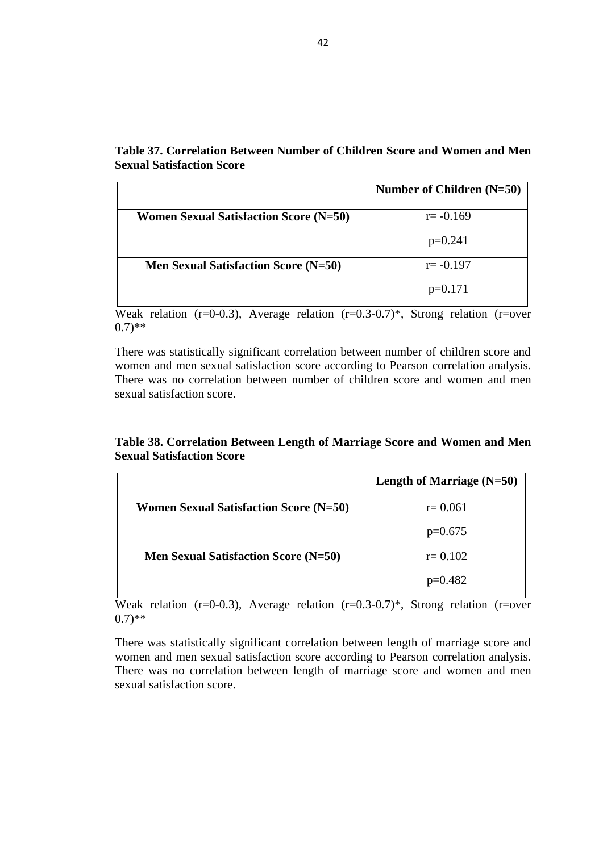**Table 27. Comparison of women avoidance from sexual activity scores between individuals with marital adjustment and non-marital adjustment of married individuals**

|                | Women avoidance from sexual<br>activity<br>$m \pm sd$ | t(p)    |
|----------------|-------------------------------------------------------|---------|
| Adjustment     | $3.83 \pm 2.06$                                       | 2.555   |
| Non-Adjustment | $5.57 \pm 2.17$                                       | (0.014) |

P<0.05 for significant

The mean of the women avoidance from sexual activity scores of individuals with marital adjustment and non-marital adjustment were compared by Independent sample t-test. There was statistical significant differences between the mean of women avoidance scores of individuals with marital adjustment and non-marital adjustment ( $t=2.555$ ,  $p=0.014$ ). The mean of the women avoidance scores of individuals with marital adjustment was lower than individuals with non-marital adjustment. This means that while marital adjustment is high women avoidance from sexual activity is also high.

**Table 28. Comparison of men avoidance from sexual activity scores between individuals with marital adjustment and non-marital adjustment of married individuals**

|                | Men avoidance from sexual<br>activity<br>$m \pm sd$ | t(p)    |
|----------------|-----------------------------------------------------|---------|
| Adjustment     | $3.50 \pm 2.41$                                     |         |
|                |                                                     | 0.592   |
| Non-Adjustment | $3.93 \pm 2.08$                                     | (0.557) |

P<0.05 for significant

The mean of the men avoidance from sexual activity scores of individuals with marital adjustment and non-marital adjustment were compared by Independent sample t-test. There was no statistical significant differences between the mean of men avoidance scores of individuals with marital adjustment and non-marital adjustment (t= $0.592$ , p= $0.557$ ).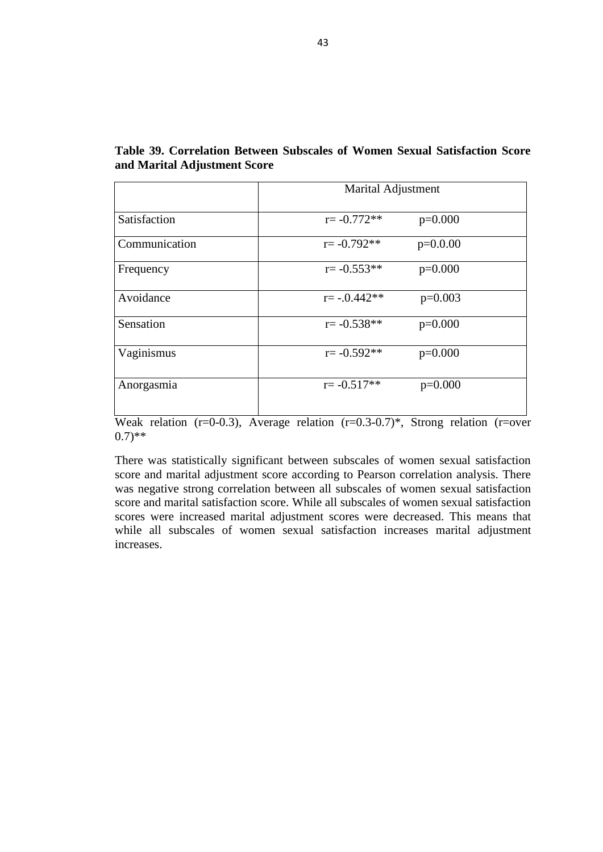**Table 29. Comparison of women sensation on sexual activity scores between individuals with marital adjustment and non-marital adjustment of married individuals**

|                | <b>Women sensation on sexual</b><br>activity<br>$m \pm sd$ | t(p)    |
|----------------|------------------------------------------------------------|---------|
| Adjustment     | $2.26 \pm 2.49$                                            | 3.539   |
| Non-Adjustment | $4.92 \pm 1.89$                                            | (0.001) |

P<0.05 for significant

The mean of the women sensation on sexual activity scores of individuals with marital adjustment and non-marital adjustment were compared by Independent sample t-test. There was statistical significant differences between the mean of women sensation scores of individuals with marital adjustment and non-marital adjustment ( $t=3.539$ ,  $p=0.001$ ). The mean of the women sensation scores of individuals with marital adjustment was lower than individuals with non-marital adjustment. This means that while marital adjustment is high women sensation on sexual activity is also high.

**Table 30. Comparison of men sensation on sexual activity scores between individuals with marital adjustment and non-marital adjustment of married individuals**

|                | Men sensation on sexual activity |         |
|----------------|----------------------------------|---------|
|                | $m \pm sd$                       | n)      |
| Adjustment     | $1.54 \pm 1.86$                  |         |
|                |                                  | 3.584   |
| Non-Adjustment | $4.43 \pm 2.85$                  | (0.002) |
|                |                                  |         |

P<0.05 for significant

The mean of the men sensation on sexual activity scores of individuals with marital adjustment and non-marital adjustment were compared by Independent sample t-test. There was statistical significant differences between the mean of men sensation scores of individuals with marital adjustment and non-marital adjustment  $(t=3.584, t=0.584)$ p=0.002). The mean of the men sensation scores of individuals with marital adjustment was lower than individuals with non-marital adjustment. This means that while marital adjustment is high men sensation on sexual activity is also high.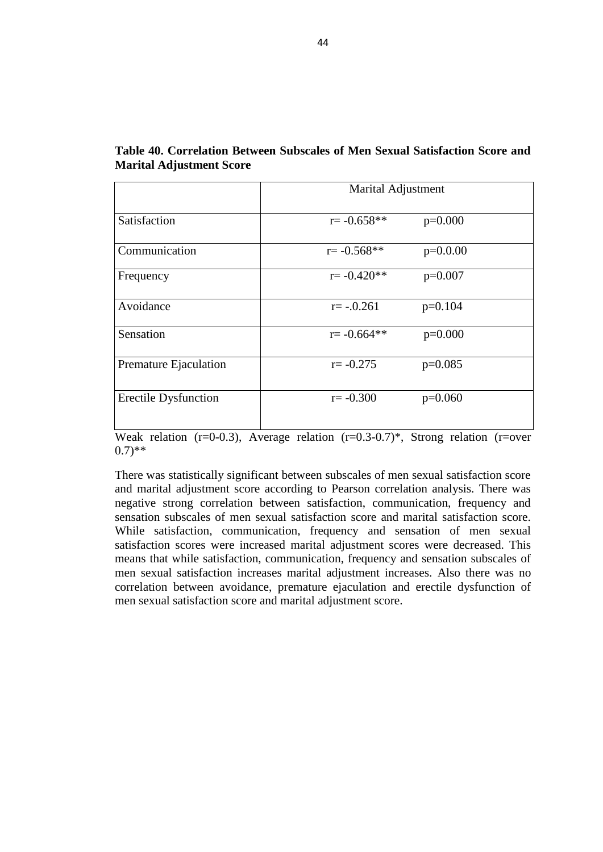|                   | <b>Vaginismus</b><br>$m \pm sd$ | (p)     |
|-------------------|---------------------------------|---------|
| <b>Adjustment</b> | $2.93 \pm 1.94$                 | 4.118   |
| Non-Adjustment    | $6.07 \pm 3.07$                 | (0.000) |

**Table 31. Comparison of vaginismus scores between individuals with marital adjustment and non-marital adjustment of married individuals**

P<0.05 for significant

The mean of the vaginismus scores of individuals with marital adjustment and nonmarital adjustment were compared by Independent sample t-test. There was statistical significant differences between the mean of vaginismus scores of individuals with marital adjustment and non-marital adjustment  $(t=4.118, p=0.000)$ . The mean of the vaginismus scores of individuals with marital adjustment was lower than individuals with non-marital adjustment. This means that while marital adjustment is high vaginismus on sexual activity is also high.

| Table 32. Comparison of premature ejaculation scores between individuals with |
|-------------------------------------------------------------------------------|
| marital adjustment and non-marital adjustment of married individuals          |

|                | Premature ejaculation<br>$m \pm sd$ | ID.     |
|----------------|-------------------------------------|---------|
| Adjustment     | $4.45 \pm 3.62$                     | 1.087   |
| Non-Adjustment | $5.87\pm4.60$                       | (0.284) |

P<0.05 for significant

The mean of the premature ejaculation scores of individuals with marital adjustment and non-marital adjustment were compared by Independent sample t-test. There was no statistical significant differences between the mean of premature ejaculation scores of individuals with marital adjustment and non-marital adjustment  $(t=1.087,$ p=0.284).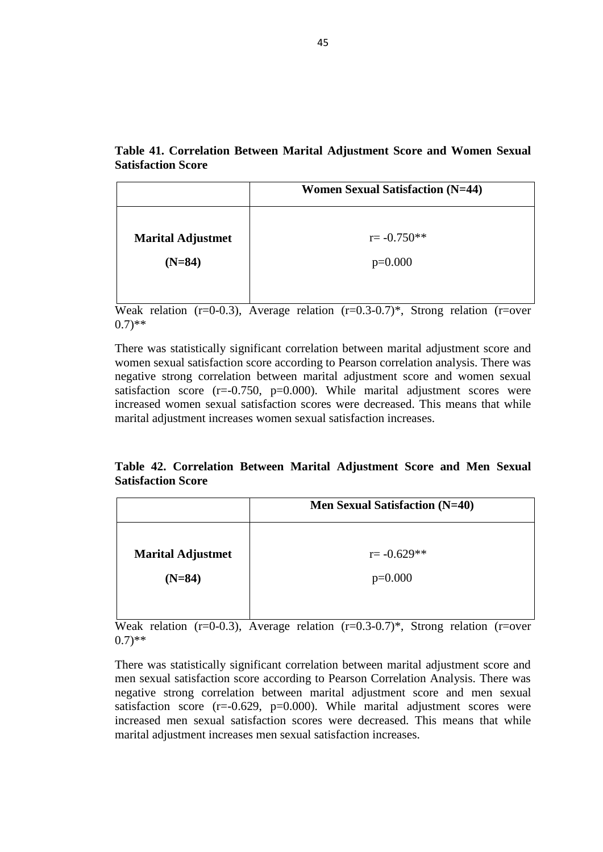|                   | Anorgasmia<br>$m \pm sd$ | (p      |
|-------------------|--------------------------|---------|
| <b>Adjustment</b> | $5.30\pm4.03$            | 4.849   |
| Non-Adjustment    | $9.64 \pm 1.90$          | (0.000) |

**Table 33. Comparison of anorgasmia scores between individuals with marital adjustment and non-marital adjustment of married individuals**

P<0.05 for significant

The mean of the anorgasmia scores of individuals with marital adjustment and nonmarital adjustment were compared by Independent sample t-test. There was statistical significant differences between the mean of anorgasmia scores of individuals with marital adjustment and non-marital adjustment ( $t=4.849$ ,  $p=0.000$ ). The mean of the anorgasmia scores of individuals with marital adjustment was lower than individuals with non-marital adjustment. This means that while marital adjustment is high anorgasmia on sexual activity is also high.

| Table 34. Comparison of erectile dysfunction scores between individuals with |  |
|------------------------------------------------------------------------------|--|
| marital adjustment and non-marital adjustment of married individuals         |  |

|                | <b>Erectile dysfunction</b><br>$m \pm sd$ | (D      |
|----------------|-------------------------------------------|---------|
| Adjustment     | $5.41 \pm 2.16$                           | 0.597   |
| Non-Adjustment | $5.81 \pm 1.86$                           | (0.554) |

P<0.05 for significant

The mean of the erectile dysfunction scores of individuals with marital adjustment and non-marital adjustment were compared by Independent sample t-test. There was no statistical significant differences between the mean of erectile dysfunction scores of individuals with marital adjustment and non-marital adjustment (t=0.597, p=0.554).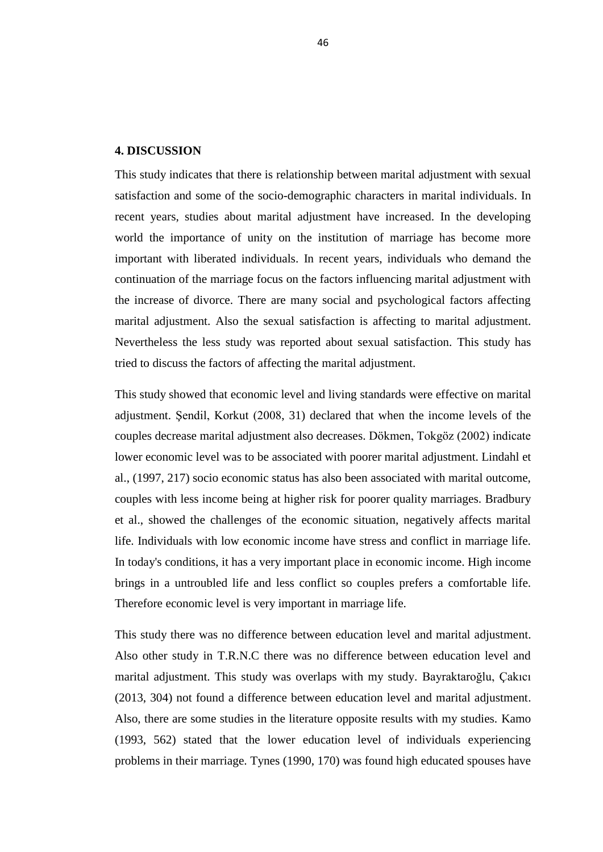|                                                    | <b>Participants Education Level</b><br>$(N=50)$ |
|----------------------------------------------------|-------------------------------------------------|
| <b>Women Sexual Satisfaction Score</b><br>$(N=50)$ | $r = -0.587**$<br>$p=0.000$                     |
| Men Sexual Satisfaction Score (N=50)               | $r = -0.445**$<br>$p=0.001$                     |

**Table 35. Correlation Between Participants Education Level Score and Women and Men Sexual Satisfaction Score** 

Weak relation  $(r=0.3)$ , Average relation  $(r=0.3-0.7)$ \*, Strong relation  $(r=0.7)$  $(0.7)$ \*\*

There was statistically significant correlation between participant's education level score and women and men sexual satisfaction score according to Spearman correlation analysis. There was negative strong correlation between education level score and women sexual satisfaction score  $(r=-0.587, p=0.000)$ . Again there was negative strong correlation between education level score and men sexual satisfaction score  $(r=0.445, p=0.001)$ . While education level scores were increased women and men sexual satisfaction scores were decreased. This means that while education level increases women and men sexual satisfaction increases.

# **Table 36. Correlation Between Participants Income Score and Women and Men Sexual Satisfaction Score**

|                                                    | Income $(N=50)$             |
|----------------------------------------------------|-----------------------------|
| <b>Women Sexual Satisfaction Score</b><br>$(N=50)$ | $r = -0.499**$<br>$p=0.000$ |
|                                                    |                             |
| Men Sexual Satisfaction Score (N=50)               | $r = -0.586**$              |
|                                                    | $p=0.000$                   |

Weak relation  $(r=0.3)$ , Average relation  $(r=0.3-0.7)^*$ , Strong relation  $(r=0$  $(0.7)$ \*\*

There was statistically significant correlation between participant's income score and women and men sexual satisfaction score according to Spearman correlation analysis. There was negative strong correlation between income score and women sexual satisfaction score ( $r = -0.499$ ,  $p = 0.000$ ). Again there was negative strong correlation between income score and men sexual satisfaction score (r=-0.586, p=0.000). While income scores were increased women and men sexual satisfaction scores were decreased. This means that while income increases women and men sexual satisfaction increases.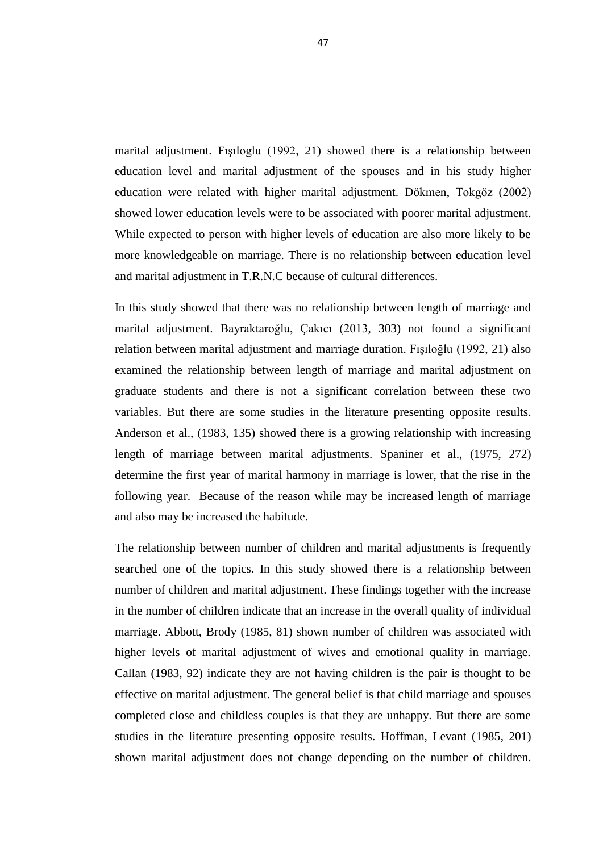|                                               | Number of Children $(N=50)$ |
|-----------------------------------------------|-----------------------------|
| <b>Women Sexual Satisfaction Score (N=50)</b> | $r = -0.169$                |
|                                               | $p=0.241$                   |
| Men Sexual Satisfaction Score (N=50)          | $r = -0.197$                |
|                                               | $p=0.171$                   |

**Table 37. Correlation Between Number of Children Score and Women and Men Sexual Satisfaction Score** 

Weak relation  $(r=0.03)$ , Average relation  $(r=0.3-0.7)$ <sup>\*</sup>, Strong relation  $(r=over$  $(0.7)$ \*\*

There was statistically significant correlation between number of children score and women and men sexual satisfaction score according to Pearson correlation analysis. There was no correlation between number of children score and women and men sexual satisfaction score.

## **Table 38. Correlation Between Length of Marriage Score and Women and Men Sexual Satisfaction Score**

|                                               | Length of Marriage $(N=50)$ |
|-----------------------------------------------|-----------------------------|
| <b>Women Sexual Satisfaction Score (N=50)</b> | $r = 0.061$                 |
|                                               | $p=0.675$                   |
| <b>Men Sexual Satisfaction Score (N=50)</b>   | $r = 0.102$                 |
|                                               | $p=0.482$                   |

Weak relation ( $r=0-0.3$ ), Average relation ( $r=0.3-0.7$ )\*, Strong relation ( $r=over$  $(0.7)$ \*\*

There was statistically significant correlation between length of marriage score and women and men sexual satisfaction score according to Pearson correlation analysis. There was no correlation between length of marriage score and women and men sexual satisfaction score.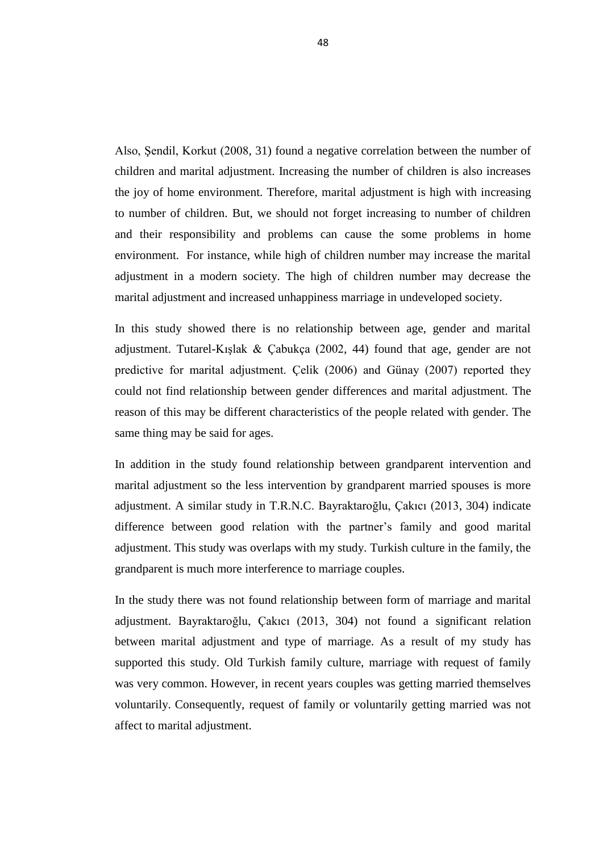|               | Marital Adjustment |            |  |  |  |
|---------------|--------------------|------------|--|--|--|
| Satisfaction  | $r = -0.772**$     | $p=0.000$  |  |  |  |
| Communication | $r = -0.792**$     | $p=0.0.00$ |  |  |  |
| Frequency     | $r = -0.553**$     | $p=0.000$  |  |  |  |
| Avoidance     | $r = -0.442**$     | $p=0.003$  |  |  |  |
| Sensation     | $r = -0.538**$     | $p=0.000$  |  |  |  |
| Vaginismus    | $r = -0.592**$     | $p=0.000$  |  |  |  |
| Anorgasmia    | $r = -0.517**$     | $p=0.000$  |  |  |  |

**Table 39. Correlation Between Subscales of Women Sexual Satisfaction Score and Marital Adjustment Score**

Weak relation ( $r=0$ -0.3), Average relation ( $r=0.3$ -0.7)\*, Strong relation ( $r=over$  $(0.7)$ \*\*

There was statistically significant between subscales of women sexual satisfaction score and marital adjustment score according to Pearson correlation analysis. There was negative strong correlation between all subscales of women sexual satisfaction score and marital satisfaction score. While all subscales of women sexual satisfaction scores were increased marital adjustment scores were decreased. This means that while all subscales of women sexual satisfaction increases marital adjustment increases.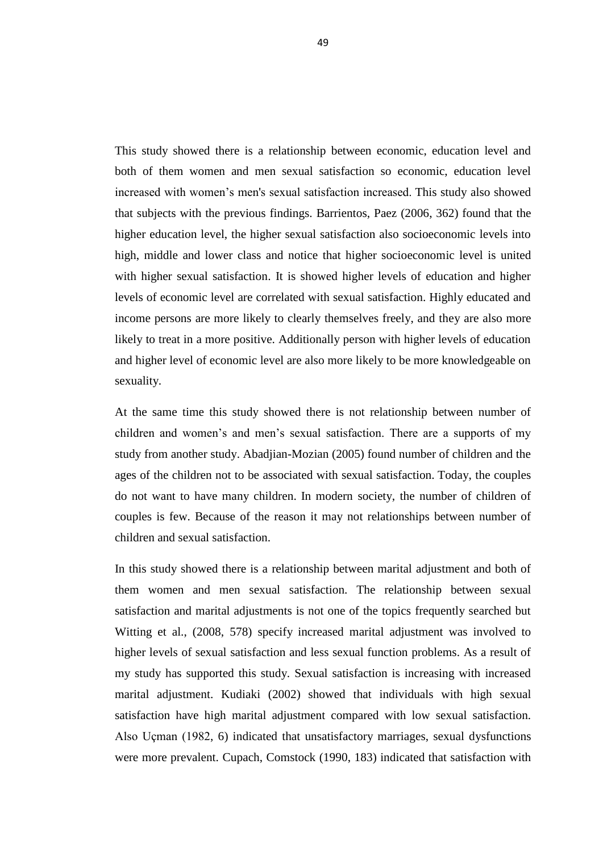|                             | Marital Adjustment |            |
|-----------------------------|--------------------|------------|
| Satisfaction                | $r = -0.658**$     | $p=0.000$  |
| Communication               | $r = -0.568**$     | $p=0.0.00$ |
| Frequency                   | $r = -0.420**$     | $p=0.007$  |
| Avoidance                   | $r = -.0.261$      | $p=0.104$  |
| Sensation                   | $r = -0.664**$     | $p=0.000$  |
| Premature Ejaculation       | $r = -0.275$       | $p=0.085$  |
| <b>Erectile Dysfunction</b> | $r = -0.300$       | $p=0.060$  |

**Table 40. Correlation Between Subscales of Men Sexual Satisfaction Score and Marital Adjustment Score**

Weak relation (r=0-0.3), Average relation (r=0.3-0.7)\*, Strong relation (r=over  $(0.7)$ \*\*

There was statistically significant between subscales of men sexual satisfaction score and marital adjustment score according to Pearson correlation analysis. There was negative strong correlation between satisfaction, communication, frequency and sensation subscales of men sexual satisfaction score and marital satisfaction score. While satisfaction, communication, frequency and sensation of men sexual satisfaction scores were increased marital adjustment scores were decreased. This means that while satisfaction, communication, frequency and sensation subscales of men sexual satisfaction increases marital adjustment increases. Also there was no correlation between avoidance, premature ejaculation and erectile dysfunction of men sexual satisfaction score and marital adjustment score.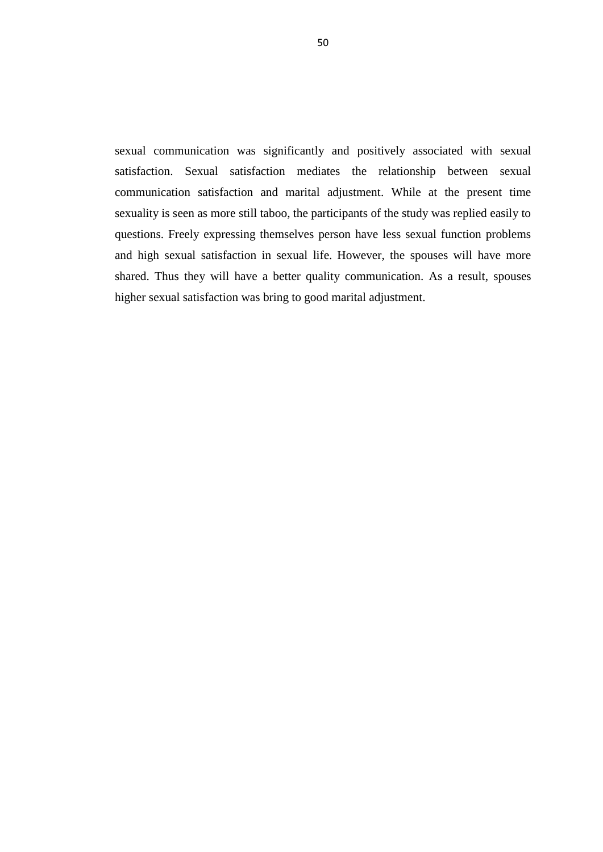|                          | <b>Women Sexual Satisfaction (N=44)</b> |
|--------------------------|-----------------------------------------|
|                          |                                         |
| <b>Marital Adjustmet</b> | $r = -0.750**$                          |
| $(N=84)$                 | $p=0.000$                               |
|                          |                                         |
|                          |                                         |

**Table 41. Correlation Between Marital Adjustment Score and Women Sexual Satisfaction Score**

Weak relation  $(r=0.3)$ , Average relation  $(r=0.3-0.7)^*$ , Strong relation  $(r=over$  $(0.7)$ \*\*

There was statistically significant correlation between marital adjustment score and women sexual satisfaction score according to Pearson correlation analysis. There was negative strong correlation between marital adjustment score and women sexual satisfaction score  $(r=-0.750, p=0.000)$ . While marital adjustment scores were increased women sexual satisfaction scores were decreased. This means that while marital adjustment increases women sexual satisfaction increases.

# **Table 42. Correlation Between Marital Adjustment Score and Men Sexual Satisfaction Score**

|                          | Men Sexual Satisfaction (N=40) |
|--------------------------|--------------------------------|
|                          |                                |
| <b>Marital Adjustmet</b> | $r = -0.629**$                 |
| $(N=84)$                 | $p=0.000$                      |
|                          |                                |
|                          |                                |

Weak relation  $(r=0.3)$ , Average relation  $(r=0.3-0.7)^*$ , Strong relation  $(r=over$  $(0.7)$ \*\*

There was statistically significant correlation between marital adjustment score and men sexual satisfaction score according to Pearson Correlation Analysis. There was negative strong correlation between marital adjustment score and men sexual satisfaction score  $(r=-0.629, p=0.000)$ . While marital adjustment scores were increased men sexual satisfaction scores were decreased. This means that while marital adjustment increases men sexual satisfaction increases.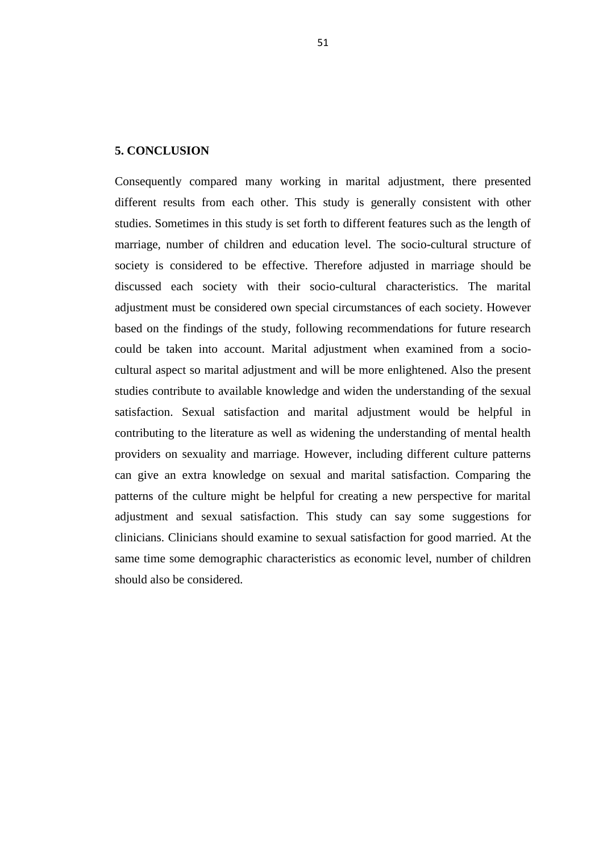#### **4. DISCUSSION**

This study indicates that there is relationship between marital adjustment with sexual satisfaction and some of the socio-demographic characters in marital individuals. In recent years, studies about marital adjustment have increased. In the developing world the importance of unity on the institution of marriage has become more important with liberated individuals. In recent years, individuals who demand the continuation of the marriage focus on the factors influencing marital adjustment with the increase of divorce. There are many social and psychological factors affecting marital adjustment. Also the sexual satisfaction is affecting to marital adjustment. Nevertheless the less study was reported about sexual satisfaction. This study has tried to discuss the factors of affecting the marital adjustment.

This study showed that economic level and living standards were effective on marital adjustment. Şendil, Korkut (2008, 31) declared that when the income levels of the couples decrease marital adjustment also decreases. Dökmen, Tokgöz (2002) indicate lower economic level was to be associated with poorer marital adjustment. Lindahl et al., (1997, 217) socio economic status has also been associated with marital outcome, couples with less income being at higher risk for poorer quality marriages. Bradbury et al., showed the challenges of the economic situation, negatively affects marital life. Individuals with low economic income have stress and conflict in marriage life. In today's conditions, it has a very important place in economic income. High income brings in a untroubled life and less conflict so couples prefers a comfortable life. Therefore economic level is very important in marriage life.

This study there was no difference between education level and marital adjustment. Also other study in T.R.N.C there was no difference between education level and marital adjustment. This study was overlaps with my study. Bayraktaroğlu, Çakıcı (2013, 304) not found a difference between education level and marital adjustment. Also, there are some studies in the literature opposite results with my studies. Kamo (1993, 562) stated that the lower education level of individuals experiencing problems in their marriage. Tynes (1990, 170) was found high educated spouses have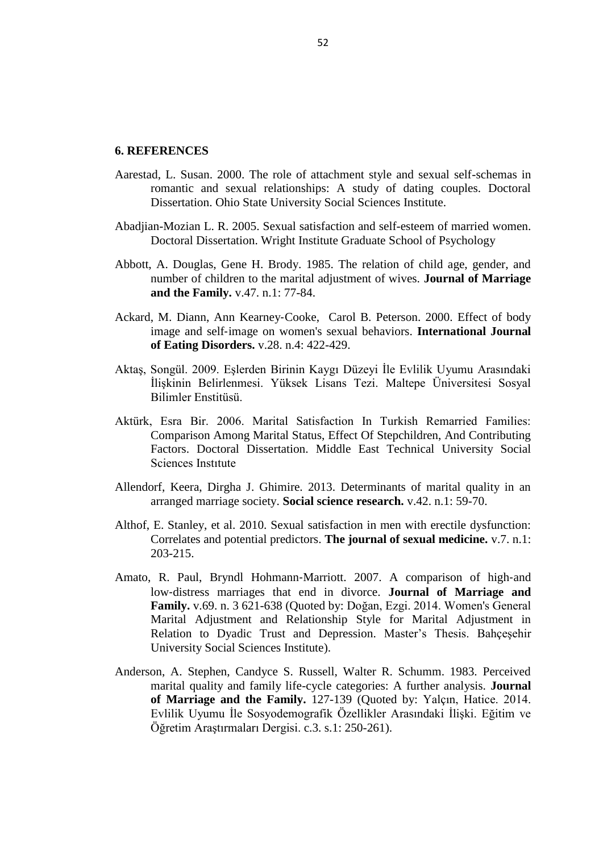marital adjustment. Fışıloglu (1992, 21) showed there is a relationship between education level and marital adjustment of the spouses and in his study higher education were related with higher marital adjustment. Dökmen, Tokgöz (2002) showed lower education levels were to be associated with poorer marital adjustment. While expected to person with higher levels of education are also more likely to be more knowledgeable on marriage. There is no relationship between education level and marital adjustment in T.R.N.C because of cultural differences.

In this study showed that there was no relationship between length of marriage and marital adjustment. Bayraktaroğlu, Çakıcı (2013, 303) not found a significant relation between marital adjustment and marriage duration. Fışıloğlu (1992, 21) also examined the relationship between length of marriage and marital adjustment on graduate students and there is not a significant correlation between these two variables. But there are some studies in the literature presenting opposite results. Anderson et al., (1983, 135) showed there is a growing relationship with increasing length of marriage between marital adjustments. Spaniner et al., (1975, 272) determine the first year of marital harmony in marriage is lower, that the rise in the following year. Because of the reason while may be increased length of marriage and also may be increased the habitude.

The relationship between number of children and marital adjustments is frequently searched one of the topics. In this study showed there is a relationship between number of children and marital adjustment. These findings together with the increase in the number of children indicate that an increase in the overall quality of individual marriage. Abbott, Brody (1985, 81) shown number of children was associated with higher levels of marital adjustment of wives and emotional quality in marriage. Callan (1983, 92) indicate they are not having children is the pair is thought to be effective on marital adjustment. The general belief is that child marriage and spouses completed close and childless couples is that they are unhappy. But there are some studies in the literature presenting opposite results. Hoffman, Levant (1985, 201) shown marital adjustment does not change depending on the number of children.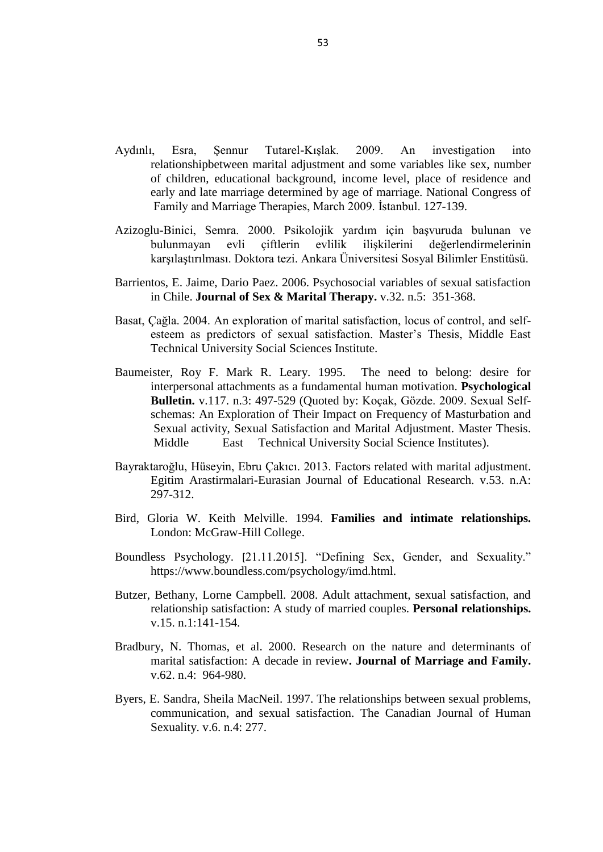Also, Şendil, Korkut (2008, 31) found a negative correlation between the number of children and marital adjustment. Increasing the number of children is also increases the joy of home environment. Therefore, marital adjustment is high with increasing to number of children. But, we should not forget increasing to number of children and their responsibility and problems can cause the some problems in home environment. For instance, while high of children number may increase the marital adjustment in a modern society. The high of children number may decrease the marital adjustment and increased unhappiness marriage in undeveloped society.

In this study showed there is no relationship between age, gender and marital adjustment. Tutarel-Kışlak & Çabukça (2002, 44) found that age, gender are not predictive for marital adjustment. Çelik (2006) and Günay (2007) reported they could not find relationship between gender differences and marital adjustment. The reason of this may be different characteristics of the people related with gender. The same thing may be said for ages.

In addition in the study found relationship between grandparent intervention and marital adjustment so the less intervention by grandparent married spouses is more adjustment. A similar study in T.R.N.C. Bayraktaroğlu, Çakıcı (2013, 304) indicate difference between good relation with the partner"s family and good marital adjustment. This study was overlaps with my study. Turkish culture in the family, the grandparent is much more interference to marriage couples.

In the study there was not found relationship between form of marriage and marital adjustment. Bayraktaroğlu, Çakıcı (2013, 304) not found a significant relation between marital adjustment and type of marriage. As a result of my study has supported this study. Old Turkish family culture, marriage with request of family was very common. However, in recent years couples was getting married themselves voluntarily. Consequently, request of family or voluntarily getting married was not affect to marital adjustment.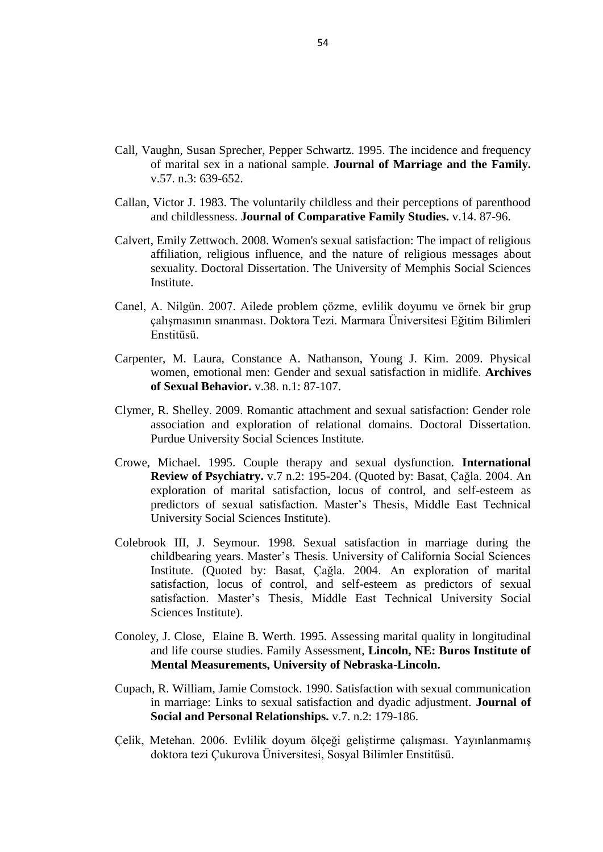This study showed there is a relationship between economic, education level and both of them women and men sexual satisfaction so economic, education level increased with women"s men's sexual satisfaction increased. This study also showed that subjects with the previous findings. Barrientos, Paez (2006, 362) found that the higher education level, the higher sexual satisfaction also socioeconomic levels into high, middle and lower class and notice that higher socioeconomic level is united with higher sexual satisfaction. It is showed higher levels of education and higher levels of economic level are correlated with sexual satisfaction. Highly educated and income persons are more likely to clearly themselves freely, and they are also more likely to treat in a more positive. Additionally person with higher levels of education and higher level of economic level are also more likely to be more knowledgeable on sexuality.

At the same time this study showed there is not relationship between number of children and women"s and men"s sexual satisfaction. There are a supports of my study from another study. Abadjian-Mozian (2005) found number of children and the ages of the children not to be associated with sexual satisfaction. Today, the couples do not want to have many children. In modern society, the number of children of couples is few. Because of the reason it may not relationships between number of children and sexual satisfaction.

In this study showed there is a relationship between marital adjustment and both of them women and men sexual satisfaction. The relationship between sexual satisfaction and marital adjustments is not one of the topics frequently searched but Witting et al., (2008, 578) specify increased marital adjustment was involved to higher levels of sexual satisfaction and less sexual function problems. As a result of my study has supported this study. Sexual satisfaction is increasing with increased marital adjustment. Kudiaki (2002) showed that individuals with high sexual satisfaction have high marital adjustment compared with low sexual satisfaction. Also Uçman (1982, 6) indicated that unsatisfactory marriages, sexual dysfunctions were more prevalent. Cupach, Comstock (1990, 183) indicated that satisfaction with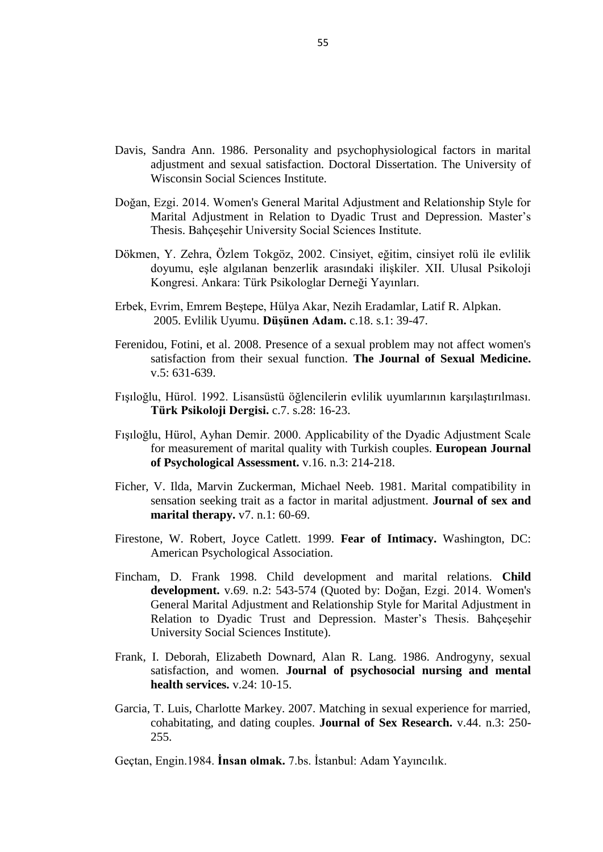sexual communication was significantly and positively associated with sexual satisfaction. Sexual satisfaction mediates the relationship between sexual communication satisfaction and marital adjustment. While at the present time sexuality is seen as more still taboo, the participants of the study was replied easily to questions. Freely expressing themselves person have less sexual function problems and high sexual satisfaction in sexual life. However, the spouses will have more shared. Thus they will have a better quality communication. As a result, spouses higher sexual satisfaction was bring to good marital adjustment.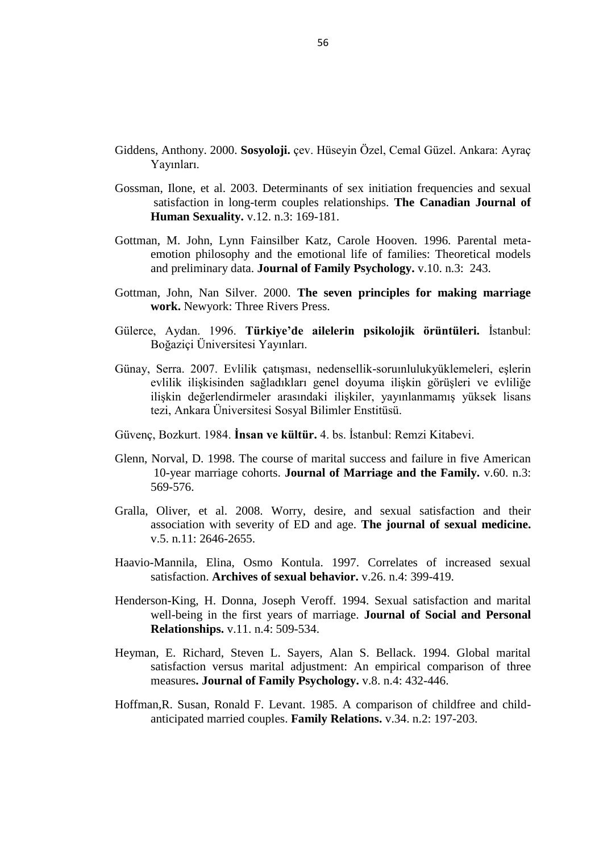#### **5. CONCLUSION**

Consequently compared many working in marital adjustment, there presented different results from each other. This study is generally consistent with other studies. Sometimes in this study is set forth to different features such as the length of marriage, number of children and education level. The socio-cultural structure of society is considered to be effective. Therefore adjusted in marriage should be discussed each society with their socio-cultural characteristics. The marital adjustment must be considered own special circumstances of each society. However based on the findings of the study, following recommendations for future research could be taken into account. Marital adjustment when examined from a sociocultural aspect so marital adjustment and will be more enlightened. Also the present studies contribute to available knowledge and widen the understanding of the sexual satisfaction. Sexual satisfaction and marital adjustment would be helpful in contributing to the literature as well as widening the understanding of mental health providers on sexuality and marriage. However, including different culture patterns can give an extra knowledge on sexual and marital satisfaction. Comparing the patterns of the culture might be helpful for creating a new perspective for marital adjustment and sexual satisfaction. This study can say some suggestions for clinicians. Clinicians should examine to sexual satisfaction for good married. At the same time some demographic characteristics as economic level, number of children should also be considered.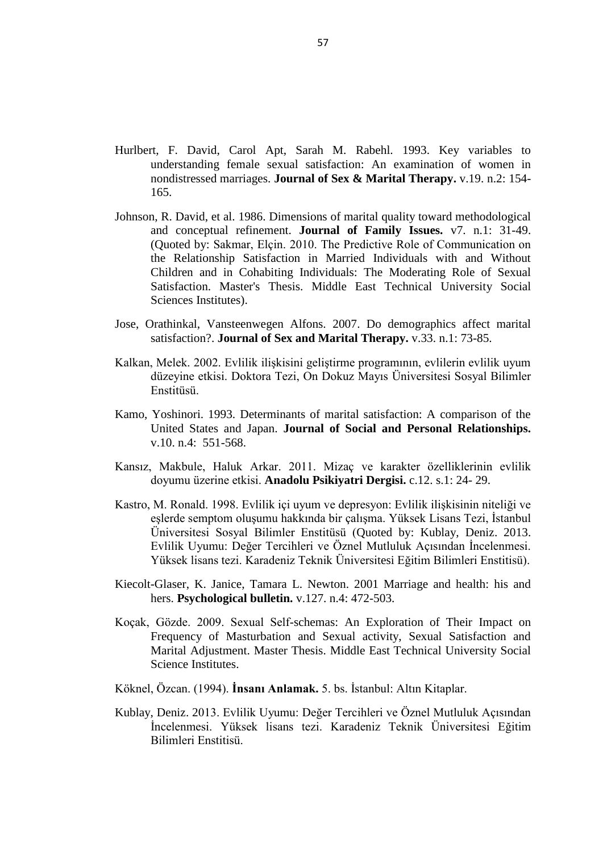#### **6. REFERENCES**

- Aarestad, L. Susan. 2000. The role of attachment style and sexual self-schemas in romantic and sexual relationships: A study of dating couples. Doctoral Dissertation. Ohio State University Social Sciences Institute.
- Abadjian-Mozian L. R. 2005. Sexual satisfaction and self-esteem of married women. Doctoral Dissertation. Wright Institute Graduate School of Psychology
- Abbott, A. Douglas, Gene H. Brody. 1985. The relation of child age, gender, and number of children to the marital adjustment of wives. **Journal of Marriage and the Family.** v.47. n.1: 77-84.
- Ackard, M. Diann, Ann Kearney‐Cooke, Carol B. Peterson. 2000. Effect of body image and self‐image on women's sexual behaviors. **International Journal of Eating Disorders.** v.28. n.4: 422-429.
- Aktaş, Songül. 2009. Eşlerden Birinin Kaygı Düzeyi İle Evlilik Uyumu Arasındaki İlişkinin Belirlenmesi. Yüksek Lisans Tezi. Maltepe Üniversitesi Sosyal Bilimler Enstitüsü.
- Aktürk, Esra Bir. 2006. Marital Satisfaction In Turkish Remarried Families: Comparison Among Marital Status, Effect Of Stepchildren, And Contributing Factors. Doctoral Dissertation. Middle East Technical University Social Sciences Instıtute
- Allendorf, Keera, Dirgha J. Ghimire. 2013. Determinants of marital quality in an arranged marriage society. **Social science research.** v.42. n.1: 59-70.
- Althof, E. Stanley, et al. 2010. Sexual satisfaction in men with erectile dysfunction: Correlates and potential predictors. **The journal of sexual medicine.** v.7. n.1: 203-215.
- Amato, R. Paul, Bryndl Hohmann-Marriott. 2007. A comparison of high-and low‐distress marriages that end in divorce. **Journal of Marriage and Family.** v.69. n. 3 621-638 (Quoted by: Doğan, Ezgi. 2014. Women's General Marital Adjustment and Relationship Style for Marital Adjustment in Relation to Dyadic Trust and Depression. Master's Thesis. Bahçeşehir University Social Sciences Institute).
- Anderson, A. Stephen, Candyce S. Russell, Walter R. Schumm. 1983. Perceived marital quality and family life-cycle categories: A further analysis. **Journal of Marriage and the Family.** 127-139 (Quoted by: Yalçın, Hatice. 2014. Evlilik Uyumu İle Sosyodemografik Özellikler Arasındaki İlişki. Eğitim ve Öğretim Araştırmaları Dergisi. c.3. s.1: 250-261).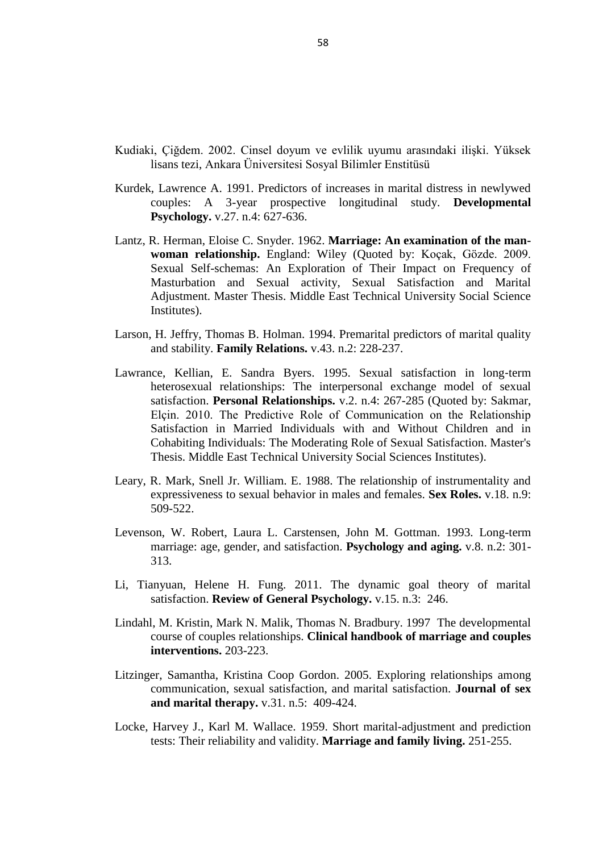- Aydınlı, Esra, Şennur Tutarel-Kışlak. 2009. An investigation into relationshipbetween marital adjustment and some variables like sex, number of children, educational background, income level, place of residence and early and late marriage determined by age of marriage. National Congress of Family and Marriage Therapies, March 2009. İstanbul. 127-139.
- Azizoglu-Binici, Semra. 2000. Psikolojik yardım için başvuruda bulunan ve bulunmayan evli çiftlerin evlilik ilişkilerini değerlendirmelerinin karşılaştırılması. Doktora tezi. Ankara Üniversitesi Sosyal Bilimler Enstitüsü.
- Barrientos, E. Jaime, Dario Paez. 2006. Psychosocial variables of sexual satisfaction in Chile. **Journal of Sex & Marital Therapy.** v.32. n.5: 351-368.
- Basat, Çağla. 2004. An exploration of marital satisfaction, locus of control, and selfesteem as predictors of sexual satisfaction. Master's Thesis, Middle East Technical University Social Sciences Institute.
- Baumeister, Roy F. Mark R. Leary. 1995. The need to belong: desire for interpersonal attachments as a fundamental human motivation. **Psychological Bulletin.** v.117. n.3: 497-529 (Quoted by: Koçak, Gözde. 2009. Sexual Selfschemas: An Exploration of Their Impact on Frequency of Masturbation and Sexual activity, Sexual Satisfaction and Marital Adjustment. Master Thesis. Middle East Technical University Social Science Institutes).
- Bayraktaroğlu, Hüseyin, Ebru Çakıcı. 2013. Factors related with marital adjustment. Egitim Arastirmalari-Eurasian Journal of Educational Research. v.53. n.A: 297-312.
- Bird, Gloria W. Keith Melville. 1994. **Families and intimate relationships.** London: McGraw-Hill College.
- Boundless Psychology. [21.11.2015]. "Defining Sex, Gender, and Sexuality." https://www.boundless.com/psychology/imd.html.
- Butzer, Bethany, Lorne Campbell. 2008. Adult attachment, sexual satisfaction, and relationship satisfaction: A study of married couples. **Personal relationships.** v.15. n.1:141-154.
- Bradbury, N. Thomas, et al. 2000. Research on the nature and determinants of marital satisfaction: A decade in review**. Journal of Marriage and Family.** v.62. n.4: 964-980.
- Byers, E. Sandra, Sheila MacNeil. 1997. The relationships between sexual problems, communication, and sexual satisfaction. The Canadian Journal of Human Sexuality. v.6. n.4: 277.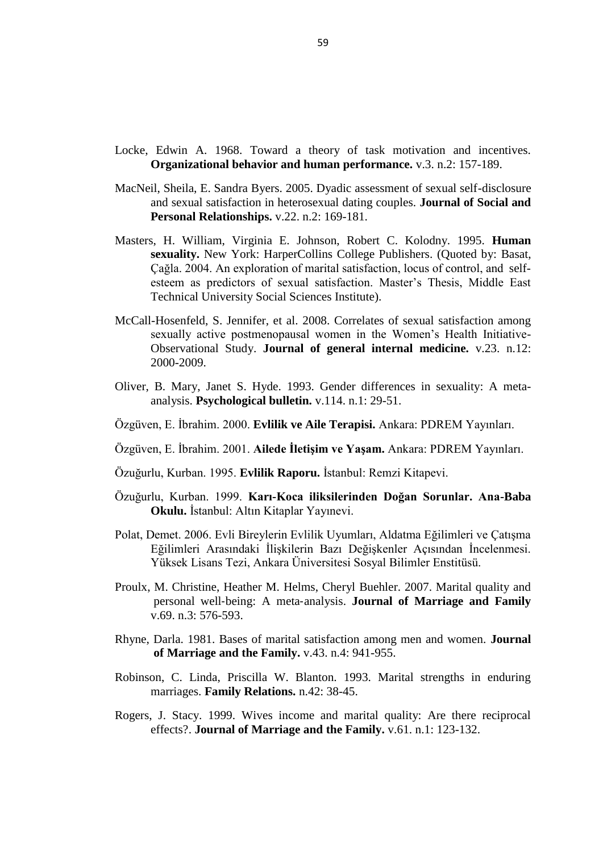- Call, Vaughn, Susan Sprecher, Pepper Schwartz. 1995. The incidence and frequency of marital sex in a national sample. **Journal of Marriage and the Family.** v.57. n.3: 639-652.
- Callan, Victor J. 1983. The voluntarily childless and their perceptions of parenthood and childlessness. **Journal of Comparative Family Studies.** v.14. 87-96.
- Calvert, Emily Zettwoch. 2008. Women's sexual satisfaction: The impact of religious affiliation, religious influence, and the nature of religious messages about sexuality. Doctoral Dissertation. The University of Memphis Social Sciences Institute.
- Canel, A. Nilgün. 2007. Ailede problem çözme, evlilik doyumu ve örnek bir grup çalışmasının sınanması. Doktora Tezi. Marmara Üniversitesi Eğitim Bilimleri Enstitüsü.
- Carpenter, M. Laura, Constance A. Nathanson, Young J. Kim. 2009. Physical women, emotional men: Gender and sexual satisfaction in midlife. **Archives of Sexual Behavior.** v.38. n.1: 87-107.
- Clymer, R. Shelley. 2009. Romantic attachment and sexual satisfaction: Gender role association and exploration of relational domains. Doctoral Dissertation. Purdue University Social Sciences Institute.
- Crowe, Michael. 1995. Couple therapy and sexual dysfunction. **International Review of Psychiatry.** v.7 n.2: 195-204. (Quoted by: Basat, Çağla. 2004. An exploration of marital satisfaction, locus of control, and self-esteem as predictors of sexual satisfaction. Master"s Thesis, Middle East Technical University Social Sciences Institute).
- Colebrook III, J. Seymour. 1998. Sexual satisfaction in marriage during the childbearing years. Master"s Thesis. University of California Social Sciences Institute. (Quoted by: Basat, Çağla. 2004. An exploration of marital satisfaction, locus of control, and self-esteem as predictors of sexual satisfaction. Master's Thesis, Middle East Technical University Social Sciences Institute).
- Conoley, J. Close, Elaine B. Werth. 1995. Assessing marital quality in longitudinal and life course studies. Family Assessment, **Lincoln, NE: Buros Institute of Mental Measurements, University of Nebraska-Lincoln.**
- Cupach, R. William, Jamie Comstock. 1990. Satisfaction with sexual communication in marriage: Links to sexual satisfaction and dyadic adjustment. **Journal of Social and Personal Relationships.** v.7. n.2: 179-186.
- Çelik, Metehan. 2006. Evlilik doyum ölçeği geliştirme çalışması. Yayınlanmamış doktora tezi Çukurova Üniversitesi, Sosyal Bilimler Enstitüsü.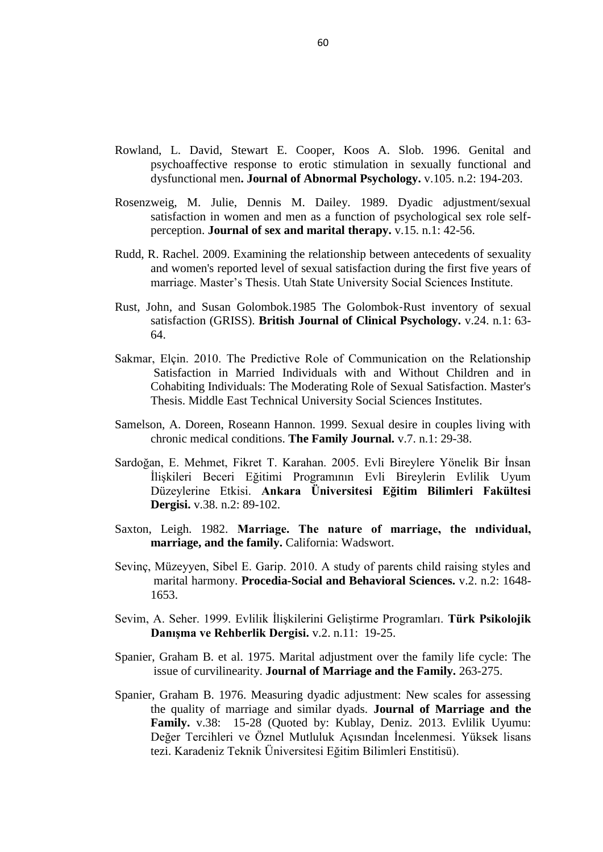- Davis, Sandra Ann. 1986. Personality and psychophysiological factors in marital adjustment and sexual satisfaction. Doctoral Dissertation. The University of Wisconsin Social Sciences Institute.
- Doğan, Ezgi. 2014. Women's General Marital Adjustment and Relationship Style for Marital Adjustment in Relation to Dyadic Trust and Depression. Master"s Thesis. Bahçeşehir University Social Sciences Institute.
- Dökmen, Y. Zehra, Özlem Tokgöz, 2002. Cinsiyet, eğitim, cinsiyet rolü ile evlilik doyumu, eşle algılanan benzerlik arasındaki ilişkiler. XII. Ulusal Psikoloji Kongresi. Ankara: Türk Psikologlar Derneği Yayınları.
- Erbek, Evrim, Emrem Beştepe, Hülya Akar, Nezih Eradamlar, Latif R. Alpkan. 2005. Evlilik Uyumu. **DüĢünen Adam.** c.18. s.1: 39-47.
- Ferenidou, Fotini, et al. 2008. Presence of a sexual problem may not affect women's satisfaction from their sexual function. **The Journal of Sexual Medicine.**  $v.5: 631-639$
- Fışıloğlu, Hürol. 1992. Lisansüstü öğlencilerin evlilik uyumlarının karşılaştırılması. **Türk Psikoloji Dergisi.** c.7. s.28: 16-23.
- Fışıloğlu, Hürol, Ayhan Demir. 2000. Applicability of the Dyadic Adjustment Scale for measurement of marital quality with Turkish couples. **European Journal of Psychological Assessment.** v.16. n.3: 214-218.
- Ficher, V. Ilda, Marvin Zuckerman, Michael Neeb. 1981. Marital compatibility in sensation seeking trait as a factor in marital adjustment. **Journal of sex and marital therapy.** v7. n.1: 60-69.
- Firestone, W. Robert, Joyce Catlett. 1999. **Fear of Intimacy.** Washington, DC: American Psychological Association.
- Fincham, D. Frank 1998. Child development and marital relations. **Child development.** v.69. n.2: 543-574 (Quoted by: Doğan, Ezgi. 2014. Women's General Marital Adjustment and Relationship Style for Marital Adjustment in Relation to Dyadic Trust and Depression. Master's Thesis. Bahçeşehir University Social Sciences Institute).
- Frank, I. Deborah, Elizabeth Downard, Alan R. Lang. 1986. Androgyny, sexual satisfaction, and women. **Journal of psychosocial nursing and mental health services.** v.24: 10-15.
- Garcia, T. Luis, Charlotte Markey. 2007. Matching in sexual experience for married, cohabitating, and dating couples. **Journal of Sex Research.** v.44. n.3: 250- 255.

Gectan, Engin.1984. **İnsan olmak.** 7.bs. İstanbul: Adam Yayıncılık.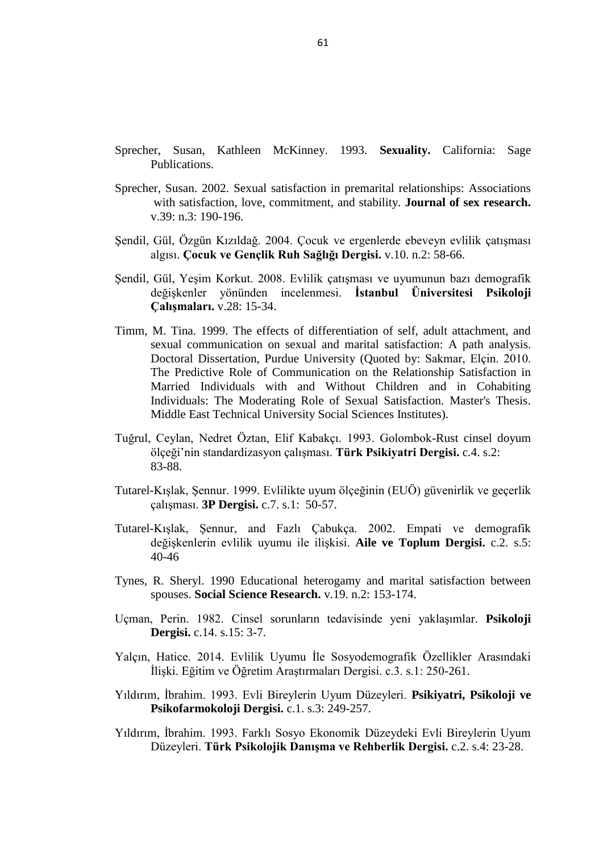- Giddens, Anthony. 2000. **Sosyoloji.** çev. Hüseyin Özel, Cemal Güzel. Ankara: Ayraç Yayınları.
- Gossman, Ilone, et al. 2003. Determinants of sex initiation frequencies and sexual satisfaction in long-term couples relationships. **The Canadian Journal of Human Sexuality.** v.12. n.3: 169-181.
- Gottman, M. John, Lynn Fainsilber Katz, Carole Hooven. 1996. Parental metaemotion philosophy and the emotional life of families: Theoretical models and preliminary data. **Journal of Family Psychology.** v.10. n.3: 243.
- Gottman, John, Nan Silver. 2000. **The seven principles for making marriage work.** Newyork: Three Rivers Press.
- Gülerce, Aydan. 1996. **Türkiye'de ailelerin psikolojik örüntüleri.** İstanbul: Boğaziçi Üniversitesi Yayınları.
- Günay, Serra. 2007. Evlilik çatışması, nedensellik-soruınlulukyüklemeleri, eşlerin evlilik ilişkisinden sağladıkları genel doyuma ilişkin görüşleri ve evliliğe ilişkin değerlendirmeler arasındaki ilişkiler, yayınlanmamış yüksek lisans tezi, Ankara Üniversitesi Sosyal Bilimler Enstitüsü.
- Güvenc, Bozkurt. 1984. **İnsan ve kültür.** 4. bs. İstanbul: Remzi Kitabevi.
- Glenn, Norval, D. 1998. The course of marital success and failure in five American 10-year marriage cohorts. **Journal of Marriage and the Family.** v.60. n.3: 569-576.
- Gralla, Oliver, et al. 2008. Worry, desire, and sexual satisfaction and their association with severity of ED and age. **The journal of sexual medicine.**  v.5. n.11: 2646-2655.
- Haavio-Mannila, Elina, Osmo Kontula. 1997. Correlates of increased sexual satisfaction. **Archives of sexual behavior.** v.26. n.4: 399-419.
- Henderson-King, H. Donna, Joseph Veroff. 1994. Sexual satisfaction and marital well-being in the first years of marriage. **Journal of Social and Personal Relationships.** v.11. n.4: 509-534.
- Heyman, E. Richard, Steven L. Sayers, Alan S. Bellack. 1994. Global marital satisfaction versus marital adjustment: An empirical comparison of three measures**. Journal of Family Psychology.** v.8. n.4: 432-446.
- Hoffman,R. Susan, Ronald F. Levant. 1985. A comparison of childfree and childanticipated married couples. **Family Relations.** v.34. n.2: 197-203.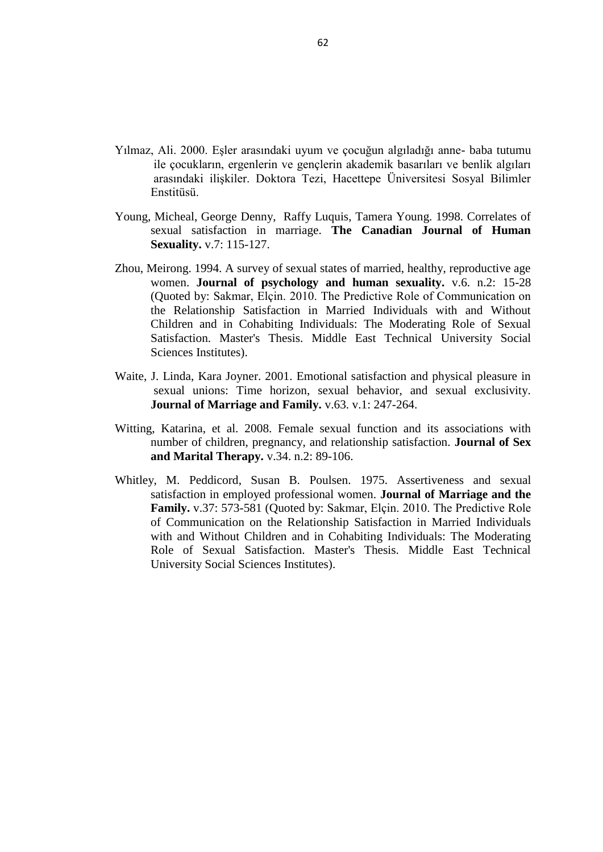- Hurlbert, F. David, Carol Apt, Sarah M. Rabehl. 1993. Key variables to understanding female sexual satisfaction: An examination of women in nondistressed marriages. **Journal of Sex & Marital Therapy.** v.19. n.2: 154- 165.
- Johnson, R. David, et al. 1986. Dimensions of marital quality toward methodological and conceptual refinement. **Journal of Family Issues.** v7. n.1: 31-49. (Quoted by: Sakmar, Elçin. 2010. The Predictive Role of Communication on the Relationship Satisfaction in Married Individuals with and Without Children and in Cohabiting Individuals: The Moderating Role of Sexual Satisfaction. Master's Thesis. Middle East Technical University Social Sciences Institutes).
- Jose, Orathinkal, Vansteenwegen Alfons. 2007. Do demographics affect marital satisfaction?. **Journal of Sex and Marital Therapy.** v.33. n.1: 73-85.
- Kalkan, Melek. 2002. Evlilik ilişkisini geliştirme programının, evlilerin evlilik uyum düzeyine etkisi. Doktora Tezi, On Dokuz Mayıs Üniversitesi Sosyal Bilimler Enstitüsü.
- Kamo, Yoshinori. 1993. Determinants of marital satisfaction: A comparison of the United States and Japan. **Journal of Social and Personal Relationships.** v.10. n.4: 551-568.
- Kansız, Makbule, Haluk Arkar. 2011. Mizaç ve karakter özelliklerinin evlilik doyumu üzerine etkisi. **Anadolu Psikiyatri Dergisi.** c.12. s.1: 24- 29.
- Kastro, M. Ronald. 1998. Evlilik içi uyum ve depresyon: Evlilik ilişkisinin niteliği ve eşlerde semptom oluşumu hakkında bir çalışma. Yüksek Lisans Tezi, İstanbul Üniversitesi Sosyal Bilimler Enstitüsü (Quoted by: Kublay, Deniz. 2013. Evlilik Uyumu: Değer Tercihleri ve Öznel Mutluluk Açısından İncelenmesi. Yüksek lisans tezi. Karadeniz Teknik Üniversitesi Eğitim Bilimleri Enstitisü).
- Kiecolt-Glaser, K. Janice, Tamara L. Newton. 2001 Marriage and health: his and hers. **Psychological bulletin.** v.127. n.4: 472-503.
- Koçak, Gözde. 2009. Sexual Self-schemas: An Exploration of Their Impact on Frequency of Masturbation and Sexual activity, Sexual Satisfaction and Marital Adjustment. Master Thesis. Middle East Technical University Social Science Institutes.
- Köknel, Özcan. (1994). **İnsanı Anlamak.** 5. bs. İstanbul: Altın Kitaplar.
- Kublay, Deniz. 2013. Evlilik Uyumu: Değer Tercihleri ve Öznel Mutluluk Açısından İncelenmesi. Yüksek lisans tezi. Karadeniz Teknik Üniversitesi Eğitim Bilimleri Enstitisü.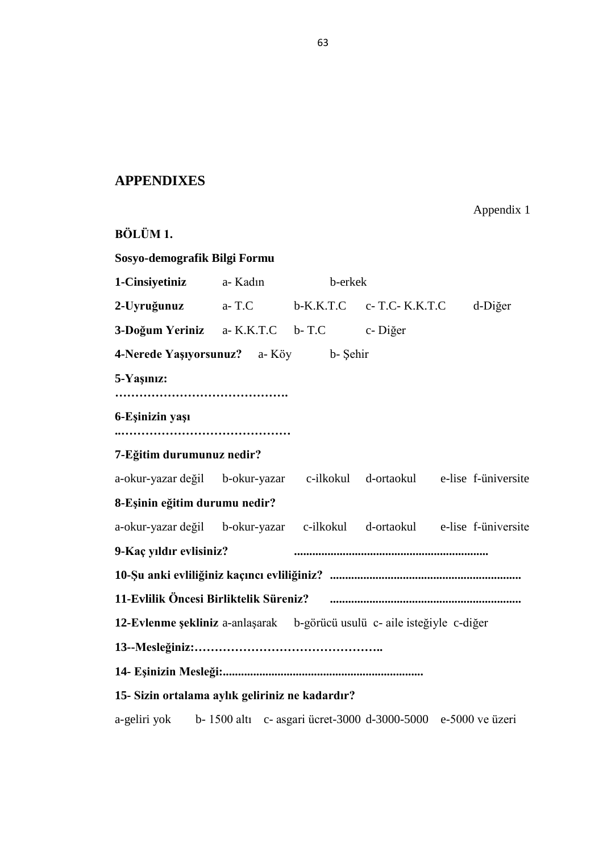- Kudiaki, Çiğdem. 2002. Cinsel doyum ve evlilik uyumu arasındaki ilişki. Yüksek lisans tezi, Ankara Üniversitesi Sosyal Bilimler Enstitüsü
- Kurdek, Lawrence A. 1991. Predictors of increases in marital distress in newlywed couples: A 3-year prospective longitudinal study. **Developmental Psychology.** v.27. n.4: 627-636.
- Lantz, R. Herman, Eloise C. Snyder. 1962. **Marriage: An examination of the manwoman relationship.** England: Wiley (Quoted by: Koçak, Gözde. 2009. Sexual Self-schemas: An Exploration of Their Impact on Frequency of Masturbation and Sexual activity, Sexual Satisfaction and Marital Adjustment. Master Thesis. Middle East Technical University Social Science Institutes).
- Larson, H. Jeffry, Thomas B. Holman. 1994. Premarital predictors of marital quality and stability. **Family Relations.** v.43. n.2: 228-237.
- Lawrance, Kellian, E. Sandra Byers. 1995. Sexual satisfaction in long-term heterosexual relationships: The interpersonal exchange model of sexual satisfaction. **Personal Relationships.** v.2. n.4: 267-285 (Quoted by: Sakmar, Elçin. 2010. The Predictive Role of Communication on the Relationship Satisfaction in Married Individuals with and Without Children and in Cohabiting Individuals: The Moderating Role of Sexual Satisfaction. Master's Thesis. Middle East Technical University Social Sciences Institutes).
- Leary, R. Mark, Snell Jr. William. E. 1988. The relationship of instrumentality and expressiveness to sexual behavior in males and females. **Sex Roles.** v.18. n.9: 509-522.
- Levenson, W. Robert, Laura L. Carstensen, John M. Gottman. 1993. Long-term marriage: age, gender, and satisfaction. **Psychology and aging.** v.8. n.2: 301- 313.
- Li, Tianyuan, Helene H. Fung. 2011. The dynamic goal theory of marital satisfaction. **Review of General Psychology.** v.15. n.3: 246.
- Lindahl, M. Kristin, Mark N. Malik, Thomas N. Bradbury. 1997 The developmental course of couples relationships. **Clinical handbook of marriage and couples interventions.** 203-223.
- Litzinger, Samantha, Kristina Coop Gordon. 2005. Exploring relationships among communication, sexual satisfaction, and marital satisfaction. **Journal of sex and marital therapy.** v.31. n.5: 409-424.
- Locke, Harvey J., Karl M. Wallace. 1959. Short marital-adjustment and prediction tests: Their reliability and validity. **Marriage and family living.** 251-255.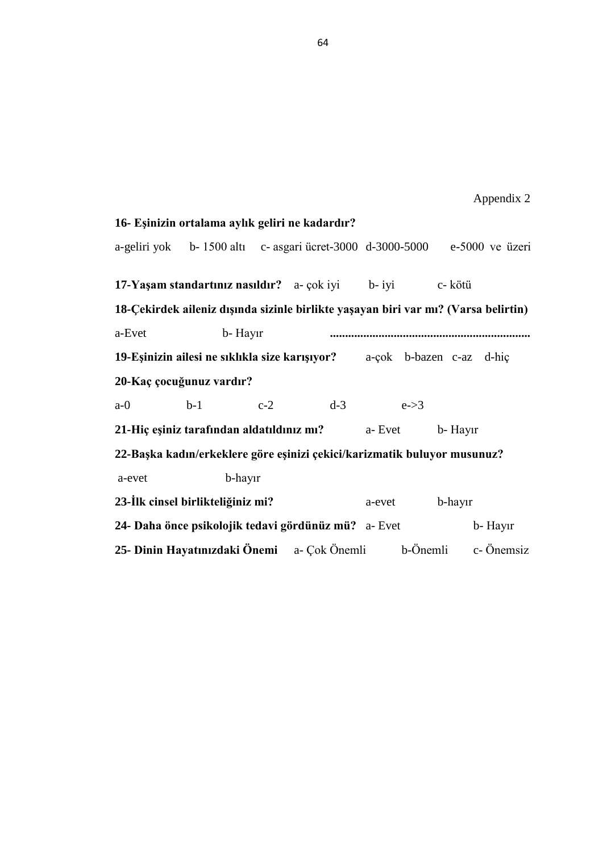- Locke, Edwin A. 1968. Toward a theory of task motivation and incentives. **Organizational behavior and human performance.** v.3. n.2: 157-189.
- MacNeil, Sheila, E. Sandra Byers. 2005. Dyadic assessment of sexual self-disclosure and sexual satisfaction in heterosexual dating couples. **Journal of Social and Personal Relationships.** v.22. n.2: 169-181.
- Masters, H. William, Virginia E. Johnson, Robert C. Kolodny. 1995. **Human** sexuality. New York: HarperCollins College Publishers. (Quoted by: Basat, Çağla. 2004. An exploration of marital satisfaction, locus of control, and selfesteem as predictors of sexual satisfaction. Master's Thesis, Middle East Technical University Social Sciences Institute).
- McCall-Hosenfeld, S. Jennifer, et al. 2008. Correlates of sexual satisfaction among sexually active postmenopausal women in the Women"s Health Initiative-Observational Study. **Journal of general internal medicine.** v.23. n.12: 2000-2009.
- Oliver, B. Mary, Janet S. Hyde. 1993. Gender differences in sexuality: A metaanalysis. **Psychological bulletin.** v.114. n.1: 29-51.
- Özgüven, E. İbrahim. 2000. **Evlilik ve Aile Terapisi.** Ankara: PDREM Yayınları.
- Özgüven, E. İbrahim. 2001. **Ailede İletişim ve Yaşam.** Ankara: PDREM Yayınları.
- Özuğurlu, Kurban. 1995. **Evlilik Raporu.** İstanbul: Remzi Kitapevi.
- Özuğurlu, Kurban. 1999. **Karı-Koca iliksilerinden Doğan Sorunlar. Ana-Baba Okulu.** İstanbul: Altın Kitaplar Yayınevi.
- Polat, Demet. 2006. Evli Bireylerin Evlilik Uyumları, Aldatma Eğilimleri ve Çatışma Eğilimleri Arasındaki İlişkilerin Bazı Değişkenler Açısından İncelenmesi. Yüksek Lisans Tezi, Ankara Üniversitesi Sosyal Bilimler Enstitüsü.
- Proulx, M. Christine, Heather M. Helms, Cheryl Buehler. 2007. Marital quality and personal well‐being: A meta‐analysis. **Journal of Marriage and Family** v.69. n.3: 576-593.
- Rhyne, Darla. 1981. Bases of marital satisfaction among men and women. **Journal of Marriage and the Family.** v.43. n.4: 941-955.
- Robinson, C. Linda, Priscilla W. Blanton. 1993. Marital strengths in enduring marriages. **Family Relations.** n.42: 38-45.
- Rogers, J. Stacy. 1999. Wives income and marital quality: Are there reciprocal effects?. **Journal of Marriage and the Family.** v.61. n.1: 123-132.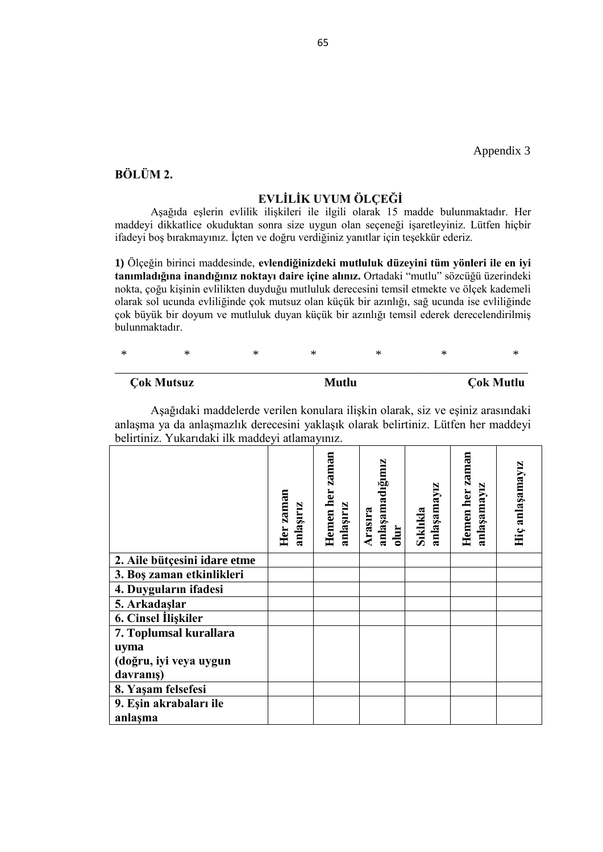- Rowland, L. David, Stewart E. Cooper, Koos A. Slob. 1996. Genital and psychoaffective response to erotic stimulation in sexually functional and dysfunctional men**. Journal of Abnormal Psychology.** v.105. n.2: 194-203.
- Rosenzweig, M. Julie, Dennis M. Dailey. 1989. Dyadic adjustment/sexual satisfaction in women and men as a function of psychological sex role selfperception. **Journal of sex and marital therapy.** v.15. n.1: 42-56.
- Rudd, R. Rachel. 2009. Examining the relationship between antecedents of sexuality and women's reported level of sexual satisfaction during the first five years of marriage. Master"s Thesis. Utah State University Social Sciences Institute.
- Rust, John, and Susan Golombok.1985 The Golombok‐Rust inventory of sexual satisfaction (GRISS). **British Journal of Clinical Psychology.** v.24. n.1: 63- 64.
- Sakmar, Elçin. 2010. The Predictive Role of Communication on the Relationship Satisfaction in Married Individuals with and Without Children and in Cohabiting Individuals: The Moderating Role of Sexual Satisfaction. Master's Thesis. Middle East Technical University Social Sciences Institutes.
- Samelson, A. Doreen, Roseann Hannon. 1999. Sexual desire in couples living with chronic medical conditions. **The Family Journal.** v.7. n.1: 29-38.
- Sardoğan, E. Mehmet, Fikret T. Karahan. 2005. Evli Bireylere Yönelik Bir İnsan İlişkileri Beceri Eğitimi Programının Evli Bireylerin Evlilik Uyum Düzeylerine Etkisi. **Ankara Üniversitesi Eğitim Bilimleri Fakültesi Dergisi.** v.38. n.2: 89-102.
- Saxton, Leigh. 1982. **Marriage. The nature of marriage, the ındividual, marriage, and the family.** California: Wadswort.
- Sevinç, Müzeyyen, Sibel E. Garip. 2010. A study of parents child raising styles and marital harmony. **Procedia-Social and Behavioral Sciences.** v.2. n.2: 1648- 1653.
- Sevim, A. Seher. 1999. Evlilik İlişkilerini Geliştirme Programları. **Türk Psikolojik DanıĢma ve Rehberlik Dergisi.** v.2. n.11: 19-25.
- Spanier, Graham B. et al. 1975. Marital adjustment over the family life cycle: The issue of curvilinearity. **Journal of Marriage and the Family.** 263-275.
- Spanier, Graham B. 1976. Measuring dyadic adjustment: New scales for assessing the quality of marriage and similar dyads. **Journal of Marriage and the** Family. v.38: 15-28 (Quoted by: Kublay, Deniz. 2013. Evlilik Uyumu: Değer Tercihleri ve Öznel Mutluluk Açısından İncelenmesi. Yüksek lisans tezi. Karadeniz Teknik Üniversitesi Eğitim Bilimleri Enstitisü).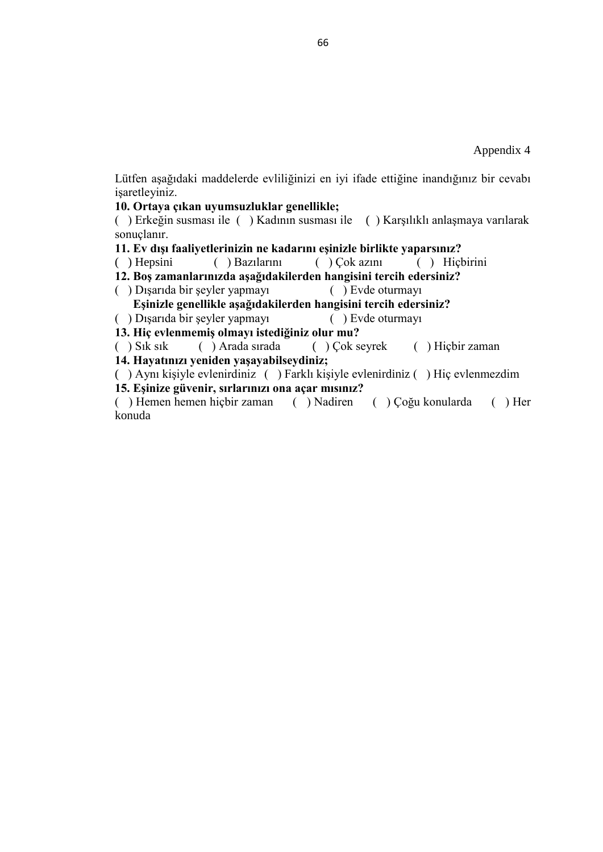- Sprecher, Susan, Kathleen McKinney. 1993. **Sexuality.** California: Sage Publications.
- Sprecher, Susan. 2002. Sexual satisfaction in premarital relationships: Associations with satisfaction, love, commitment, and stability. **Journal of sex research.** v.39: n.3: 190-196.
- Şendil, Gül, Özgün Kızıldağ. 2004. Çocuk ve ergenlerde ebeveyn evlilik çatışması algısı. **Çocuk ve Gençlik Ruh Sağlığı Dergisi.** v.10. n.2: 58-66.
- Şendil, Gül, Yeşim Korkut. 2008. Evlilik çatışması ve uyumunun bazı demografik değişkenler yönünden incelenmesi. **Ġstanbul Üniversitesi Psikoloji ÇalıĢmaları.** v.28: 15-34.
- Timm, M. Tina. 1999. The effects of differentiation of self, adult attachment, and sexual communication on sexual and marital satisfaction: A path analysis. Doctoral Dissertation, Purdue University (Quoted by: Sakmar, Elçin. 2010. The Predictive Role of Communication on the Relationship Satisfaction in Married Individuals with and Without Children and in Cohabiting Individuals: The Moderating Role of Sexual Satisfaction. Master's Thesis. Middle East Technical University Social Sciences Institutes).
- Tuğrul, Ceylan, Nedret Öztan, Elif Kabakçı. 1993. Golombok-Rust cinsel doyum ölçeği"nin standardizasyon çalışması. **Türk Psikiyatri Dergisi.** c.4. s.2: 83-88.
- Tutarel-Kışlak, Şennur. 1999. Evlilikte uyum ölçeğinin (EUÖ) güvenirlik ve geçerlik çalışması. **3P Dergisi.** c.7. s.1: 50-57.
- Tutarel-Kışlak, Şennur, and Fazlı Çabukça. 2002. Empati ve demografik değişkenlerin evlilik uyumu ile ilişkisi. **Aile ve Toplum Dergisi.** c.2. s.5: 40-46
- Tynes, R. Sheryl. 1990 Educational heterogamy and marital satisfaction between spouses. **Social Science Research.** v.19. n.2: 153-174.
- Uçman, Perin. 1982. Cinsel sorunların tedavisinde yeni yaklaşımlar. **Psikoloji Dergisi.** c.14. s.15: 3-7.
- Yalçın, Hatice. 2014. Evlilik Uyumu İle Sosyodemografik Özellikler Arasındaki İlişki. Eğitim ve Öğretim Araştırmaları Dergisi. c.3. s.1: 250-261.
- Yıldırım, İbrahim. 1993. Evli Bireylerin Uyum Düzeyleri. **Psikiyatri, Psikoloji ve Psikofarmokoloji Dergisi.** c.1. s.3: 249-257.
- Yıldırım, İbrahim. 1993. Farklı Sosyo Ekonomik Düzeydeki Evli Bireylerin Uyum Düzeyleri. **Türk Psikolojik DanıĢma ve Rehberlik Dergisi.** c.2. s.4: 23-28.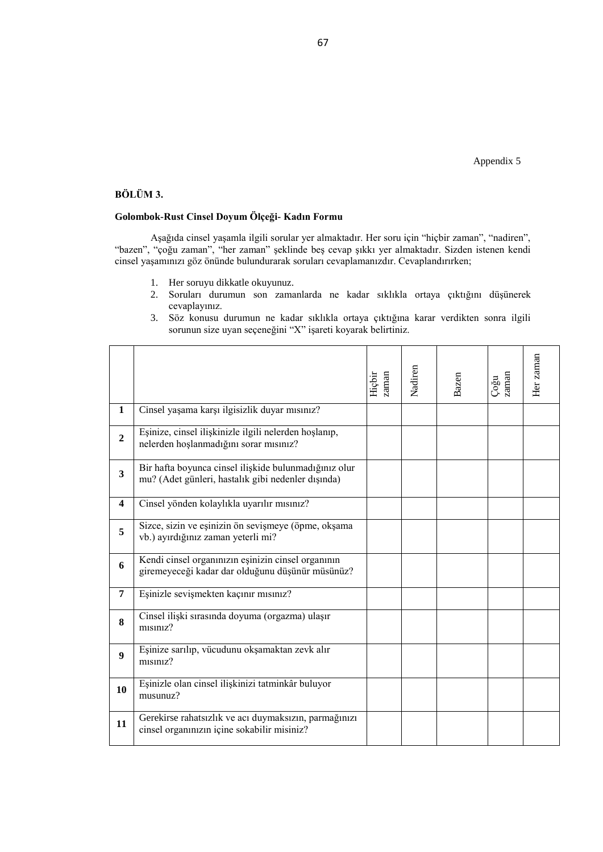- Yılmaz, Ali. 2000. Eşler arasındaki uyum ve çocuğun algıladığı anne- baba tutumu ile çocukların, ergenlerin ve gençlerin akademik basarıları ve benlik algıları arasındaki ilişkiler. Doktora Tezi, Hacettepe Üniversitesi Sosyal Bilimler Enstitüsü.
- Young, Micheal, George Denny, Raffy Luquis, Tamera Young. 1998. Correlates of sexual satisfaction in marriage. **The Canadian Journal of Human Sexuality.** v.7: 115-127.
- Zhou, Meirong. 1994. A survey of sexual states of married, healthy, reproductive age women. **Journal of psychology and human sexuality.** v.6. n.2: 15-28 (Quoted by: Sakmar, Elçin. 2010. The Predictive Role of Communication on the Relationship Satisfaction in Married Individuals with and Without Children and in Cohabiting Individuals: The Moderating Role of Sexual Satisfaction. Master's Thesis. Middle East Technical University Social Sciences Institutes).
- Waite, J. Linda, Kara Joyner. 2001. Emotional satisfaction and physical pleasure in sexual unions: Time horizon, sexual behavior, and sexual exclusivity. **Journal of Marriage and Family.** v.63. v.1: 247-264.
- Witting, Katarina, et al. 2008. Female sexual function and its associations with number of children, pregnancy, and relationship satisfaction. **Journal of Sex and Marital Therapy.** v.34. n.2: 89-106.
- Whitley, M. Peddicord, Susan B. Poulsen. 1975. Assertiveness and sexual satisfaction in employed professional women. **Journal of Marriage and the Family.** v.37: 573-581 (Quoted by: Sakmar, Elçin. 2010. The Predictive Role of Communication on the Relationship Satisfaction in Married Individuals with and Without Children and in Cohabiting Individuals: The Moderating Role of Sexual Satisfaction. Master's Thesis. Middle East Technical University Social Sciences Institutes).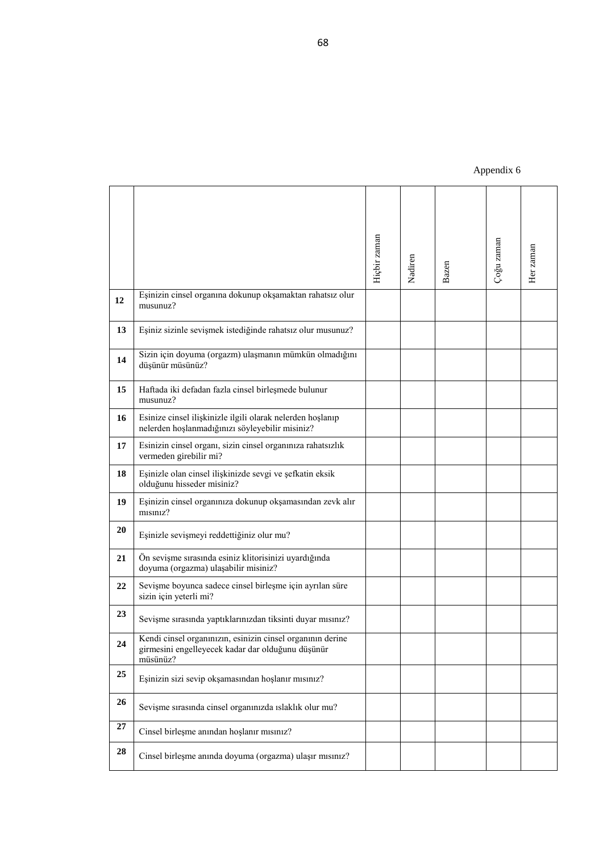## **APPENDIXES**

**BÖLÜM 1.** 

**Sosyo-demografik Bilgi Formu 1-Cinsiyetiniz** a- Kadın b-erkek **2-Uyruğunuz** a- T.C b-K.K.T.C c- T.C- K.K.T.C d-Diğer **3-Doğum Yeriniz** a- K.K.T.C b- T.C c- Diğer **4-Nerede YaĢıyorsunuz?** a- Köy b- Şehir **5-YaĢınız: ……………………………………. 6-EĢinizin yaĢı ..…………………………………… 7-Eğitim durumunuz nedir?**  a-okur-yazar değil b-okur-yazar c-ilkokul d-ortaokul e-lise f-üniversite **8-EĢinin eğitim durumu nedir?**  a-okur-yazar değil b-okur-yazar c-ilkokul d-ortaokul e-lise f-üniversite **9-Kaç yıldır evlisiniz? ................................................................ 10-ġu anki evliliğiniz kaçıncı evliliğiniz? ............................................................... 11-Evlilik Öncesi Birliktelik Süreniz? ............................................................... 12-Evlenme Ģekliniz** a-anlaşarak b-görücü usulü c- aile isteğiyle c-diğer **13--Mesleğiniz:……………………………………….. 14- EĢinizin Mesleği:.................................................................. 15- Sizin ortalama aylık geliriniz ne kadardır?**  a-geliri yok b- 1500 altı c- asgari ücret-3000 d-3000-5000 e-5000 ve üzeri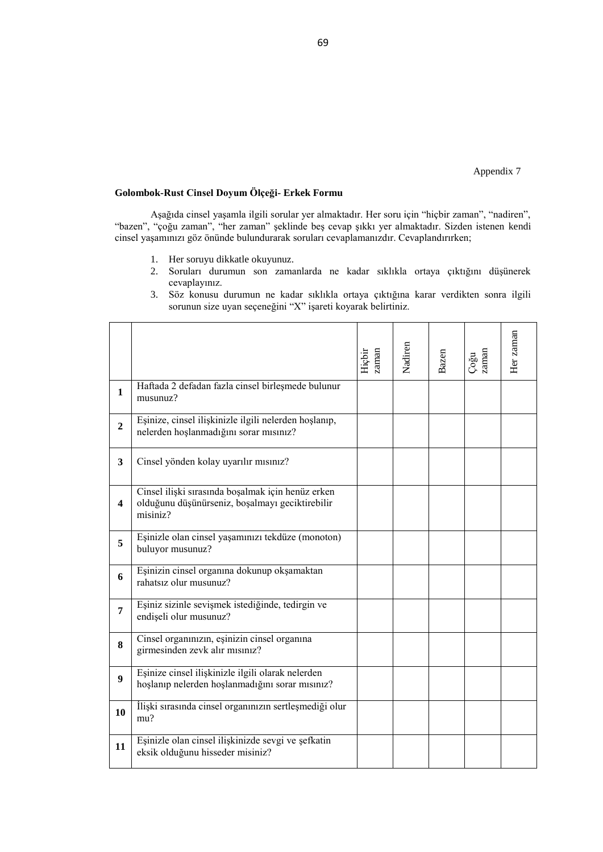# **16- EĢinizin ortalama aylık geliri ne kadardır?** a-geliri yok b- 1500 altı c- asgari ücret-3000 d-3000-5000 e-5000 ve üzeri **17-Yaşam standartınız nasıldır?** a- çok iyi b- iyi c- kötü **18-Çekirdek aileniz dıĢında sizinle birlikte yaĢayan biri var mı? (Varsa belirtin)** a-Evet b- Hayır **.................................................................. 19-EĢinizin ailesi ne sıklıkla size karıĢıyor?** a-çok b-bazen c-az d-hiç **20-Kaç çocuğunuz vardır?**  a-0 b-1 c-2 d-3 e->3 **21-Hiç eĢiniz tarafından aldatıldınız mı?** a- Evet b- Hayır **22-BaĢka kadın/erkeklere göre eĢinizi çekici/karizmatik buluyor musunuz?**  a-evet b-hayır **23-İlk cinsel birlikteliğiniz mi?** a-evet b-hayır **24- Daha önce psikolojik tedavi gördünüz mü?** a- Evet b- Hayır **25- Dinin Hayatınızdaki Önemi** a- Çok Önemli b-Önemli c- Önemsiz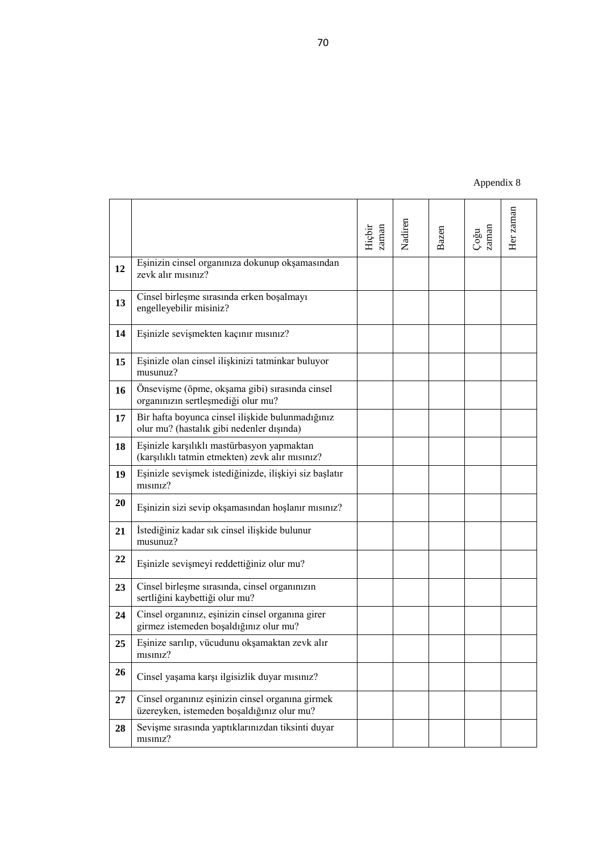# **BÖLÜM 2.**

# EVLİLİK UYUM ÖLCEĞİ

Aşağıda eşlerin evlilik ilişkileri ile ilgili olarak 15 madde bulunmaktadır. Her maddeyi dikkatlice okuduktan sonra size uygun olan seçeneği işaretleyiniz. Lütfen hiçbir ifadeyi boş bırakmayınız. İçten ve doğru verdiğiniz yanıtlar için teşekkür ederiz.

**1)** Ölçeğin birinci maddesinde, **evlendiğinizdeki mutluluk düzeyini tüm yönleri ile en iyi tanımladığına inandığınız noktayı daire içine alınız.** Ortadaki "mutlu" sözcüğü üzerindeki nokta, çoğu kişinin evlilikten duyduğu mutluluk derecesini temsil etmekte ve ölçek kademeli olarak sol ucunda evliliğinde çok mutsuz olan küçük bir azınlığı, sağ ucunda ise evliliğinde çok büyük bir doyum ve mutluluk duyan küçük bir azınlığı temsil ederek derecelendirilmiş bulunmaktadır.

| <b>Cok Mutsuz</b> | Mutlu | <b>Cok Mutlu</b> |
|-------------------|-------|------------------|

\* \* \* \* \* \* \*

Aşağıdaki maddelerde verilen konulara ilişkin olarak, siz ve eşiniz arasındaki anlaşma ya da anlaşmazlık derecesini yaklaşık olarak belirtiniz. Lütfen her maddeyi belirtiniz. Yukarıdaki ilk maddeyi atlamayınız.

|                              | Her zaman<br>anlaşırız | Hemen her zaman<br>anlaşırız | anlaşamadığımız<br>Arasıra<br>olur | anlaşamayız<br>Sıklıkla | Hemen her zaman<br>anlaşamayız | Hiç anlaşamayız |
|------------------------------|------------------------|------------------------------|------------------------------------|-------------------------|--------------------------------|-----------------|
| 2. Aile bütçesini idare etme |                        |                              |                                    |                         |                                |                 |
| 3. Boş zaman etkinlikleri    |                        |                              |                                    |                         |                                |                 |
| 4. Duyguların ifadesi        |                        |                              |                                    |                         |                                |                 |
| 5. Arkadaşlar                |                        |                              |                                    |                         |                                |                 |
| 6. Cinsel İlişkiler          |                        |                              |                                    |                         |                                |                 |
| 7. Toplumsal kurallara       |                        |                              |                                    |                         |                                |                 |
| uyma                         |                        |                              |                                    |                         |                                |                 |
| (doğru, iyi veya uygun       |                        |                              |                                    |                         |                                |                 |
| davranış)                    |                        |                              |                                    |                         |                                |                 |
| 8. Yaşam felsefesi           |                        |                              |                                    |                         |                                |                 |
| 9. Eşin akrabaları ile       |                        |                              |                                    |                         |                                |                 |
| anlaşma                      |                        |                              |                                    |                         |                                |                 |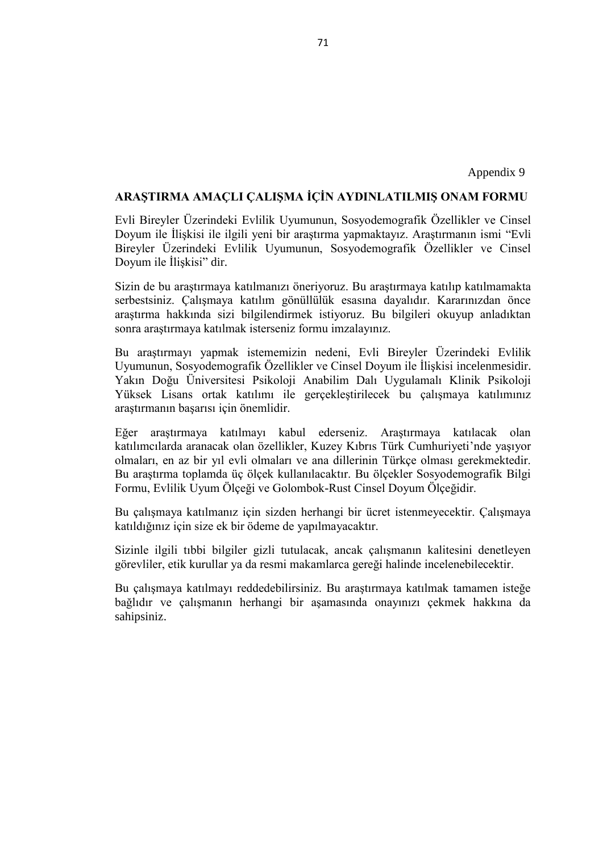Lütfen aşağıdaki maddelerde evliliğinizi en iyi ifade ettiğine inandığınız bir cevabı işaretleyiniz.

## **10. Ortaya çıkan uyumsuzluklar genellikle;**

( ) Erkeğin susması ile ( ) Kadının susması ile ( ) Karşılıklı anlaşmaya varılarak sonuçlanır.

**11. Ev dıĢı faaliyetlerinizin ne kadarını eĢinizle birlikte yaparsınız?**

( ) Hepsini ( ) Bazılarını ( ) Çok azını ( ) Hiçbirini

**12. BoĢ zamanlarınızda aĢağıdakilerden hangisini tercih edersiniz?**

( ) Dışarıda bir şeyler yapmayı ( ) Evde oturmayı

 **EĢinizle genellikle aĢağıdakilerden hangisini tercih edersiniz?**

( ) Dışarıda bir şeyler yapmayı ( ) Evde oturmayı

13. Hiç evlenmemiş olmayı istediğiniz olur mu?

( ) Sık sık ( ) Arada sırada ( ) Çok seyrek ( ) Hiçbir zaman

**14. Hayatınızı yeniden yaĢayabilseydiniz;**

( ) Aynı kişiyle evlenirdiniz ( ) Farklı kişiyle evlenirdiniz ( ) Hiç evlenmezdim

**15. EĢinize güvenir, sırlarınızı ona açar mısınız?**

( ) Hemen hemen hiçbir zaman ( ) Nadiren ( ) Çoğu konularda ( ) Her konuda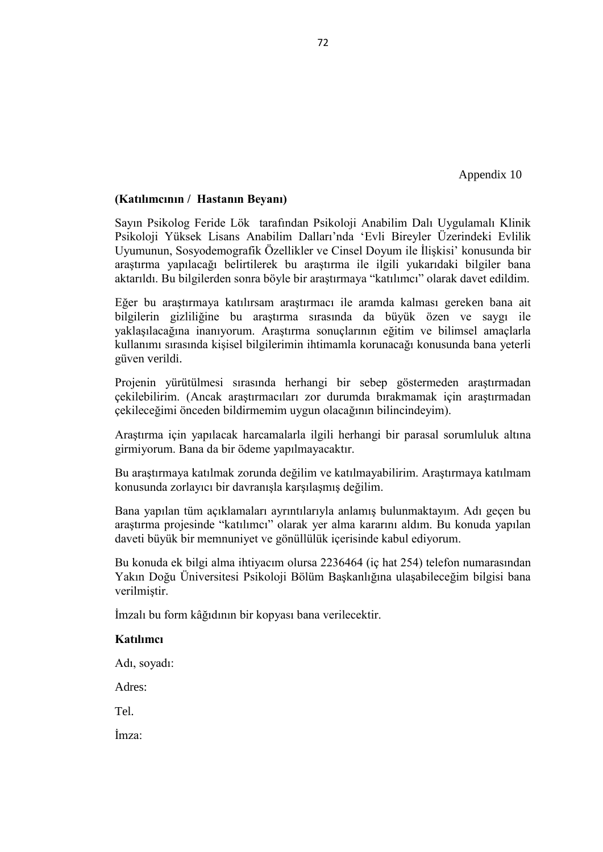## **BÖLÜM 3.**

#### **Golombok-Rust Cinsel Doyum Ölçeği- Kadın Formu**

Aşağıda cinsel yaşamla ilgili sorular yer almaktadır. Her soru için "hiçbir zaman", "nadiren", "bazen", "çoğu zaman", "her zaman" şeklinde beş cevap şıkkı yer almaktadır. Sizden istenen kendi cinsel yaşamınızı göz önünde bulundurarak soruları cevaplamanızdır. Cevaplandırırken;

- 1. Her soruyu dikkatle okuyunuz.
- 2. Soruları durumun son zamanlarda ne kadar sıklıkla ortaya çıktığını düşünerek cevaplayınız.
- 3. Söz konusu durumun ne kadar sıklıkla ortaya çıktığına karar verdikten sonra ilgili sorunun size uyan seçeneğini "X" işareti koyarak belirtiniz.

|                         |                                                                                                             | zaman<br>Hiçbir | Nadiren | Bazen | zaman<br>Coğu | Her zaman |
|-------------------------|-------------------------------------------------------------------------------------------------------------|-----------------|---------|-------|---------------|-----------|
| $\mathbf{1}$            | Cinsel yaşama karşı ilgisizlik duyar mısınız?                                                               |                 |         |       |               |           |
| $\overline{2}$          | Eşinize, cinsel ilişkinizle ilgili nelerden hoşlanıp,<br>nelerden hoşlanmadığını sorar mısınız?             |                 |         |       |               |           |
| $\overline{\mathbf{3}}$ | Bir hafta boyunca cinsel ilişkide bulunmadığınız olur<br>mu? (Adet günleri, hastalık gibi nedenler dışında) |                 |         |       |               |           |
| $\overline{\mathbf{4}}$ | Cinsel yönden kolaylıkla uyarılır mısınız?                                                                  |                 |         |       |               |           |
| 5                       | Sizce, sizin ve eşinizin ön sevişmeye (öpme, okşama<br>vb.) ayırdığınız zaman yeterli mi?                   |                 |         |       |               |           |
| 6                       | Kendi cinsel organinizin eşinizin cinsel organinin<br>giremeyeceği kadar dar olduğunu düşünür müsünüz?      |                 |         |       |               |           |
| 7                       | Eşinizle sevişmekten kaçınır mısınız?                                                                       |                 |         |       |               |           |
| 8                       | Cinsel ilişki sırasında doyuma (orgazma) ulaşır<br>musiniz?                                                 |                 |         |       |               |           |
| $\boldsymbol{9}$        | Eşinize sarılıp, vücudunu okşamaktan zevk alır<br>musimz?                                                   |                 |         |       |               |           |
| 10                      | Eşinizle olan cinsel ilişkinizi tatminkâr buluyor<br>musunuz?                                               |                 |         |       |               |           |
| 11                      | Gerekirse rahatsızlık ve acı duymaksızın, parmağınızı<br>cinsel organinizin içine sokabilir misiniz?        |                 |         |       |               |           |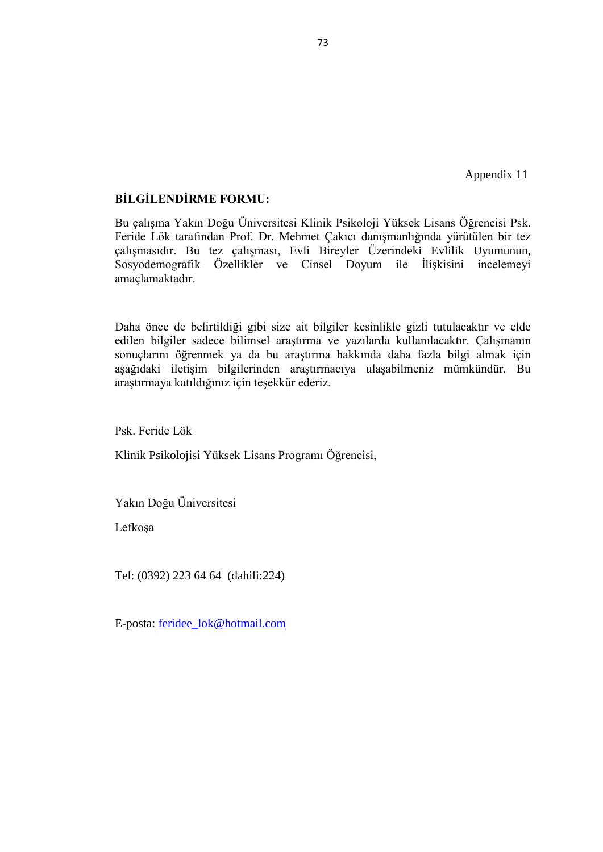|          |    |                                                                                                                             | Hiçbir zaman | Nadiren | Bazen | Çoğu zaman | Her zaman |
|----------|----|-----------------------------------------------------------------------------------------------------------------------------|--------------|---------|-------|------------|-----------|
| 12       |    | Eşinizin cinsel organına dokunup okşamaktan rahatsız olur<br>musunuz?                                                       |              |         |       |            |           |
| 13       |    | Eşiniz sizinle sevişmek istediğinde rahatsız olur musunuz?                                                                  |              |         |       |            |           |
|          | 14 | Sizin için doyuma (orgazm) ulaşmanın mümkün olmadığını<br>düşünür müsünüz?                                                  |              |         |       |            |           |
|          | 15 | Haftada iki defadan fazla cinsel birleşmede bulunur<br>musunuz?                                                             |              |         |       |            |           |
|          | 16 | Esinize cinsel ilişkinizle ilgili olarak nelerden hoşlanıp<br>nelerden hoşlanmadığınızı söyleyebilir misiniz?               |              |         |       |            |           |
|          | 17 | Esinizin cinsel organı, sizin cinsel organınıza rahatsızlık<br>vermeden girebilir mi?                                       |              |         |       |            |           |
|          | 18 | Eşinizle olan cinsel ilişkinizde sevgi ve şefkatin eksik<br>olduğunu hisseder misiniz?                                      |              |         |       |            |           |
| 19       |    | Eşinizin cinsel organınıza dokunup okşamasından zevk alır<br>musiniz?                                                       |              |         |       |            |           |
|          | 20 | Eşinizle sevişmeyi reddettiğiniz olur mu?                                                                                   |              |         |       |            |           |
|          | 21 | Ön sevişme sırasında esiniz klitorisinizi uyardığında<br>doyuma (orgazma) ulaşabilir misiniz?                               |              |         |       |            |           |
| 22       |    | Sevișme boyunca sadece cinsel birleșme için ayrılan süre<br>sizin için yeterli mi?                                          |              |         |       |            |           |
|          | 23 | Sevişme sırasında yaptıklarınızdan tiksinti duyar mısınız?                                                                  |              |         |       |            |           |
| 24       |    | Kendi cinsel organinizin, esinizin cinsel organinin derine<br>girmesini engelleyecek kadar dar olduğunu düşünür<br>müsünüz? |              |         |       |            |           |
|          | 25 | Eşinizin sizi sevip okşamasından hoşlanır mısınız?                                                                          |              |         |       |            |           |
|          | 26 | Sevişme sırasında cinsel organınızda ıslaklık olur mu?                                                                      |              |         |       |            |           |
| $\bf 27$ |    | Cinsel birleşme anından hoşlanır mısınız?                                                                                   |              |         |       |            |           |
|          | 28 | Cinsel birleşme anında doyuma (orgazma) ulaşır mısınız?                                                                     |              |         |       |            |           |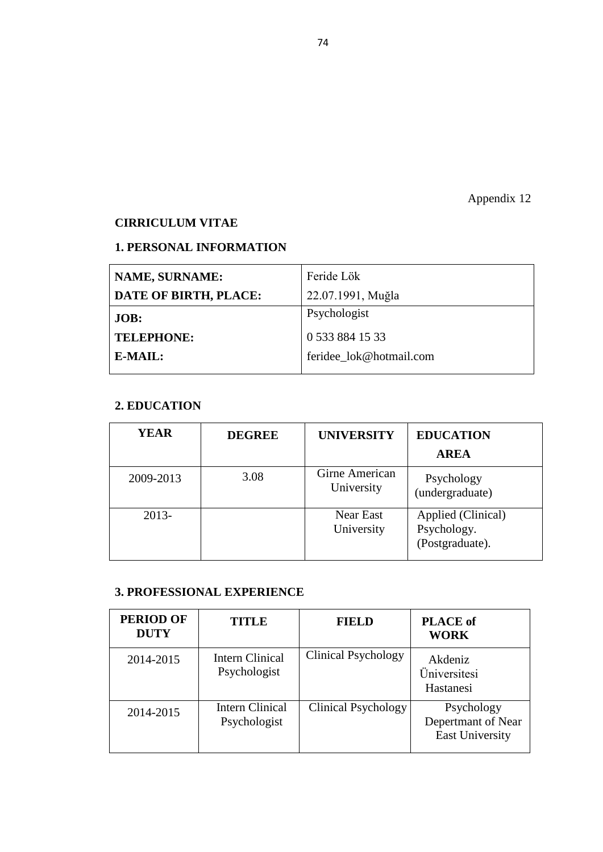#### **Golombok-Rust Cinsel Doyum Ölçeği- Erkek Formu**

Aşağıda cinsel yaşamla ilgili sorular yer almaktadır. Her soru için "hiçbir zaman", "nadiren", "bazen", "çoğu zaman", "her zaman" şeklinde beş cevap şıkkı yer almaktadır. Sizden istenen kendi cinsel yaşamınızı göz önünde bulundurarak soruları cevaplamanızdır. Cevaplandırırken;

- 1. Her soruyu dikkatle okuyunuz.
- 2. Soruları durumun son zamanlarda ne kadar sıklıkla ortaya çıktığını düşünerek cevaplayınız.
- 3. Söz konusu durumun ne kadar sıklıkla ortaya çıktığına karar verdikten sonra ilgili sorunun size uyan seçeneğini "X" işareti koyarak belirtiniz.

|                         |                                                                                                                  | zaman<br>Hiçbir | Nadiren | Bazen | Çoğu<br>zaman | Her zaman |
|-------------------------|------------------------------------------------------------------------------------------------------------------|-----------------|---------|-------|---------------|-----------|
| $\mathbf{1}$            | Haftada 2 defadan fazla cinsel birleşmede bulunur<br>musunuz?                                                    |                 |         |       |               |           |
| $\overline{2}$          | Eşinize, cinsel ilişkinizle ilgili nelerden hoşlanıp,<br>nelerden hoşlanmadığını sorar mısınız?                  |                 |         |       |               |           |
| $\overline{\mathbf{3}}$ | Cinsel yönden kolay uyarılır mısınız?                                                                            |                 |         |       |               |           |
| 4                       | Cinsel ilişki sırasında boşalmak için henüz erken<br>olduğunu düşünürseniz, boşalmayı geciktirebilir<br>misiniz? |                 |         |       |               |           |
| 5                       | Eşinizle olan cinsel yaşamınızı tekdüze (monoton)<br>buluyor musunuz?                                            |                 |         |       |               |           |
| 6                       | Eşinizin cinsel organına dokunup okşamaktan<br>rahatsız olur musunuz?                                            |                 |         |       |               |           |
| 7                       | Eşiniz sizinle sevişmek istediğinde, tedirgin ve<br>endişeli olur musunuz?                                       |                 |         |       |               |           |
| 8                       | Cinsel organınızın, eşinizin cinsel organına<br>girmesinden zevk alır mısınız?                                   |                 |         |       |               |           |
| $\boldsymbol{9}$        | Eşinize cinsel ilişkinizle ilgili olarak nelerden<br>hoşlanıp nelerden hoşlanmadığını sorar mısınız?             |                 |         |       |               |           |
| 10                      | İlişki sırasında cinsel organınızın sertleşmediği olur<br>mu?                                                    |                 |         |       |               |           |
| 11                      | Eşinizle olan cinsel ilişkinizde sevgi ve şefkatin<br>eksik olduğunu hisseder misiniz?                           |                 |         |       |               |           |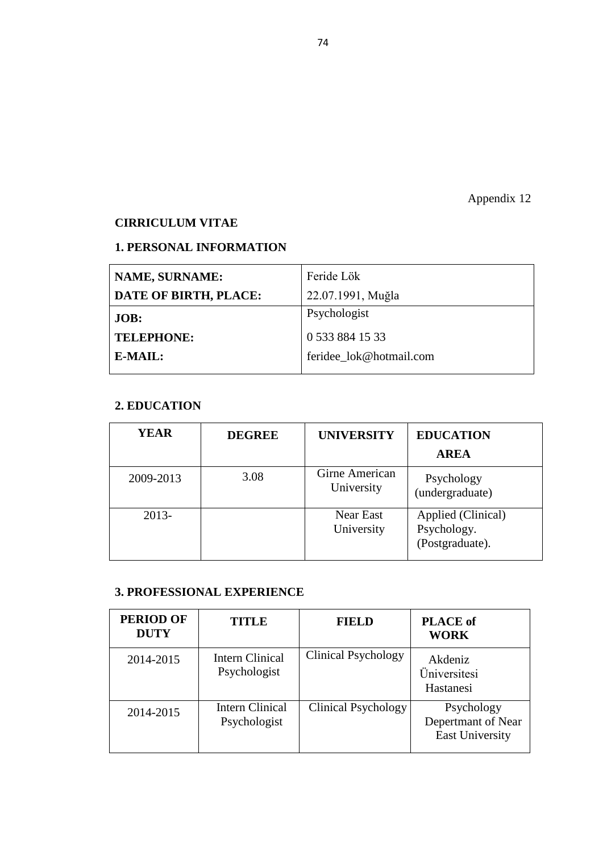|    |                                                                                                |                 | Nadirer |       |               | Her zaman |
|----|------------------------------------------------------------------------------------------------|-----------------|---------|-------|---------------|-----------|
|    |                                                                                                | zaman<br>Hiçbir |         | Bazen | Çoğu<br>zaman |           |
| 12 | Eşinizin cinsel organınıza dokunup okşamasından<br>zevk alır mısınız?                          |                 |         |       |               |           |
| 13 | Cinsel birleşme sırasında erken boşalmayı<br>engelleyebilir misiniz?                           |                 |         |       |               |           |
| 14 | Eşinizle sevişmekten kaçınır mısınız?                                                          |                 |         |       |               |           |
| 15 | Eşinizle olan cinsel ilişkinizi tatminkar buluyor<br>musunuz?                                  |                 |         |       |               |           |
| 16 | Önsevişme (öpme, okşama gibi) sırasında cinsel<br>organınızın sertleşmediği olur mu?           |                 |         |       |               |           |
| 17 | Bir hafta boyunca cinsel ilişkide bulunmadığınız<br>olur mu? (hastalık gibi nedenler dışında)  |                 |         |       |               |           |
| 18 | Eşinizle karşılıklı mastürbasyon yapmaktan<br>(karşılıklı tatmin etmekten) zevk alır mısınız?  |                 |         |       |               |           |
| 19 | Eşinizle sevişmek istediğinizde, ilişkiyi siz başlatır<br>misiniz?                             |                 |         |       |               |           |
| 20 | Eşinizin sizi sevip okşamasından hoşlanır mısınız?                                             |                 |         |       |               |           |
| 21 | İstediğiniz kadar sık cinsel ilişkide bulunur<br>musunuz?                                      |                 |         |       |               |           |
| 22 | Eşinizle sevişmeyi reddettiğiniz olur mu?                                                      |                 |         |       |               |           |
| 23 | Cinsel birleşme sırasında, cinsel organınızın<br>sertliğini kaybettiği olur mu?                |                 |         |       |               |           |
| 24 | Cinsel organiniz, eşinizin cinsel organina girer<br>girmez istemeden boşaldığınız olur mu?     |                 |         |       |               |           |
| 25 | Eşinize sarılıp, vücudunu okşamaktan zevk alır<br>misiniz?                                     |                 |         |       |               |           |
| 26 | Cinsel yaşama karşı ilgisizlik duyar mısınız?                                                  |                 |         |       |               |           |
| 27 | Cinsel organiniz eşinizin cinsel organina girmek<br>üzereyken, istemeden boşaldığınız olur mu? |                 |         |       |               |           |
| 28 | Sevişme sırasında yaptıklarınızdan tiksinti duyar<br>misiniz?                                  |                 |         |       |               |           |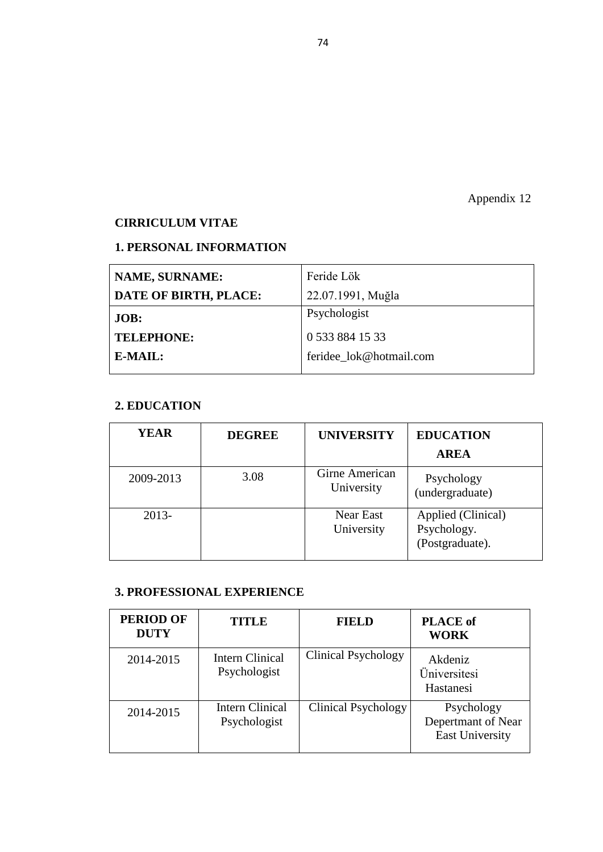### **ARASTIRMA AMACLI CALISMA İCİN AYDINLATILMIŞ ONAM FORMU**

Evli Bireyler Üzerindeki Evlilik Uyumunun, Sosyodemografik Özellikler ve Cinsel Doyum ile İlişkisi ile ilgili yeni bir araştırma yapmaktayız. Araştırmanın ismi "Evli Bireyler Üzerindeki Evlilik Uyumunun, Sosyodemografik Özellikler ve Cinsel Doyum ile İlişkisi" dir.

Sizin de bu araştırmaya katılmanızı öneriyoruz. Bu araştırmaya katılıp katılmamakta serbestsiniz. Çalışmaya katılım gönüllülük esasına dayalıdır. Kararınızdan önce araştırma hakkında sizi bilgilendirmek istiyoruz. Bu bilgileri okuyup anladıktan sonra araştırmaya katılmak isterseniz formu imzalayınız.

Bu araştırmayı yapmak istememizin nedeni, Evli Bireyler Üzerindeki Evlilik Uyumunun, Sosyodemografik Özellikler ve Cinsel Doyum ile İlişkisi incelenmesidir. Yakın Doğu Üniversitesi Psikoloji Anabilim Dalı Uygulamalı Klinik Psikoloji Yüksek Lisans ortak katılımı ile gerçekleştirilecek bu çalışmaya katılımınız araştırmanın başarısı için önemlidir.

Eğer araştırmaya katılmayı kabul ederseniz. Araştırmaya katılacak olan katılımcılarda aranacak olan özellikler, Kuzey Kıbrıs Türk Cumhuriyeti'nde yaşıyor olmaları, en az bir yıl evli olmaları ve ana dillerinin Türkçe olması gerekmektedir. Bu araştırma toplamda üç ölçek kullanılacaktır. Bu ölçekler Sosyodemografik Bilgi Formu, Evlilik Uyum Ölçeği ve Golombok-Rust Cinsel Doyum Ölçeğidir.

Bu çalışmaya katılmanız için sizden herhangi bir ücret istenmeyecektir. Çalışmaya katıldığınız için size ek bir ödeme de yapılmayacaktır.

Sizinle ilgili tıbbi bilgiler gizli tutulacak, ancak çalışmanın kalitesini denetleyen görevliler, etik kurullar ya da resmi makamlarca gereği halinde incelenebilecektir.

Bu çalışmaya katılmayı reddedebilirsiniz. Bu araştırmaya katılmak tamamen isteğe bağlıdır ve çalışmanın herhangi bir aşamasında onayınızı çekmek hakkına da sahipsiniz.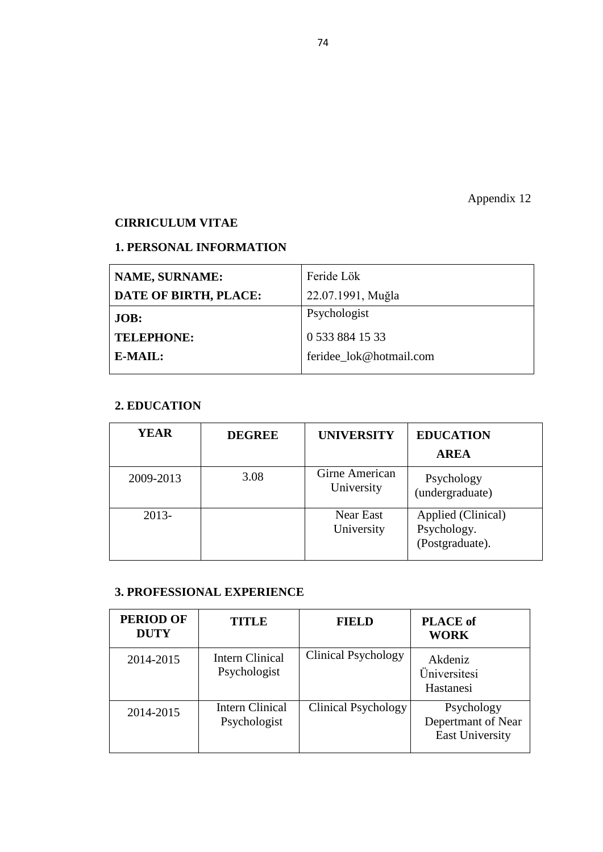### **(Katılımcının / Hastanın Beyanı)**

Sayın Psikolog Feride Lök tarafından Psikoloji Anabilim Dalı Uygulamalı Klinik Psikoloji Yüksek Lisans Anabilim Dalları"nda "Evli Bireyler Üzerindeki Evlilik Uyumunun, Sosyodemografik Özellikler ve Cinsel Doyum ile İlişkisi" konusunda bir araştırma yapılacağı belirtilerek bu araştırma ile ilgili yukarıdaki bilgiler bana aktarıldı. Bu bilgilerden sonra böyle bir araştırmaya "katılımcı" olarak davet edildim.

Eğer bu araştırmaya katılırsam araştırmacı ile aramda kalması gereken bana ait bilgilerin gizliliğine bu araştırma sırasında da büyük özen ve saygı ile yaklaşılacağına inanıyorum. Araştırma sonuçlarının eğitim ve bilimsel amaçlarla kullanımı sırasında kişisel bilgilerimin ihtimamla korunacağı konusunda bana yeterli güven verildi.

Projenin yürütülmesi sırasında herhangi bir sebep göstermeden araştırmadan çekilebilirim. (Ancak araştırmacıları zor durumda bırakmamak için araştırmadan çekileceğimi önceden bildirmemim uygun olacağının bilincindeyim).

Araştırma için yapılacak harcamalarla ilgili herhangi bir parasal sorumluluk altına girmiyorum. Bana da bir ödeme yapılmayacaktır.

Bu araştırmaya katılmak zorunda değilim ve katılmayabilirim. Araştırmaya katılmam konusunda zorlayıcı bir davranışla karşılaşmış değilim.

Bana yapılan tüm açıklamaları ayrıntılarıyla anlamış bulunmaktayım. Adı geçen bu araştırma projesinde "katılımcı" olarak yer alma kararını aldım. Bu konuda yapılan daveti büyük bir memnuniyet ve gönüllülük içerisinde kabul ediyorum.

Bu konuda ek bilgi alma ihtiyacım olursa 2236464 (iç hat 254) telefon numarasından Yakın Doğu Üniversitesi Psikoloji Bölüm Başkanlığına ulaşabileceğim bilgisi bana verilmiştir.

İmzalı bu form kâğıdının bir kopyası bana verilecektir.

#### **Katılımcı**

Adı, soyadı:

Adres:

Tel.

İmza: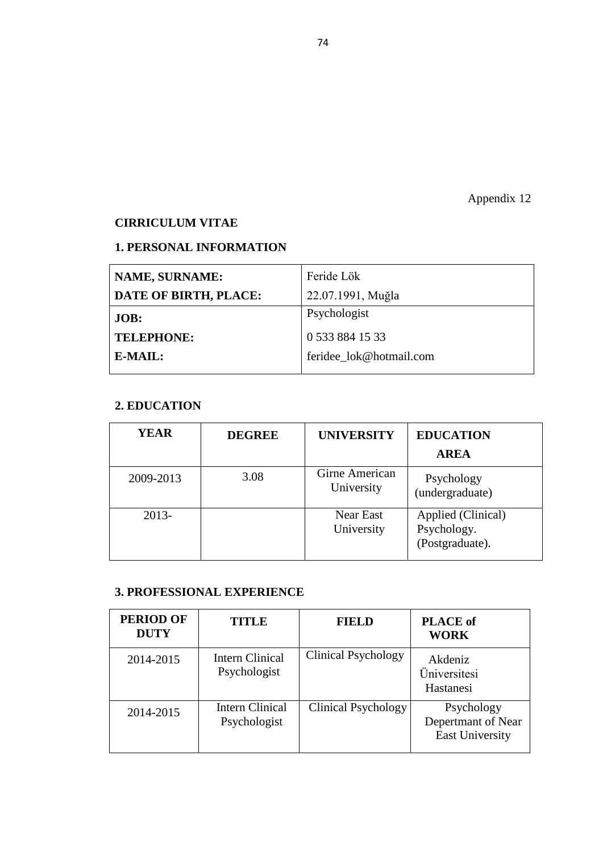Appendix 11

### **BİLGİLENDİRME FORMU:**

Bu çalışma Yakın Doğu Üniversitesi Klinik Psikoloji Yüksek Lisans Öğrencisi Psk. Feride Lök tarafından Prof. Dr. Mehmet Çakıcı danışmanlığında yürütülen bir tez çalışmasıdır. Bu tez çalışması, Evli Bireyler Üzerindeki Evlilik Uyumunun, Sosyodemografik Özellikler ve Cinsel Doyum ile İlişkisini incelemeyi amaçlamaktadır.

Daha önce de belirtildiği gibi size ait bilgiler kesinlikle gizli tutulacaktır ve elde edilen bilgiler sadece bilimsel araştırma ve yazılarda kullanılacaktır. Çalışmanın sonuçlarını öğrenmek ya da bu araştırma hakkında daha fazla bilgi almak için aşağıdaki iletişim bilgilerinden araştırmacıya ulaşabilmeniz mümkündür. Bu araştırmaya katıldığınız için teşekkür ederiz.

Psk. Feride Lök

Klinik Psikolojisi Yüksek Lisans Programı Öğrencisi,

Yakın Doğu Üniversitesi

Lefkoşa

Tel: (0392) 223 64 64 (dahili:224)

E-posta: [feridee\\_lok@hotmail.com](mailto:feridee_lok@hotmail.com)